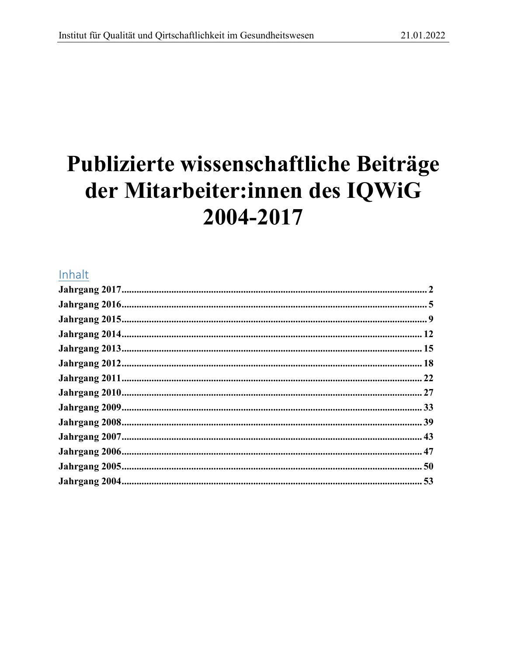# Publizierte wissenschaftliche Beiträge der Mitarbeiter:innen des IQWiG 2004-2017

# Inhalt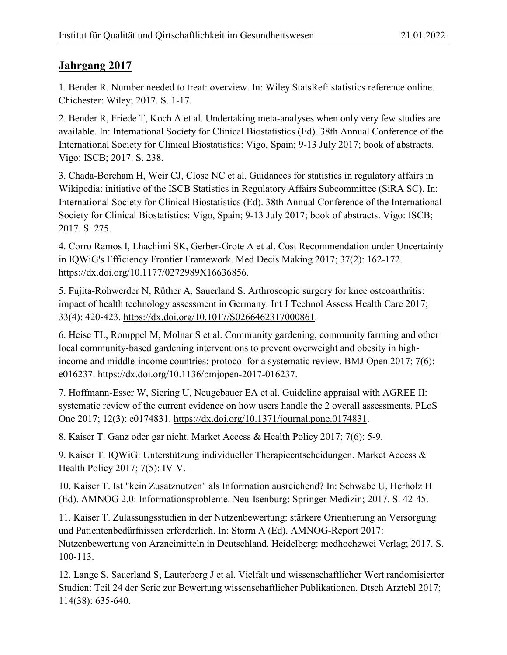<span id="page-1-0"></span>1. Bender R. Number needed to treat: overview. In: Wiley StatsRef: statistics reference online. Chichester: Wiley; 2017. S. 1-17.

2. Bender R, Friede T, Koch A et al. Undertaking meta-analyses when only very few studies are available. In: International Society for Clinical Biostatistics (Ed). 38th Annual Conference of the International Society for Clinical Biostatistics: Vigo, Spain; 9-13 July 2017; book of abstracts. Vigo: ISCB; 2017. S. 238.

3. Chada-Boreham H, Weir CJ, Close NC et al. Guidances for statistics in regulatory affairs in Wikipedia: initiative of the ISCB Statistics in Regulatory Affairs Subcommittee (SiRA SC). In: International Society for Clinical Biostatistics (Ed). 38th Annual Conference of the International Society for Clinical Biostatistics: Vigo, Spain; 9-13 July 2017; book of abstracts. Vigo: ISCB; 2017. S. 275.

4. Corro Ramos I, Lhachimi SK, Gerber-Grote A et al. Cost Recommendation under Uncertainty in IQWiG's Efficiency Frontier Framework. Med Decis Making 2017; 37(2): 162-172. https://dx.doi.org/10.1177/0272989X16636856.

5. Fujita-Rohwerder N, Rüther A, Sauerland S. Arthroscopic surgery for knee osteoarthritis: impact of health technology assessment in Germany. Int J Technol Assess Health Care 2017; 33(4): 420-423. https://dx.doi.org/10.1017/S0266462317000861.

6. Heise TL, Romppel M, Molnar S et al. Community gardening, community farming and other local community-based gardening interventions to prevent overweight and obesity in highincome and middle-income countries: protocol for a systematic review. BMJ Open 2017; 7(6): e016237. https://dx.doi.org/10.1136/bmjopen-2017-016237.

7. Hoffmann-Esser W, Siering U, Neugebauer EA et al. Guideline appraisal with AGREE II: systematic review of the current evidence on how users handle the 2 overall assessments. PLoS One 2017; 12(3): e0174831. https://dx.doi.org/10.1371/journal.pone.0174831.

8. Kaiser T. Ganz oder gar nicht. Market Access & Health Policy 2017; 7(6): 5-9.

9. Kaiser T. IQWiG: Unterstützung individueller Therapieentscheidungen. Market Access & Health Policy 2017; 7(5): IV-V.

10. Kaiser T. Ist "kein Zusatznutzen" als Information ausreichend? In: Schwabe U, Herholz H (Ed). AMNOG 2.0: Informationsprobleme. Neu-Isenburg: Springer Medizin; 2017. S. 42-45.

11. Kaiser T. Zulassungsstudien in der Nutzenbewertung: stärkere Orientierung an Versorgung und Patientenbedürfnissen erforderlich. In: Storm A (Ed). AMNOG-Report 2017: Nutzenbewertung von Arzneimitteln in Deutschland. Heidelberg: medhochzwei Verlag; 2017. S. 100-113.

12. Lange S, Sauerland S, Lauterberg J et al. Vielfalt und wissenschaftlicher Wert randomisierter Studien: Teil 24 der Serie zur Bewertung wissenschaftlicher Publikationen. Dtsch Arztebl 2017; 114(38): 635-640.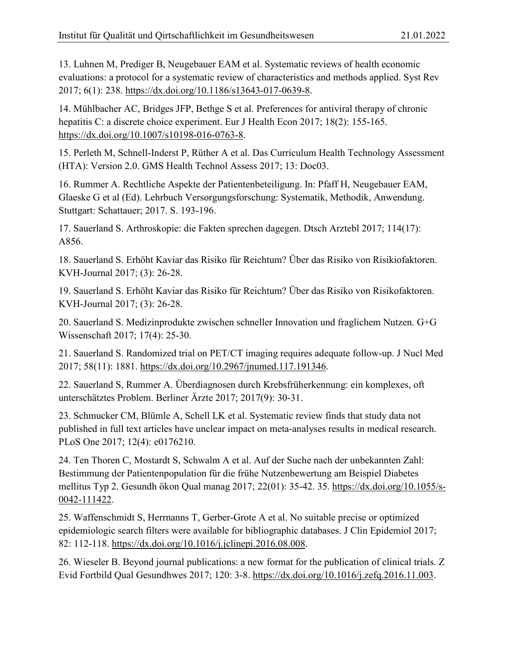13. Luhnen M, Prediger B, Neugebauer EAM et al. Systematic reviews of health economic evaluations: a protocol for a systematic review of characteristics and methods applied. Syst Rev 2017; 6(1): 238. https://dx.doi.org/10.1186/s13643-017-0639-8.

14. Mühlbacher AC, Bridges JFP, Bethge S et al. Preferences for antiviral therapy of chronic hepatitis C: a discrete choice experiment. Eur J Health Econ 2017; 18(2): 155-165. https://dx.doi.org/10.1007/s10198-016-0763-8.

15. Perleth M, Schnell-Inderst P, Rüther A et al. Das Curriculum Health Technology Assessment (HTA): Version 2.0. GMS Health Technol Assess 2017; 13: Doc03.

16. Rummer A. Rechtliche Aspekte der Patientenbeteiligung. In: Pfaff H, Neugebauer EAM, Glaeske G et al (Ed). Lehrbuch Versorgungsforschung: Systematik, Methodik, Anwendung. Stuttgart: Schattauer; 2017. S. 193-196.

17. Sauerland S. Arthroskopie: die Fakten sprechen dagegen. Dtsch Arztebl 2017; 114(17): A856.

18. Sauerland S. Erhöht Kaviar das Risiko für Reichtum? Über das Risiko von Risikiofaktoren. KVH-Journal 2017; (3): 26-28.

19. Sauerland S. Erhöht Kaviar das Risiko für Reichtum? Über das Risiko von Risikofaktoren. KVH-Journal 2017; (3): 26-28.

20. Sauerland S. Medizinprodukte zwischen schneller Innovation und fraglichem Nutzen. G+G Wissenschaft 2017; 17(4): 25-30.

21. Sauerland S. Randomized trial on PET/CT imaging requires adequate follow‐up. J Nucl Med 2017; 58(11): 1881. https://dx.doi.org/10.2967/jnumed.117.191346.

22. Sauerland S, Rummer A. Überdiagnosen durch Krebsfrüherkennung: ein komplexes, oft unterschätztes Problem. Berliner Ärzte 2017; 2017(9): 30-31.

23. Schmucker CM, Blümle A, Schell LK et al. Systematic review finds that study data not published in full text articles have unclear impact on meta-analyses results in medical research. PLoS One 2017; 12(4): e0176210.

24. Ten Thoren C, Mostardt S, Schwalm A et al. Auf der Suche nach der unbekannten Zahl: Bestimmung der Patientenpopulation für die frühe Nutzenbewertung am Beispiel Diabetes mellitus Typ 2. Gesundh ökon Qual manag 2017; 22(01): 35-42. 35. https://dx.doi.org/10.1055/s-0042-111422.

25. Waffenschmidt S, Herrnanns T, Gerber-Grote A et al. No suitable precise or optimized epidemiologic search filters were available for bibliographic databases. J Clin Epidemiol 2017; 82: 112-118. https://dx.doi.org/10.1016/j.jclinepi.2016.08.008.

26. Wieseler B. Beyond journal publications: a new format for the publication of clinical trials. Z Evid Fortbild Qual Gesundhwes 2017; 120: 3-8. https://dx.doi.org/10.1016/j.zefq.2016.11.003.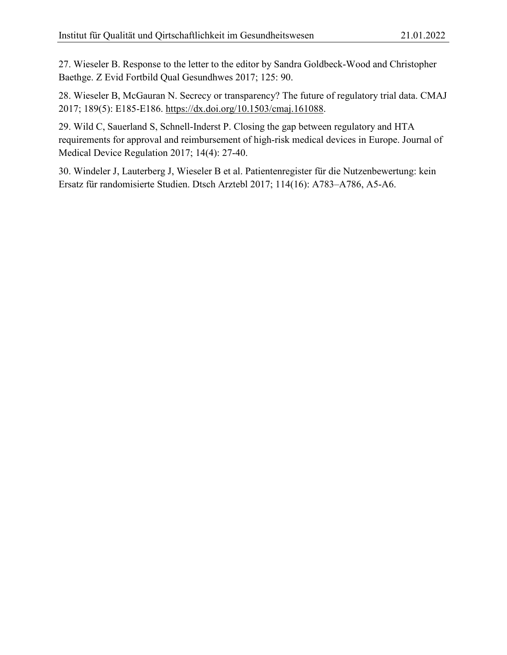27. Wieseler B. Response to the letter to the editor by Sandra Goldbeck-Wood and Christopher Baethge. Z Evid Fortbild Qual Gesundhwes 2017; 125: 90.

28. Wieseler B, McGauran N. Secrecy or transparency? The future of regulatory trial data. CMAJ 2017; 189(5): E185-E186. https://dx.doi.org/10.1503/cmaj.161088.

29. Wild C, Sauerland S, Schnell-Inderst P. Closing the gap between regulatory and HTA requirements for approval and reimbursement of high-risk medical devices in Europe. Journal of Medical Device Regulation 2017; 14(4): 27-40.

30. Windeler J, Lauterberg J, Wieseler B et al. Patientenregister für die Nutzenbewertung: kein Ersatz für randomisierte Studien. Dtsch Arztebl 2017; 114(16): A783–A786, A5-A6.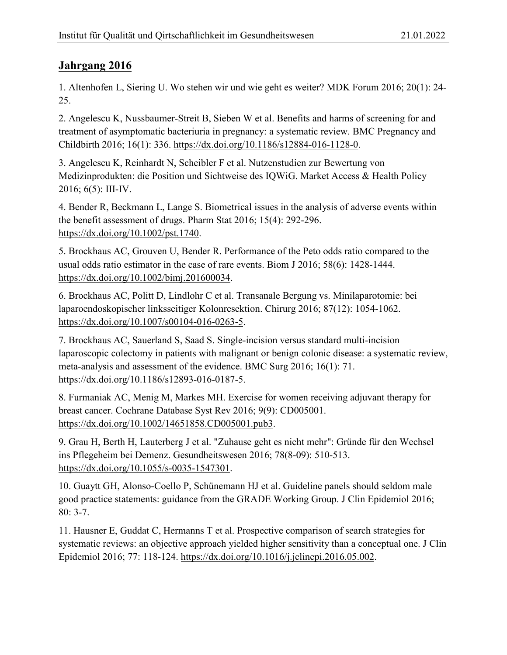<span id="page-4-0"></span>1. Altenhofen L, Siering U. Wo stehen wir und wie geht es weiter? MDK Forum 2016; 20(1): 24- 25.

2. Angelescu K, Nussbaumer-Streit B, Sieben W et al. Benefits and harms of screening for and treatment of asymptomatic bacteriuria in pregnancy: a systematic review. BMC Pregnancy and Childbirth 2016; 16(1): 336. [https://dx.doi.org/10.1186/s12884-016-1128-0.](https://dx.doi.org/10.1186/s12884-016-1128-0)

3. Angelescu K, Reinhardt N, Scheibler F et al. Nutzenstudien zur Bewertung von Medizinprodukten: die Position und Sichtweise des IQWiG. Market Access & Health Policy 2016; 6(5): III-IV.

4. Bender R, Beckmann L, Lange S. Biometrical issues in the analysis of adverse events within the benefit assessment of drugs. Pharm Stat 2016; 15(4): 292-296. [https://dx.doi.org/10.1002/pst.1740.](https://dx.doi.org/10.1002/pst.1740)

5. Brockhaus AC, Grouven U, Bender R. Performance of the Peto odds ratio compared to the usual odds ratio estimator in the case of rare events. Biom J 2016; 58(6): 1428-1444. [https://dx.doi.org/10.1002/bimj.201600034.](https://dx.doi.org/10.1002/bimj.201600034)

6. Brockhaus AC, Politt D, Lindlohr C et al. Transanale Bergung vs. Minilaparotomie: bei laparoendoskopischer linksseitiger Kolonresektion. Chirurg 2016; 87(12): 1054-1062. [https://dx.doi.org/10.1007/s00104-016-0263-5.](https://dx.doi.org/10.1007/s00104-016-0263-5)

7. Brockhaus AC, Sauerland S, Saad S. Single-incision versus standard multi-incision laparoscopic colectomy in patients with malignant or benign colonic disease: a systematic review, meta-analysis and assessment of the evidence. BMC Surg 2016; 16(1): 71. [https://dx.doi.org/10.1186/s12893-016-0187-5.](https://dx.doi.org/10.1186/s12893-016-0187-5)

8. Furmaniak AC, Menig M, Markes MH. Exercise for women receiving adjuvant therapy for breast cancer. Cochrane Database Syst Rev 2016; 9(9): CD005001. [https://dx.doi.org/10.1002/14651858.CD005001.pub3.](https://dx.doi.org/10.1002/14651858.CD005001.pub3)

9. Grau H, Berth H, Lauterberg J et al. "Zuhause geht es nicht mehr": Gründe für den Wechsel ins Pflegeheim bei Demenz. Gesundheitswesen 2016; 78(8-09): 510-513. [https://dx.doi.org/10.1055/s-0035-1547301.](https://dx.doi.org/10.1055/s-0035-1547301)

10. Guaytt GH, Alonso-Coello P, Schünemann HJ et al. Guideline panels should seldom male good practice statements: guidance from the GRADE Working Group. J Clin Epidemiol 2016; 80: 3-7.

11. Hausner E, Guddat C, Hermanns T et al. Prospective comparison of search strategies for systematic reviews: an objective approach yielded higher sensitivity than a conceptual one. J Clin Epidemiol 2016; 77: 118-124. [https://dx.doi.org/10.1016/j.jclinepi.2016.05.002.](https://dx.doi.org/10.1016/j.jclinepi.2016.05.002)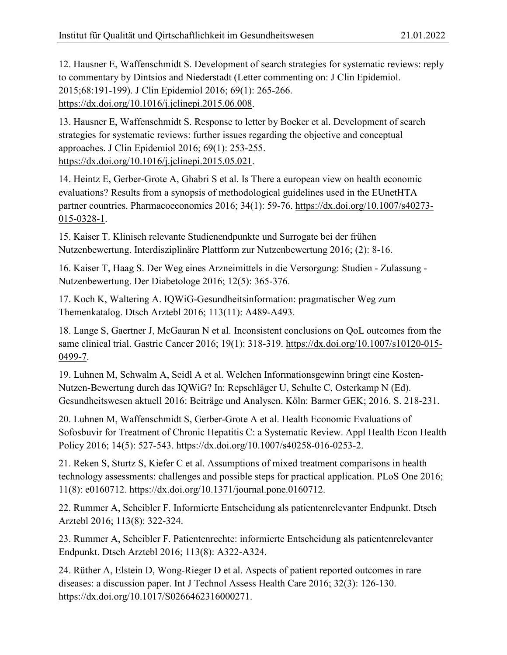12. Hausner E, Waffenschmidt S. Development of search strategies for systematic reviews: reply to commentary by Dintsios and Niederstadt (Letter commenting on: J Clin Epidemiol. 2015;68:191-199). J Clin Epidemiol 2016; 69(1): 265-266. [https://dx.doi.org/10.1016/j.jclinepi.2015.06.008.](https://dx.doi.org/10.1016/j.jclinepi.2015.06.008)

13. Hausner E, Waffenschmidt S. Response to letter by Boeker et al. Development of search strategies for systematic reviews: further issues regarding the objective and conceptual approaches. J Clin Epidemiol 2016; 69(1): 253-255. [https://dx.doi.org/10.1016/j.jclinepi.2015.05.021.](https://dx.doi.org/10.1016/j.jclinepi.2015.05.021)

14. Heintz E, Gerber-Grote A, Ghabri S et al. Is There a european view on health economic evaluations? Results from a synopsis of methodological guidelines used in the EUnetHTA partner countries. Pharmacoeconomics 2016; 34(1): 59-76. [https://dx.doi.org/10.1007/s40273-](https://dx.doi.org/10.1007/s40273-015-0328-1) [015-0328-1.](https://dx.doi.org/10.1007/s40273-015-0328-1)

15. Kaiser T. Klinisch relevante Studienendpunkte und Surrogate bei der frühen Nutzenbewertung. Interdisziplinäre Plattform zur Nutzenbewertung 2016; (2): 8-16.

16. Kaiser T, Haag S. Der Weg eines Arzneimittels in die Versorgung: Studien - Zulassung - Nutzenbewertung. Der Diabetologe 2016; 12(5): 365-376.

17. Koch K, Waltering A. IQWiG-Gesundheitsinformation: pragmatischer Weg zum Themenkatalog. Dtsch Arztebl 2016; 113(11): A489-A493.

18. Lange S, Gaertner J, McGauran N et al. Inconsistent conclusions on QoL outcomes from the same clinical trial. Gastric Cancer 2016; 19(1): 318-319. [https://dx.doi.org/10.1007/s10120-015-](https://dx.doi.org/10.1007/s10120-015-0499-7) [0499-7.](https://dx.doi.org/10.1007/s10120-015-0499-7)

19. Luhnen M, Schwalm A, Seidl A et al. Welchen Informationsgewinn bringt eine Kosten-Nutzen-Bewertung durch das IQWiG? In: Repschläger U, Schulte C, Osterkamp N (Ed). Gesundheitswesen aktuell 2016: Beiträge und Analysen. Köln: Barmer GEK; 2016. S. 218-231.

20. Luhnen M, Waffenschmidt S, Gerber-Grote A et al. Health Economic Evaluations of Sofosbuvir for Treatment of Chronic Hepatitis C: a Systematic Review. Appl Health Econ Health Policy 2016; 14(5): 527-543. [https://dx.doi.org/10.1007/s40258-016-0253-2.](https://dx.doi.org/10.1007/s40258-016-0253-2)

21. Reken S, Sturtz S, Kiefer C et al. Assumptions of mixed treatment comparisons in health technology assessments: challenges and possible steps for practical application. PLoS One 2016; 11(8): e0160712. [https://dx.doi.org/10.1371/journal.pone.0160712.](https://dx.doi.org/10.1371/journal.pone.0160712)

22. Rummer A, Scheibler F. Informierte Entscheidung als patientenrelevanter Endpunkt. Dtsch Arztebl 2016; 113(8): 322-324.

23. Rummer A, Scheibler F. Patientenrechte: informierte Entscheidung als patientenrelevanter Endpunkt. Dtsch Arztebl 2016; 113(8): A322-A324.

24. Rüther A, Elstein D, Wong-Rieger D et al. Aspects of patient reported outcomes in rare diseases: a discussion paper. Int J Technol Assess Health Care 2016; 32(3): 126-130. [https://dx.doi.org/10.1017/S0266462316000271.](https://dx.doi.org/10.1017/S0266462316000271)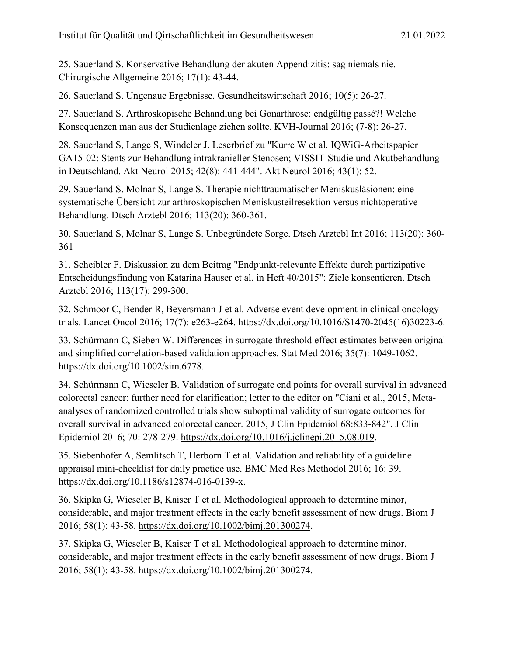25. Sauerland S. Konservative Behandlung der akuten Appendizitis: sag niemals nie. Chirurgische Allgemeine 2016; 17(1): 43-44.

26. Sauerland S. Ungenaue Ergebnisse. Gesundheitswirtschaft 2016; 10(5): 26-27.

27. Sauerland S. Arthroskopische Behandlung bei Gonarthrose: endgültig passé?! Welche Konsequenzen man aus der Studienlage ziehen sollte. KVH-Journal 2016; (7-8): 26-27.

28. Sauerland S, Lange S, Windeler J. Leserbrief zu "Kurre W et al. IQWiG-Arbeitspapier GA15-02: Stents zur Behandlung intrakranieller Stenosen; VISSIT-Studie und Akutbehandlung in Deutschland. Akt Neurol 2015; 42(8): 441-444". Akt Neurol 2016; 43(1): 52.

29. Sauerland S, Molnar S, Lange S. Therapie nichttraumatischer Meniskusläsionen: eine systematische Übersicht zur arthroskopischen Meniskusteilresektion versus nichtoperative Behandlung. Dtsch Arztebl 2016; 113(20): 360-361.

30. Sauerland S, Molnar S, Lange S. Unbegründete Sorge. Dtsch Arztebl Int 2016; 113(20): 360- 361

31. Scheibler F. Diskussion zu dem Beitrag "Endpunkt-relevante Effekte durch partizipative Entscheidungsfindung von Katarina Hauser et al. in Heft 40/2015": Ziele konsentieren. Dtsch Arztebl 2016; 113(17): 299-300.

32. Schmoor C, Bender R, Beyersmann J et al. Adverse event development in clinical oncology trials. Lancet Oncol 2016; 17(7): e263-e264. [https://dx.doi.org/10.1016/S1470-2045\(16\)30223-6.](https://dx.doi.org/10.1016/S1470-2045(16)30223-6)

33. Schürmann C, Sieben W. Differences in surrogate threshold effect estimates between original and simplified correlation-based validation approaches. Stat Med 2016; 35(7): 1049-1062. [https://dx.doi.org/10.1002/sim.6778.](https://dx.doi.org/10.1002/sim.6778)

34. Schürmann C, Wieseler B. Validation of surrogate end points for overall survival in advanced colorectal cancer: further need for clarification; letter to the editor on "Ciani et al., 2015, Metaanalyses of randomized controlled trials show suboptimal validity of surrogate outcomes for overall survival in advanced colorectal cancer. 2015, J Clin Epidemiol 68:833-842". J Clin Epidemiol 2016; 70: 278-279. [https://dx.doi.org/10.1016/j.jclinepi.2015.08.019.](https://dx.doi.org/10.1016/j.jclinepi.2015.08.019)

35. Siebenhofer A, Semlitsch T, Herborn T et al. Validation and reliability of a guideline appraisal mini-checklist for daily practice use. BMC Med Res Methodol 2016; 16: 39. [https://dx.doi.org/10.1186/s12874-016-0139-x.](https://dx.doi.org/10.1186/s12874-016-0139-x)

36. Skipka G, Wieseler B, Kaiser T et al. Methodological approach to determine minor, considerable, and major treatment effects in the early benefit assessment of new drugs. Biom J 2016; 58(1): 43-58. [https://dx.doi.org/10.1002/bimj.201300274.](https://dx.doi.org/10.1002/bimj.201300274)

37. Skipka G, Wieseler B, Kaiser T et al. Methodological approach to determine minor, considerable, and major treatment effects in the early benefit assessment of new drugs. Biom J 2016; 58(1): 43-58. [https://dx.doi.org/10.1002/bimj.201300274.](https://dx.doi.org/10.1002/bimj.201300274)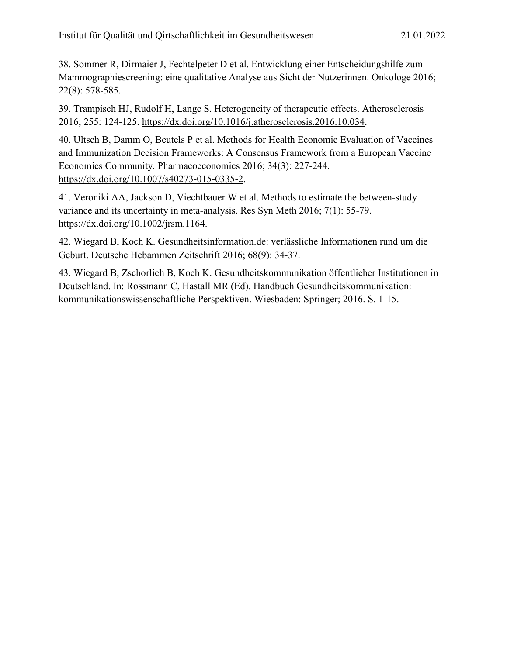38. Sommer R, Dirmaier J, Fechtelpeter D et al. Entwicklung einer Entscheidungshilfe zum Mammographiescreening: eine qualitative Analyse aus Sicht der Nutzerinnen. Onkologe 2016; 22(8): 578-585.

39. Trampisch HJ, Rudolf H, Lange S. Heterogeneity of therapeutic effects. Atherosclerosis 2016; 255: 124-125. [https://dx.doi.org/10.1016/j.atherosclerosis.2016.10.034.](https://dx.doi.org/10.1016/j.atherosclerosis.2016.10.034)

40. Ultsch B, Damm O, Beutels P et al. Methods for Health Economic Evaluation of Vaccines and Immunization Decision Frameworks: A Consensus Framework from a European Vaccine Economics Community. Pharmacoeconomics 2016; 34(3): 227-244. [https://dx.doi.org/10.1007/s40273-015-0335-2.](https://dx.doi.org/10.1007/s40273-015-0335-2)

41. Veroniki AA, Jackson D, Viechtbauer W et al. Methods to estimate the between-study variance and its uncertainty in meta-analysis. Res Syn Meth 2016; 7(1): 55-79. [https://dx.doi.org/10.1002/jrsm.1164.](https://dx.doi.org/10.1002/jrsm.1164)

42. Wiegard B, Koch K. Gesundheitsinformation.de: verlässliche Informationen rund um die Geburt. Deutsche Hebammen Zeitschrift 2016; 68(9): 34-37.

43. Wiegard B, Zschorlich B, Koch K. Gesundheitskommunikation öffentlicher Institutionen in Deutschland. In: Rossmann C, Hastall MR (Ed). Handbuch Gesundheitskommunikation: kommunikationswissenschaftliche Perspektiven. Wiesbaden: Springer; 2016. S. 1-15.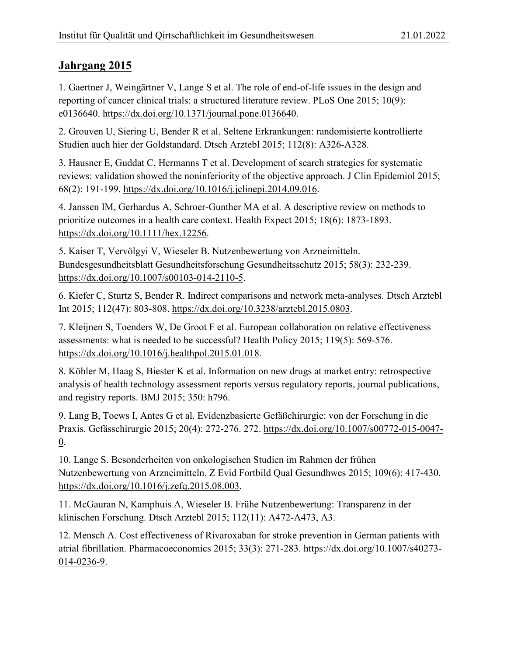<span id="page-8-0"></span>1. Gaertner J, Weingärtner V, Lange S et al. The role of end-of-life issues in the design and reporting of cancer clinical trials: a structured literature review. PLoS One 2015; 10(9): e0136640. [https://dx.doi.org/10.1371/journal.pone.0136640.](https://dx.doi.org/10.1371/journal.pone.0136640)

2. Grouven U, Siering U, Bender R et al. Seltene Erkrankungen: randomisierte kontrollierte Studien auch hier der Goldstandard. Dtsch Arztebl 2015; 112(8): A326-A328.

3. Hausner E, Guddat C, Hermanns T et al. Development of search strategies for systematic reviews: validation showed the noninferiority of the objective approach. J Clin Epidemiol 2015; 68(2): 191-199. [https://dx.doi.org/10.1016/j.jclinepi.2014.09.016.](https://dx.doi.org/10.1016/j.jclinepi.2014.09.016)

4. Janssen IM, Gerhardus A, Schroer-Gunther MA et al. A descriptive review on methods to prioritize outcomes in a health care context. Health Expect 2015; 18(6): 1873-1893. [https://dx.doi.org/10.1111/hex.12256.](https://dx.doi.org/10.1111/hex.12256)

5. Kaiser T, Vervölgyi V, Wieseler B. Nutzenbewertung von Arzneimitteln. Bundesgesundheitsblatt Gesundheitsforschung Gesundheitsschutz 2015; 58(3): 232-239. [https://dx.doi.org/10.1007/s00103-014-2110-5.](https://dx.doi.org/10.1007/s00103-014-2110-5)

6. Kiefer C, Sturtz S, Bender R. Indirect comparisons and network meta-analyses. Dtsch Arztebl Int 2015; 112(47): 803-808. [https://dx.doi.org/10.3238/arztebl.2015.0803.](https://dx.doi.org/10.3238/arztebl.2015.0803)

7. Kleijnen S, Toenders W, De Groot F et al. European collaboration on relative effectiveness assessments: what is needed to be successful? Health Policy 2015; 119(5): 569-576. [https://dx.doi.org/10.1016/j.healthpol.2015.01.018.](https://dx.doi.org/10.1016/j.healthpol.2015.01.018)

8. Köhler M, Haag S, Biester K et al. Information on new drugs at market entry: retrospective analysis of health technology assessment reports versus regulatory reports, journal publications, and registry reports. BMJ 2015; 350: h796.

9. Lang B, Toews I, Antes G et al. Evidenzbasierte Gefäßchirurgie: von der Forschung in die Praxis. Gefässchirurgie 2015; 20(4): 272-276. 272. [https://dx.doi.org/10.1007/s00772-015-0047-](https://dx.doi.org/10.1007/s00772-015-0047-0) [0.](https://dx.doi.org/10.1007/s00772-015-0047-0)

10. Lange S. Besonderheiten von onkologischen Studien im Rahmen der frühen Nutzenbewertung von Arzneimitteln. Z Evid Fortbild Qual Gesundhwes 2015; 109(6): 417-430. [https://dx.doi.org/10.1016/j.zefq.2015.08.003.](https://dx.doi.org/10.1016/j.zefq.2015.08.003)

11. McGauran N, Kamphuis A, Wieseler B. Frühe Nutzenbewertung: Transparenz in der klinischen Forschung. Dtsch Arztebl 2015; 112(11): A472-A473, A3.

12. Mensch A. Cost effectiveness of Rivaroxaban for stroke prevention in German patients with atrial fibrillation. Pharmacoeconomics 2015; 33(3): 271-283. [https://dx.doi.org/10.1007/s40273-](https://dx.doi.org/10.1007/s40273-014-0236-9) [014-0236-9.](https://dx.doi.org/10.1007/s40273-014-0236-9)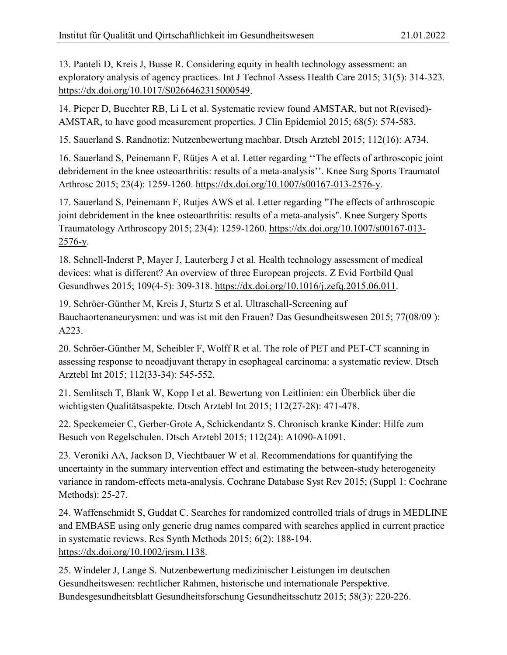13. Panteli D, Kreis J, Busse R. Considering equity in health technology assessment: an exploratory analysis of agency practices. Int J Technol Assess Health Care 2015; 31(5): 314-323. [https://dx.doi.org/10.1017/S0266462315000549.](https://dx.doi.org/10.1017/S0266462315000549)

14. Pieper D, Buechter RB, Li L et al. Systematic review found AMSTAR, but not R(evised)- AMSTAR, to have good measurement properties. J Clin Epidemiol 2015; 68(5): 574-583.

15. Sauerland S. Randnotiz: Nutzenbewertung machbar. Dtsch Arztebl 2015; 112(16): A734.

16. Sauerland S, Peinemann F, Rütjes A et al. Letter regarding ''The effects of arthroscopic joint debridement in the knee osteoarthritis: results of a meta-analysis''. Knee Surg Sports Traumatol Arthrosc 2015; 23(4): 1259-1260. [https://dx.doi.org/10.1007/s00167-013-2576-y.](https://dx.doi.org/10.1007/s00167-013-2576-y)

17. Sauerland S, Peinemann F, Rutjes AWS et al. Letter regarding "The effects of arthroscopic joint debridement in the knee osteoarthritis: results of a meta-analysis". Knee Surgery Sports Traumatology Arthroscopy 2015; 23(4): 1259-1260. [https://dx.doi.org/10.1007/s00167-013-](https://dx.doi.org/10.1007/s00167-013-2576-y) [2576-y.](https://dx.doi.org/10.1007/s00167-013-2576-y)

18. Schnell-Inderst P, Mayer J, Lauterberg J et al. Health technology assessment of medical devices: what is different? An overview of three European projects. Z Evid Fortbild Qual Gesundhwes 2015; 109(4-5): 309-318. [https://dx.doi.org/10.1016/j.zefq.2015.06.011.](https://dx.doi.org/10.1016/j.zefq.2015.06.011)

19. Schröer-Günther M, Kreis J, Sturtz S et al. Ultraschall-Screening auf Bauchaortenaneurysmen: und was ist mit den Frauen? Das Gesundheitswesen 2015; 77(08/09 ): A223.

20. Schröer-Günther M, Scheibler F, Wolff R et al. The role of PET and PET-CT scanning in assessing response to neoadjuvant therapy in esophageal carcinoma: a systematic review. Dtsch Arztebl Int 2015; 112(33-34): 545-552.

21. Semlitsch T, Blank W, Kopp I et al. Bewertung von Leitlinien: ein Überblick über die wichtigsten Qualitätsaspekte. Dtsch Arztebl Int 2015; 112(27-28): 471-478.

22. Speckemeier C, Gerber-Grote A, Schickendantz S. Chronisch kranke Kinder: Hilfe zum Besuch von Regelschulen. Dtsch Arztebl 2015; 112(24): A1090-A1091.

23. Veroniki AA, Jackson D, Viechtbauer W et al. Recommendations for quantifying the uncertainty in the summary intervention effect and estimating the between-study heterogeneity variance in random-effects meta-analysis. Cochrane Database Syst Rev 2015; (Suppl 1: Cochrane Methods): 25-27.

24. Waffenschmidt S, Guddat C. Searches for randomized controlled trials of drugs in MEDLINE and EMBASE using only generic drug names compared with searches applied in current practice in systematic reviews. Res Synth Methods 2015; 6(2): 188-194. [https://dx.doi.org/10.1002/jrsm.1138.](https://dx.doi.org/10.1002/jrsm.1138)

25. Windeler J, Lange S. Nutzenbewertung medizinischer Leistungen im deutschen Gesundheitswesen: rechtlicher Rahmen, historische und internationale Perspektive. Bundesgesundheitsblatt Gesundheitsforschung Gesundheitsschutz 2015; 58(3): 220-226.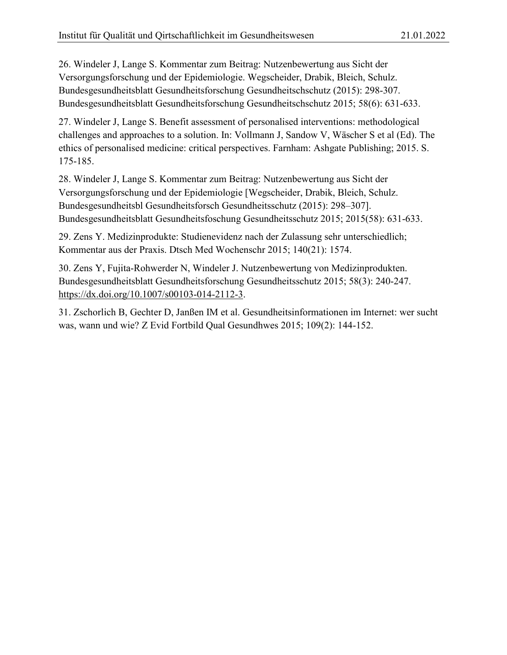26. Windeler J, Lange S. Kommentar zum Beitrag: Nutzenbewertung aus Sicht der Versorgungsforschung und der Epidemiologie. Wegscheider, Drabik, Bleich, Schulz. Bundesgesundheitsblatt Gesundheitsforschung Gesundheitschschutz (2015): 298-307. Bundesgesundheitsblatt Gesundheitsforschung Gesundheitschschutz 2015; 58(6): 631-633.

27. Windeler J, Lange S. Benefit assessment of personalised interventions: methodological challenges and approaches to a solution. In: Vollmann J, Sandow V, Wäscher S et al (Ed). The ethics of personalised medicine: critical perspectives. Farnham: Ashgate Publishing; 2015. S. 175-185.

28. Windeler J, Lange S. Kommentar zum Beitrag: Nutzenbewertung aus Sicht der Versorgungsforschung und der Epidemiologie [Wegscheider, Drabik, Bleich, Schulz. Bundesgesundheitsbl Gesundheitsforsch Gesundheitsschutz (2015): 298–307]. Bundesgesundheitsblatt Gesundheitsfoschung Gesundheitsschutz 2015; 2015(58): 631-633.

29. Zens Y. Medizinprodukte: Studienevidenz nach der Zulassung sehr unterschiedlich; Kommentar aus der Praxis. Dtsch Med Wochenschr 2015; 140(21): 1574.

30. Zens Y, Fujita-Rohwerder N, Windeler J. Nutzenbewertung von Medizinprodukten. Bundesgesundheitsblatt Gesundheitsforschung Gesundheitsschutz 2015; 58(3): 240-247. [https://dx.doi.org/10.1007/s00103-014-2112-3.](https://dx.doi.org/10.1007/s00103-014-2112-3)

31. Zschorlich B, Gechter D, Janßen IM et al. Gesundheitsinformationen im Internet: wer sucht was, wann und wie? Z Evid Fortbild Qual Gesundhwes 2015; 109(2): 144-152.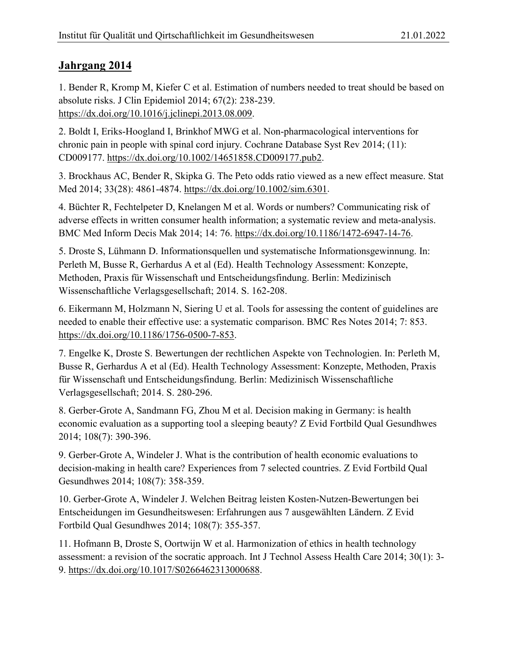<span id="page-11-0"></span>1. Bender R, Kromp M, Kiefer C et al. Estimation of numbers needed to treat should be based on absolute risks. J Clin Epidemiol 2014; 67(2): 238-239. [https://dx.doi.org/10.1016/j.jclinepi.2013.08.009.](https://dx.doi.org/10.1016/j.jclinepi.2013.08.009)

2. Boldt I, Eriks-Hoogland I, Brinkhof MWG et al. Non-pharmacological interventions for chronic pain in people with spinal cord injury. Cochrane Database Syst Rev 2014; (11): CD009177. [https://dx.doi.org/10.1002/14651858.CD009177.pub2.](https://dx.doi.org/10.1002/14651858.CD009177.pub2)

3. Brockhaus AC, Bender R, Skipka G. The Peto odds ratio viewed as a new effect measure. Stat Med 2014; 33(28): 4861-4874. [https://dx.doi.org/10.1002/sim.6301.](https://dx.doi.org/10.1002/sim.6301)

4. Büchter R, Fechtelpeter D, Knelangen M et al. Words or numbers? Communicating risk of adverse effects in written consumer health information; a systematic review and meta-analysis. BMC Med Inform Decis Mak 2014; 14: 76. [https://dx.doi.org/10.1186/1472-6947-14-76.](https://dx.doi.org/10.1186/1472-6947-14-76)

5. Droste S, Lühmann D. Informationsquellen und systematische Informationsgewinnung. In: Perleth M, Busse R, Gerhardus A et al (Ed). Health Technology Assessment: Konzepte, Methoden, Praxis für Wissenschaft und Entscheidungsfindung. Berlin: Medizinisch Wissenschaftliche Verlagsgesellschaft; 2014. S. 162-208.

6. Eikermann M, Holzmann N, Siering U et al. Tools for assessing the content of guidelines are needed to enable their effective use: a systematic comparison. BMC Res Notes 2014; 7: 853. [https://dx.doi.org/10.1186/1756-0500-7-853.](https://dx.doi.org/10.1186/1756-0500-7-853)

7. Engelke K, Droste S. Bewertungen der rechtlichen Aspekte von Technologien. In: Perleth M, Busse R, Gerhardus A et al (Ed). Health Technology Assessment: Konzepte, Methoden, Praxis für Wissenschaft und Entscheidungsfindung. Berlin: Medizinisch Wissenschaftliche Verlagsgesellschaft; 2014. S. 280-296.

8. Gerber-Grote A, Sandmann FG, Zhou M et al. Decision making in Germany: is health economic evaluation as a supporting tool a sleeping beauty? Z Evid Fortbild Qual Gesundhwes 2014; 108(7): 390-396.

9. Gerber-Grote A, Windeler J. What is the contribution of health economic evaluations to decision-making in health care? Experiences from 7 selected countries. Z Evid Fortbild Qual Gesundhwes 2014; 108(7): 358-359.

10. Gerber-Grote A, Windeler J. Welchen Beitrag leisten Kosten-Nutzen-Bewertungen bei Entscheidungen im Gesundheitswesen: Erfahrungen aus 7 ausgewählten Ländern. Z Evid Fortbild Qual Gesundhwes 2014; 108(7): 355-357.

11. Hofmann B, Droste S, Oortwijn W et al. Harmonization of ethics in health technology assessment: a revision of the socratic approach. Int J Technol Assess Health Care 2014; 30(1): 3- 9. [https://dx.doi.org/10.1017/S0266462313000688.](https://dx.doi.org/10.1017/S0266462313000688)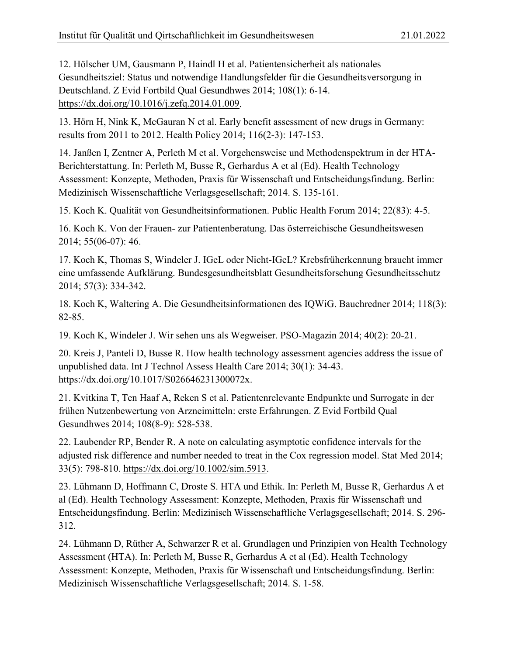12. Hölscher UM, Gausmann P, Haindl H et al. Patientensicherheit als nationales Gesundheitsziel: Status und notwendige Handlungsfelder für die Gesundheitsversorgung in Deutschland. Z Evid Fortbild Qual Gesundhwes 2014; 108(1): 6-14. [https://dx.doi.org/10.1016/j.zefq.2014.01.009.](https://dx.doi.org/10.1016/j.zefq.2014.01.009)

13. Hörn H, Nink K, McGauran N et al. Early benefit assessment of new drugs in Germany: results from 2011 to 2012. Health Policy 2014; 116(2-3): 147-153.

14. Janßen I, Zentner A, Perleth M et al. Vorgehensweise und Methodenspektrum in der HTA-Berichterstattung. In: Perleth M, Busse R, Gerhardus A et al (Ed). Health Technology Assessment: Konzepte, Methoden, Praxis für Wissenschaft und Entscheidungsfindung. Berlin: Medizinisch Wissenschaftliche Verlagsgesellschaft; 2014. S. 135-161.

15. Koch K. Qualität von Gesundheitsinformationen. Public Health Forum 2014; 22(83): 4-5.

16. Koch K. Von der Frauen- zur Patientenberatung. Das österreichische Gesundheitswesen 2014; 55(06-07): 46.

17. Koch K, Thomas S, Windeler J. IGeL oder Nicht-IGeL? Krebsfrüherkennung braucht immer eine umfassende Aufklärung. Bundesgesundheitsblatt Gesundheitsforschung Gesundheitsschutz 2014; 57(3): 334-342.

18. Koch K, Waltering A. Die Gesundheitsinformationen des IQWiG. Bauchredner 2014; 118(3): 82-85.

19. Koch K, Windeler J. Wir sehen uns als Wegweiser. PSO-Magazin 2014; 40(2): 20-21.

20. Kreis J, Panteli D, Busse R. How health technology assessment agencies address the issue of unpublished data. Int J Technol Assess Health Care 2014; 30(1): 34-43. [https://dx.doi.org/10.1017/S026646231300072x.](https://dx.doi.org/10.1017/S026646231300072x)

21. Kvitkina T, Ten Haaf A, Reken S et al. Patientenrelevante Endpunkte und Surrogate in der frühen Nutzenbewertung von Arzneimitteln: erste Erfahrungen. Z Evid Fortbild Qual Gesundhwes 2014; 108(8-9): 528-538.

22. Laubender RP, Bender R. A note on calculating asymptotic confidence intervals for the adjusted risk difference and number needed to treat in the Cox regression model. Stat Med 2014; 33(5): 798-810. [https://dx.doi.org/10.1002/sim.5913.](https://dx.doi.org/10.1002/sim.5913)

23. Lühmann D, Hoffmann C, Droste S. HTA und Ethik. In: Perleth M, Busse R, Gerhardus A et al (Ed). Health Technology Assessment: Konzepte, Methoden, Praxis für Wissenschaft und Entscheidungsfindung. Berlin: Medizinisch Wissenschaftliche Verlagsgesellschaft; 2014. S. 296- 312.

24. Lühmann D, Rüther A, Schwarzer R et al. Grundlagen und Prinzipien von Health Technology Assessment (HTA). In: Perleth M, Busse R, Gerhardus A et al (Ed). Health Technology Assessment: Konzepte, Methoden, Praxis für Wissenschaft und Entscheidungsfindung. Berlin: Medizinisch Wissenschaftliche Verlagsgesellschaft; 2014. S. 1-58.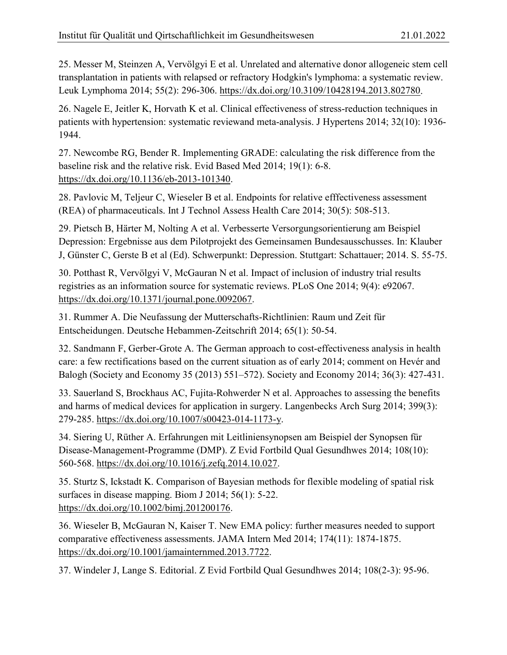25. Messer M, Steinzen A, Vervölgyi E et al. Unrelated and alternative donor allogeneic stem cell transplantation in patients with relapsed or refractory Hodgkin's lymphoma: a systematic review. Leuk Lymphoma 2014; 55(2): 296-306. [https://dx.doi.org/10.3109/10428194.2013.802780.](https://dx.doi.org/10.3109/10428194.2013.802780)

26. Nagele E, Jeitler K, Horvath K et al. Clinical effectiveness of stress-reduction techniques in patients with hypertension: systematic reviewand meta-analysis. J Hypertens 2014; 32(10): 1936- 1944.

27. Newcombe RG, Bender R. Implementing GRADE: calculating the risk difference from the baseline risk and the relative risk. Evid Based Med 2014; 19(1): 6-8. [https://dx.doi.org/10.1136/eb-2013-101340.](https://dx.doi.org/10.1136/eb-2013-101340)

28. Pavlovic M, Teljeur C, Wieseler B et al. Endpoints for relative efffectiveness assessment (REA) of pharmaceuticals. Int J Technol Assess Health Care 2014; 30(5): 508-513.

29. Pietsch B, Härter M, Nolting A et al. Verbesserte Versorgungsorientierung am Beispiel Depression: Ergebnisse aus dem Pilotprojekt des Gemeinsamen Bundesausschusses. In: Klauber J, Günster C, Gerste B et al (Ed). Schwerpunkt: Depression. Stuttgart: Schattauer; 2014. S. 55-75.

30. Potthast R, Vervölgyi V, McGauran N et al. Impact of inclusion of industry trial results registries as an information source for systematic reviews. PLoS One 2014; 9(4): e92067. [https://dx.doi.org/10.1371/journal.pone.0092067.](https://dx.doi.org/10.1371/journal.pone.0092067)

31. Rummer A. Die Neufassung der Mutterschafts-Richtlinien: Raum und Zeit für Entscheidungen. Deutsche Hebammen-Zeitschrift 2014; 65(1): 50-54.

32. Sandmann F, Gerber-Grote A. The German approach to cost-effectiveness analysis in health care: a few rectifications based on the current situation as of early 2014; comment on Hevér and Balogh (Society and Economy 35 (2013) 551–572). Society and Economy 2014; 36(3): 427-431.

33. Sauerland S, Brockhaus AC, Fujita-Rohwerder N et al. Approaches to assessing the benefits and harms of medical devices for application in surgery. Langenbecks Arch Surg 2014; 399(3): 279-285. [https://dx.doi.org/10.1007/s00423-014-1173-y.](https://dx.doi.org/10.1007/s00423-014-1173-y)

34. Siering U, Rüther A. Erfahrungen mit Leitliniensynopsen am Beispiel der Synopsen für Disease-Management-Programme (DMP). Z Evid Fortbild Qual Gesundhwes 2014; 108(10): 560-568. [https://dx.doi.org/10.1016/j.zefq.2014.10.027.](https://dx.doi.org/10.1016/j.zefq.2014.10.027)

35. Sturtz S, Ickstadt K. Comparison of Bayesian methods for flexible modeling of spatial risk surfaces in disease mapping. Biom J 2014; 56(1): 5-22. [https://dx.doi.org/10.1002/bimj.201200176.](https://dx.doi.org/10.1002/bimj.201200176)

36. Wieseler B, McGauran N, Kaiser T. New EMA policy: further measures needed to support comparative effectiveness assessments. JAMA Intern Med 2014; 174(11): 1874-1875. [https://dx.doi.org/10.1001/jamainternmed.2013.7722.](https://dx.doi.org/10.1001/jamainternmed.2013.7722)

37. Windeler J, Lange S. Editorial. Z Evid Fortbild Qual Gesundhwes 2014; 108(2-3): 95-96.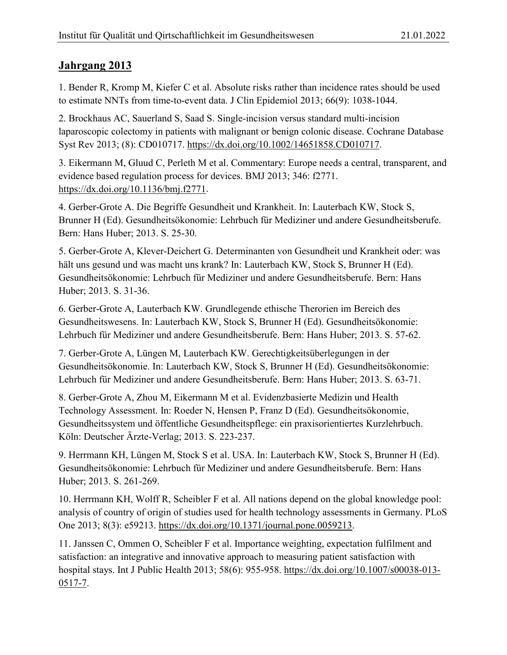<span id="page-14-0"></span>1. Bender R, Kromp M, Kiefer C et al. Absolute risks rather than incidence rates should be used to estimate NNTs from time-to-event data. J Clin Epidemiol 2013; 66(9): 1038-1044.

2. Brockhaus AC, Sauerland S, Saad S. Single-incision versus standard multi-incision laparoscopic colectomy in patients with malignant or benign colonic disease. Cochrane Database Syst Rev 2013; (8): CD010717. [https://dx.doi.org/10.1002/14651858.CD010717.](https://dx.doi.org/10.1002/14651858.CD010717)

3. Eikermann M, Gluud C, Perleth M et al. Commentary: Europe needs a central, transparent, and evidence based regulation process for devices. BMJ 2013; 346: f2771. [https://dx.doi.org/10.1136/bmj.f2771.](https://dx.doi.org/10.1136/bmj.f2771)

4. Gerber-Grote A. Die Begriffe Gesundheit und Krankheit. In: Lauterbach KW, Stock S, Brunner H (Ed). Gesundheitsökonomie: Lehrbuch für Mediziner und andere Gesundheitsberufe. Bern: Hans Huber; 2013. S. 25-30.

5. Gerber-Grote A, Klever-Deichert G. Determinanten von Gesundheit und Krankheit oder: was hält uns gesund und was macht uns krank? In: Lauterbach KW, Stock S, Brunner H (Ed). Gesundheitsökonomie: Lehrbuch für Mediziner und andere Gesundheitsberufe. Bern: Hans Huber; 2013. S. 31-36.

6. Gerber-Grote A, Lauterbach KW. Grundlegende ethische Therorien im Bereich des Gesundheitswesens. In: Lauterbach KW, Stock S, Brunner H (Ed). Gesundheitsökonomie: Lehrbuch für Mediziner und andere Gesundheitsberufe. Bern: Hans Huber; 2013. S. 57-62.

7. Gerber-Grote A, Lüngen M, Lauterbach KW. Gerechtigkeitsüberlegungen in der Gesundheitsökonomie. In: Lauterbach KW, Stock S, Brunner H (Ed). Gesundheitsökonomie: Lehrbuch für Mediziner und andere Gesundheitsberufe. Bern: Hans Huber; 2013. S. 63-71.

8. Gerber-Grote A, Zhou M, Eikermann M et al. Evidenzbasierte Medizin und Health Technology Assessment. In: Roeder N, Hensen P, Franz D (Ed). Gesundheitsökonomie, Gesundheitssystem und öffentliche Gesundheitspflege: ein praxisorientiertes Kurzlehrbuch. Köln: Deutscher Ärzte-Verlag; 2013. S. 223-237.

9. Herrmann KH, Lüngen M, Stock S et al. USA. In: Lauterbach KW, Stock S, Brunner H (Ed). Gesundheitsökonomie: Lehrbuch für Mediziner und andere Gesundheitsberufe. Bern: Hans Huber; 2013. S. 261-269.

10. Herrmann KH, Wolff R, Scheibler F et al. All nations depend on the global knowledge pool: analysis of country of origin of studies used for health technology assessments in Germany. PLoS One 2013; 8(3): e59213. [https://dx.doi.org/10.1371/journal.pone.0059213.](https://dx.doi.org/10.1371/journal.pone.0059213)

11. Janssen C, Ommen O, Scheibler F et al. Importance weighting, expectation fulfilment and satisfaction: an integrative and innovative approach to measuring patient satisfaction with hospital stays. Int J Public Health 2013; 58(6): 955-958. [https://dx.doi.org/10.1007/s00038-013-](https://dx.doi.org/10.1007/s00038-013-0517-7) [0517-7.](https://dx.doi.org/10.1007/s00038-013-0517-7)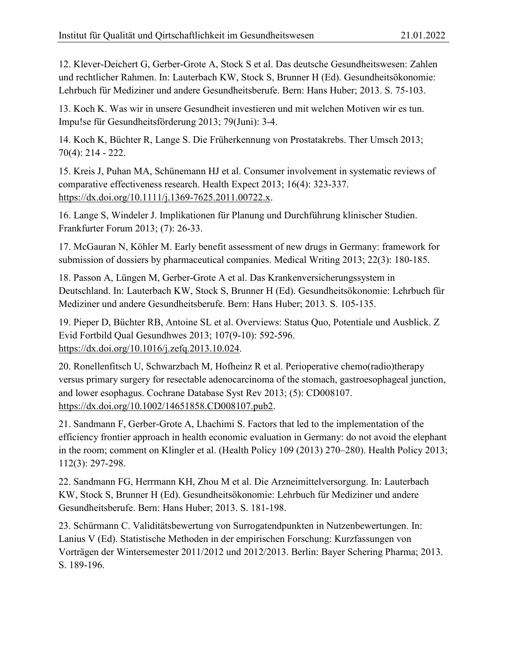12. Klever-Deichert G, Gerber-Grote A, Stock S et al. Das deutsche Gesundheitswesen: Zahlen und rechtlicher Rahmen. In: Lauterbach KW, Stock S, Brunner H (Ed). Gesundheitsökonomie: Lehrbuch für Mediziner und andere Gesundheitsberufe. Bern: Hans Huber; 2013. S. 75-103.

13. Koch K. Was wir in unsere Gesundheit investieren und mit welchen Motiven wir es tun. Impu!se für Gesundheitsförderung 2013; 79(Juni): 3-4.

14. Koch K, Büchter R, Lange S. Die Früherkennung von Prostatakrebs. Ther Umsch 2013; 70(4): 214 - 222.

15. Kreis J, Puhan MA, Schünemann HJ et al. Consumer involvement in systematic reviews of comparative effectiveness research. Health Expect 2013; 16(4): 323-337. [https://dx.doi.org/10.1111/j.1369-7625.2011.00722.x.](https://dx.doi.org/10.1111/j.1369-7625.2011.00722.x)

16. Lange S, Windeler J. Implikationen für Planung und Durchführung klinischer Studien. Frankfurter Forum 2013; (7): 26-33.

17. McGauran N, Köhler M. Early benefit assessment of new drugs in Germany: framework for submission of dossiers by pharmaceutical companies. Medical Writing 2013; 22(3): 180-185.

18. Passon A, Lüngen M, Gerber-Grote A et al. Das Krankenversicherungssystem in Deutschland. In: Lauterbach KW, Stock S, Brunner H (Ed). Gesundheitsökonomie: Lehrbuch für Mediziner und andere Gesundheitsberufe. Bern: Hans Huber; 2013. S. 105-135.

19. Pieper D, Büchter RB, Antoine SL et al. Overviews: Status Quo, Potentiale und Ausblick. Z Evid Fortbild Qual Gesundhwes 2013; 107(9-10): 592-596. [https://dx.doi.org/10.1016/j.zefq.2013.10.024.](https://dx.doi.org/10.1016/j.zefq.2013.10.024)

20. Ronellenfitsch U, Schwarzbach M, Hofheinz R et al. Perioperative chemo(radio)therapy versus primary surgery for resectable adenocarcinoma of the stomach, gastroesophageal junction, and lower esophagus. Cochrane Database Syst Rev 2013; (5): CD008107. [https://dx.doi.org/10.1002/14651858.CD008107.pub2.](https://dx.doi.org/10.1002/14651858.CD008107.pub2)

21. Sandmann F, Gerber-Grote A, Lhachimi S. Factors that led to the implementation of the efficiency frontier approach in health economic evaluation in Germany: do not avoid the elephant in the room; comment on Klingler et al. (Health Policy 109 (2013) 270–280). Health Policy 2013; 112(3): 297-298.

22. Sandmann FG, Herrmann KH, Zhou M et al. Die Arzneimittelversorgung. In: Lauterbach KW, Stock S, Brunner H (Ed). Gesundheitsökonomie: Lehrbuch für Mediziner und andere Gesundheitsberufe. Bern: Hans Huber; 2013. S. 181-198.

23. Schürmann C. Validitätsbewertung von Surrogatendpunkten in Nutzenbewertungen. In: Lanius V (Ed). Statistische Methoden in der empirischen Forschung: Kurzfassungen von Vorträgen der Wintersemester 2011/2012 und 2012/2013. Berlin: Bayer Schering Pharma; 2013. S. 189-196.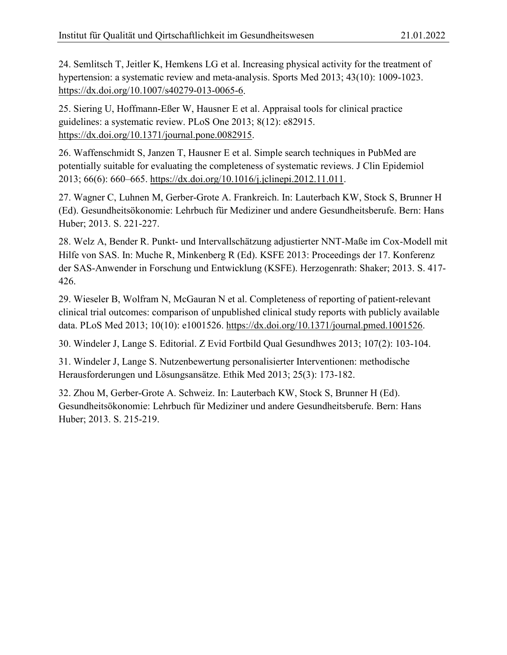24. Semlitsch T, Jeitler K, Hemkens LG et al. Increasing physical activity for the treatment of hypertension: a systematic review and meta-analysis. Sports Med 2013; 43(10): 1009-1023. [https://dx.doi.org/10.1007/s40279-013-0065-6.](https://dx.doi.org/10.1007/s40279-013-0065-6)

25. Siering U, Hoffmann-Eßer W, Hausner E et al. Appraisal tools for clinical practice guidelines: a systematic review. PLoS One 2013; 8(12): e82915. [https://dx.doi.org/10.1371/journal.pone.0082915.](https://dx.doi.org/10.1371/journal.pone.0082915)

26. Waffenschmidt S, Janzen T, Hausner E et al. Simple search techniques in PubMed are potentially suitable for evaluating the completeness of systematic reviews. J Clin Epidemiol 2013; 66(6): 660–665. [https://dx.doi.org/10.1016/j.jclinepi.2012.11.011.](https://dx.doi.org/10.1016/j.jclinepi.2012.11.011)

27. Wagner C, Luhnen M, Gerber-Grote A. Frankreich. In: Lauterbach KW, Stock S, Brunner H (Ed). Gesundheitsökonomie: Lehrbuch für Mediziner und andere Gesundheitsberufe. Bern: Hans Huber; 2013. S. 221-227.

28. Welz A, Bender R. Punkt- und Intervallschätzung adjustierter NNT-Maße im Cox-Modell mit Hilfe von SAS. In: Muche R, Minkenberg R (Ed). KSFE 2013: Proceedings der 17. Konferenz der SAS-Anwender in Forschung und Entwicklung (KSFE). Herzogenrath: Shaker; 2013. S. 417- 426.

29. Wieseler B, Wolfram N, McGauran N et al. Completeness of reporting of patient-relevant clinical trial outcomes: comparison of unpublished clinical study reports with publicly available data. PLoS Med 2013; 10(10): e1001526. [https://dx.doi.org/10.1371/journal.pmed.1001526.](https://dx.doi.org/10.1371/journal.pmed.1001526)

30. Windeler J, Lange S. Editorial. Z Evid Fortbild Qual Gesundhwes 2013; 107(2): 103-104.

31. Windeler J, Lange S. Nutzenbewertung personalisierter Interventionen: methodische Herausforderungen und Lösungsansätze. Ethik Med 2013; 25(3): 173-182.

32. Zhou M, Gerber-Grote A. Schweiz. In: Lauterbach KW, Stock S, Brunner H (Ed). Gesundheitsökonomie: Lehrbuch für Mediziner und andere Gesundheitsberufe. Bern: Hans Huber; 2013. S. 215-219.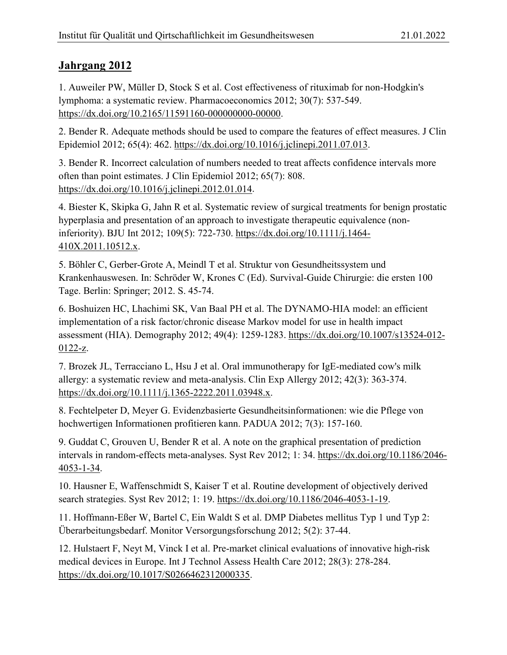<span id="page-17-0"></span>1. Auweiler PW, Müller D, Stock S et al. Cost effectiveness of rituximab for non-Hodgkin's lymphoma: a systematic review. Pharmacoeconomics 2012; 30(7): 537-549. [https://dx.doi.org/10.2165/11591160-000000000-00000.](https://dx.doi.org/10.2165/11591160-000000000-00000)

2. Bender R. Adequate methods should be used to compare the features of effect measures. J Clin Epidemiol 2012; 65(4): 462. [https://dx.doi.org/10.1016/j.jclinepi.2011.07.013.](https://dx.doi.org/10.1016/j.jclinepi.2011.07.013)

3. Bender R. Incorrect calculation of numbers needed to treat affects confidence intervals more often than point estimates. J Clin Epidemiol 2012; 65(7): 808. [https://dx.doi.org/10.1016/j.jclinepi.2012.01.014.](https://dx.doi.org/10.1016/j.jclinepi.2012.01.014)

4. Biester K, Skipka G, Jahn R et al. Systematic review of surgical treatments for benign prostatic hyperplasia and presentation of an approach to investigate therapeutic equivalence (noninferiority). BJU Int 2012; 109(5): 722-730. [https://dx.doi.org/10.1111/j.1464-](https://dx.doi.org/10.1111/j.1464-410X.2011.10512.x) [410X.2011.10512.x.](https://dx.doi.org/10.1111/j.1464-410X.2011.10512.x)

5. Böhler C, Gerber-Grote A, Meindl T et al. Struktur von Gesundheitssystem und Krankenhauswesen. In: Schröder W, Krones C (Ed). Survival-Guide Chirurgie: die ersten 100 Tage. Berlin: Springer; 2012. S. 45-74.

6. Boshuizen HC, Lhachimi SK, Van Baal PH et al. The DYNAMO-HIA model: an efficient implementation of a risk factor/chronic disease Markov model for use in health impact assessment (HIA). Demography 2012; 49(4): 1259-1283. [https://dx.doi.org/10.1007/s13524-012-](https://dx.doi.org/10.1007/s13524-012-0122-z) [0122-z.](https://dx.doi.org/10.1007/s13524-012-0122-z)

7. Brozek JL, Terracciano L, Hsu J et al. Oral immunotherapy for IgE-mediated cow's milk allergy: a systematic review and meta-analysis. Clin Exp Allergy 2012; 42(3): 363-374. [https://dx.doi.org/10.1111/j.1365-2222.2011.03948.x.](https://dx.doi.org/10.1111/j.1365-2222.2011.03948.x)

8. Fechtelpeter D, Meyer G. Evidenzbasierte Gesundheitsinformationen: wie die Pflege von hochwertigen Informationen profitieren kann. PADUA 2012; 7(3): 157-160.

9. Guddat C, Grouven U, Bender R et al. A note on the graphical presentation of prediction intervals in random-effects meta-analyses. Syst Rev 2012; 1: 34. [https://dx.doi.org/10.1186/2046-](https://dx.doi.org/10.1186/2046-4053-1-34) [4053-1-34.](https://dx.doi.org/10.1186/2046-4053-1-34)

10. Hausner E, Waffenschmidt S, Kaiser T et al. Routine development of objectively derived search strategies. Syst Rev 2012; 1: 19. [https://dx.doi.org/10.1186/2046-4053-1-19.](https://dx.doi.org/10.1186/2046-4053-1-19)

11. Hoffmann-Eßer W, Bartel C, Ein Waldt S et al. DMP Diabetes mellitus Typ 1 und Typ 2: Überarbeitungsbedarf. Monitor Versorgungsforschung 2012; 5(2): 37-44.

12. Hulstaert F, Neyt M, Vinck I et al. Pre-market clinical evaluations of innovative high-risk medical devices in Europe. Int J Technol Assess Health Care 2012; 28(3): 278-284. [https://dx.doi.org/10.1017/S0266462312000335.](https://dx.doi.org/10.1017/S0266462312000335)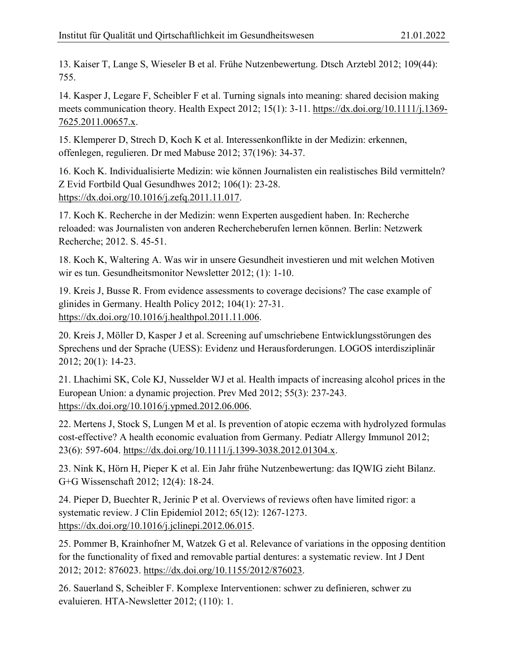13. Kaiser T, Lange S, Wieseler B et al. Frühe Nutzenbewertung. Dtsch Arztebl 2012; 109(44): 755.

14. Kasper J, Legare F, Scheibler F et al. Turning signals into meaning: shared decision making meets communication theory. Health Expect 2012; 15(1): 3-11. [https://dx.doi.org/10.1111/j.1369-](https://dx.doi.org/10.1111/j.1369-7625.2011.00657.x) [7625.2011.00657.x.](https://dx.doi.org/10.1111/j.1369-7625.2011.00657.x)

15. Klemperer D, Strech D, Koch K et al. Interessenkonflikte in der Medizin: erkennen, offenlegen, regulieren. Dr med Mabuse 2012; 37(196): 34-37.

16. Koch K. Individualisierte Medizin: wie können Journalisten ein realistisches Bild vermitteln? Z Evid Fortbild Qual Gesundhwes 2012; 106(1): 23-28. [https://dx.doi.org/10.1016/j.zefq.2011.11.017.](https://dx.doi.org/10.1016/j.zefq.2011.11.017)

17. Koch K. Recherche in der Medizin: wenn Experten ausgedient haben. In: Recherche reloaded: was Journalisten von anderen Rechercheberufen lernen können. Berlin: Netzwerk Recherche; 2012. S. 45-51.

18. Koch K, Waltering A. Was wir in unsere Gesundheit investieren und mit welchen Motiven wir es tun. Gesundheitsmonitor Newsletter 2012; (1): 1-10.

19. Kreis J, Busse R. From evidence assessments to coverage decisions? The case example of glinides in Germany. Health Policy 2012; 104(1): 27-31. [https://dx.doi.org/10.1016/j.healthpol.2011.11.006.](https://dx.doi.org/10.1016/j.healthpol.2011.11.006)

20. Kreis J, Möller D, Kasper J et al. Screening auf umschriebene Entwicklungsstörungen des Sprechens und der Sprache (UESS): Evidenz und Herausforderungen. LOGOS interdisziplinär 2012; 20(1): 14-23.

21. Lhachimi SK, Cole KJ, Nusselder WJ et al. Health impacts of increasing alcohol prices in the European Union: a dynamic projection. Prev Med 2012; 55(3): 237-243. [https://dx.doi.org/10.1016/j.ypmed.2012.06.006.](https://dx.doi.org/10.1016/j.ypmed.2012.06.006)

22. Mertens J, Stock S, Lungen M et al. Is prevention of atopic eczema with hydrolyzed formulas cost-effective? A health economic evaluation from Germany. Pediatr Allergy Immunol 2012; 23(6): 597-604. [https://dx.doi.org/10.1111/j.1399-3038.2012.01304.x.](https://dx.doi.org/10.1111/j.1399-3038.2012.01304.x)

23. Nink K, Hörn H, Pieper K et al. Ein Jahr frühe Nutzenbewertung: das IQWIG zieht Bilanz. G+G Wissenschaft 2012; 12(4): 18-24.

24. Pieper D, Buechter R, Jerinic P et al. Overviews of reviews often have limited rigor: a systematic review. J Clin Epidemiol 2012; 65(12): 1267-1273. [https://dx.doi.org/10.1016/j.jclinepi.2012.06.015.](https://dx.doi.org/10.1016/j.jclinepi.2012.06.015)

25. Pommer B, Krainhofner M, Watzek G et al. Relevance of variations in the opposing dentition for the functionality of fixed and removable partial dentures: a systematic review. Int J Dent 2012; 2012: 876023. [https://dx.doi.org/10.1155/2012/876023.](https://dx.doi.org/10.1155/2012/876023)

26. Sauerland S, Scheibler F. Komplexe Interventionen: schwer zu definieren, schwer zu evaluieren. HTA-Newsletter 2012; (110): 1.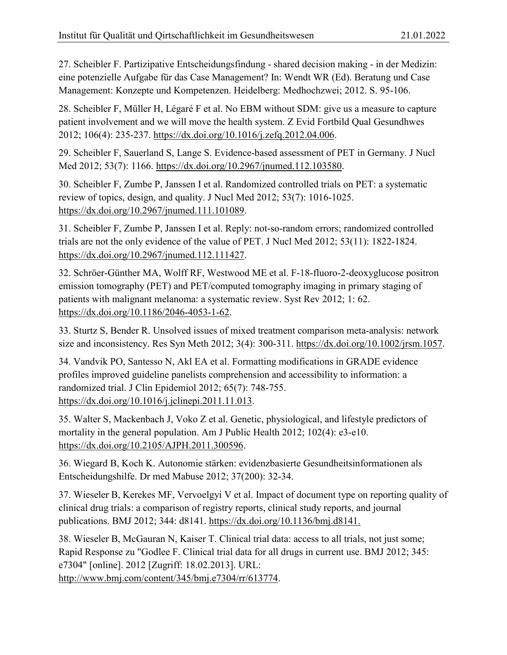27. Scheibler F. Partizipative Entscheidungsfindung - shared decision making - in der Medizin: eine potenzielle Aufgabe für das Case Management? In: Wendt WR (Ed). Beratung und Case Management: Konzepte und Kompetenzen. Heidelberg: Medhochzwei; 2012. S. 95-106.

28. Scheibler F, Müller H, Légaré F et al. No EBM without SDM: give us a measure to capture patient involvement and we will move the health system. Z Evid Fortbild Qual Gesundhwes 2012; 106(4): 235-237. [https://dx.doi.org/10.1016/j.zefq.2012.04.006.](https://dx.doi.org/10.1016/j.zefq.2012.04.006)

29. Scheibler F, Sauerland S, Lange S. Evidence-based assessment of PET in Germany. J Nucl Med 2012; 53(7): 1166. [https://dx.doi.org/10.2967/jnumed.112.103580.](https://dx.doi.org/10.2967/jnumed.112.103580)

30. Scheibler F, Zumbe P, Janssen I et al. Randomized controlled trials on PET: a systematic review of topics, design, and quality. J Nucl Med 2012; 53(7): 1016-1025. [https://dx.doi.org/10.2967/jnumed.111.101089.](https://dx.doi.org/10.2967/jnumed.111.101089)

31. Scheibler F, Zumbe P, Janssen I et al. Reply: not-so-random errors; randomized controlled trials are not the only evidence of the value of PET. J Nucl Med 2012; 53(11): 1822-1824. [https://dx.doi.org/10.2967/jnumed.112.111427.](https://dx.doi.org/10.2967/jnumed.112.111427)

32. Schröer-Günther MA, Wolff RF, Westwood ME et al. F-18-fluoro-2-deoxyglucose positron emission tomography (PET) and PET/computed tomography imaging in primary staging of patients with malignant melanoma: a systematic review. Syst Rev 2012; 1: 62. [https://dx.doi.org/10.1186/2046-4053-1-62.](https://dx.doi.org/10.1186/2046-4053-1-62)

33. Sturtz S, Bender R. Unsolved issues of mixed treatment comparison meta-analysis: network size and inconsistency. Res Syn Meth 2012; 3(4): 300-311. [https://dx.doi.org/10.1002/jrsm.1057.](https://dx.doi.org/10.1002/jrsm.1057)

34. Vandvik PO, Santesso N, Akl EA et al. Formatting modifications in GRADE evidence profiles improved guideline panelists comprehension and accessibility to information: a randomized trial. J Clin Epidemiol 2012; 65(7): 748-755. [https://dx.doi.org/10.1016/j.jclinepi.2011.11.013.](https://dx.doi.org/10.1016/j.jclinepi.2011.11.013)

35. Walter S, Mackenbach J, Voko Z et al. Genetic, physiological, and lifestyle predictors of mortality in the general population. Am J Public Health 2012; 102(4): e3-e10. [https://dx.doi.org/10.2105/AJPH.2011.300596.](https://dx.doi.org/10.2105/AJPH.2011.300596)

36. Wiegard B, Koch K. Autonomie stärken: evidenzbasierte Gesundheitsinformationen als Entscheidungshilfe. Dr med Mabuse 2012; 37(200): 32-34.

37. Wieseler B, Kerekes MF, Vervoelgyi V et al. Impact of document type on reporting quality of clinical drug trials: a comparison of registry reports, clinical study reports, and journal publications. BMJ 2012; 344: d8141. [https://dx.doi.org/10.1136/bmj.d8141.](https://dx.doi.org/10.1136/bmj.d8141)

38. Wieseler B, McGauran N, Kaiser T. Clinical trial data: access to all trials, not just some; Rapid Response zu "Godlee F. Clinical trial data for all drugs in current use. BMJ 2012; 345: e7304" [online]. 2012 [Zugriff: 18.02.2013]. URL:

[http://www.bmj.com/content/345/bmj.e7304/rr/613774.](http://www.bmj.com/content/345/bmj.e7304/rr/613774)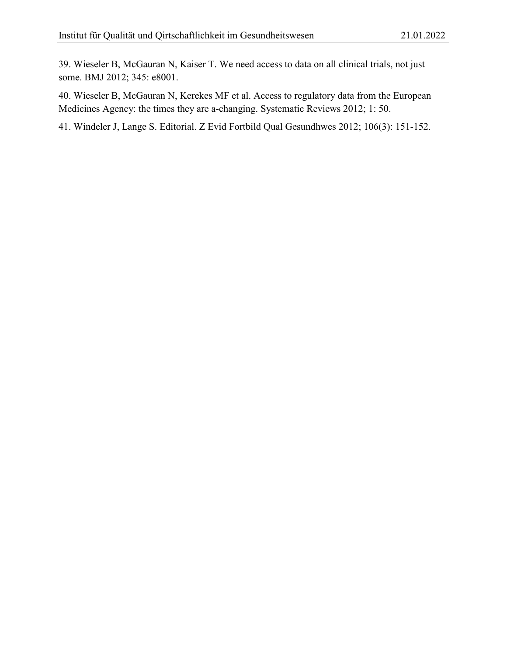39. Wieseler B, McGauran N, Kaiser T. We need access to data on all clinical trials, not just some. BMJ 2012; 345: e8001.

40. Wieseler B, McGauran N, Kerekes MF et al. Access to regulatory data from the European Medicines Agency: the times they are a-changing. Systematic Reviews 2012; 1: 50.

41. Windeler J, Lange S. Editorial. Z Evid Fortbild Qual Gesundhwes 2012; 106(3): 151-152.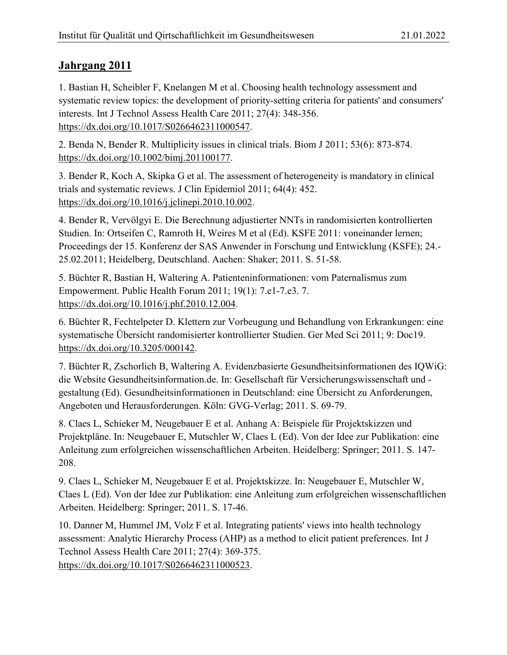<span id="page-21-0"></span>1. Bastian H, Scheibler F, Knelangen M et al. Choosing health technology assessment and systematic review topics: the development of priority-setting criteria for patients' and consumers' interests. Int J Technol Assess Health Care 2011; 27(4): 348-356. [https://dx.doi.org/10.1017/S0266462311000547.](https://dx.doi.org/10.1017/S0266462311000547)

2. Benda N, Bender R. Multiplicity issues in clinical trials. Biom J 2011; 53(6): 873-874. [https://dx.doi.org/10.1002/bimj.201100177.](https://dx.doi.org/10.1002/bimj.201100177)

3. Bender R, Koch A, Skipka G et al. The assessment of heterogeneity is mandatory in clinical trials and systematic reviews. J Clin Epidemiol 2011; 64(4): 452. [https://dx.doi.org/10.1016/j.jclinepi.2010.10.002.](https://dx.doi.org/10.1016/j.jclinepi.2010.10.002)

4. Bender R, Vervölgyi E. Die Berechnung adjustierter NNTs in randomisierten kontrollierten Studien. In: Ortseifen C, Ramroth H, Weires M et al (Ed). KSFE 2011: voneinander lernen; Proceedings der 15. Konferenz der SAS Anwender in Forschung und Entwicklung (KSFE); 24.- 25.02.2011; Heidelberg, Deutschland. Aachen: Shaker; 2011. S. 51-58.

5. Büchter R, Bastian H, Waltering A. Patienteninformationen: vom Paternalismus zum Empowerment. Public Health Forum 2011; 19(1): 7.e1-7.e3. 7. [https://dx.doi.org/10.1016/j.phf.2010.12.004.](https://dx.doi.org/10.1016/j.phf.2010.12.004)

6. Büchter R, Fechtelpeter D. Klettern zur Vorbeugung und Behandlung von Erkrankungen: eine systematische Übersicht randomisierter kontrollierter Studien. Ger Med Sci 2011; 9: Doc19. [https://dx.doi.org/10.3205/000142.](https://dx.doi.org/10.3205/000142)

7. Büchter R, Zschorlich B, Waltering A. Evidenzbasierte Gesundheitsinformationen des IQWiG: die Website Gesundheitsinformation.de. In: Gesellschaft für Versicherungswissenschaft und gestaltung (Ed). Gesundheitsinformationen in Deutschland: eine Übersicht zu Anforderungen, Angeboten und Herausforderungen. Köln: GVG-Verlag; 2011. S. 69-79.

8. Claes L, Schieker M, Neugebauer E et al. Anhang A: Beispiele für Projektskizzen und Projektpläne. In: Neugebauer E, Mutschler W, Claes L (Ed). Von der Idee zur Publikation: eine Anleitung zum erfolgreichen wissenschaftlichen Arbeiten. Heidelberg: Springer; 2011. S. 147- 208.

9. Claes L, Schieker M, Neugebauer E et al. Projektskizze. In: Neugebauer E, Mutschler W, Claes L (Ed). Von der Idee zur Publikation: eine Anleitung zum erfolgreichen wissenschaftlichen Arbeiten. Heidelberg: Springer; 2011. S. 17-46.

10. Danner M, Hummel JM, Volz F et al. Integrating patients' views into health technology assessment: Analytic Hierarchy Process (AHP) as a method to elicit patient preferences. Int J Technol Assess Health Care 2011; 27(4): 369-375.

[https://dx.doi.org/10.1017/S0266462311000523.](https://dx.doi.org/10.1017/S0266462311000523)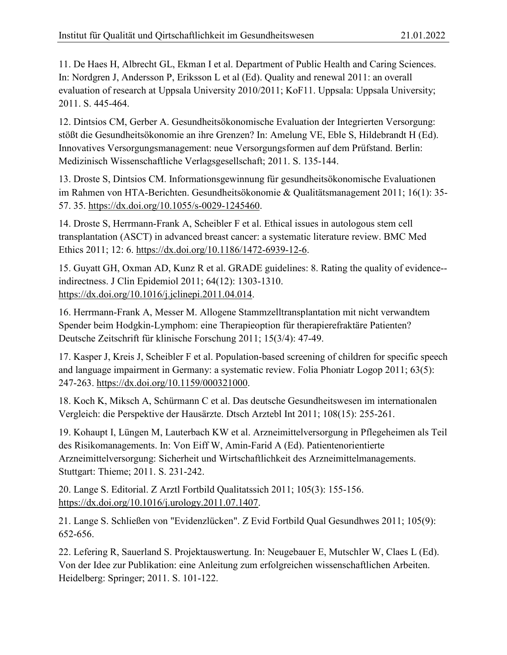11. De Haes H, Albrecht GL, Ekman I et al. Department of Public Health and Caring Sciences. In: Nordgren J, Andersson P, Eriksson L et al (Ed). Quality and renewal 2011: an overall evaluation of research at Uppsala University 2010/2011; KoF11. Uppsala: Uppsala University; 2011. S. 445-464.

12. Dintsios CM, Gerber A. Gesundheitsökonomische Evaluation der Integrierten Versorgung: stößt die Gesundheitsökonomie an ihre Grenzen? In: Amelung VE, Eble S, Hildebrandt H (Ed). Innovatives Versorgungsmanagement: neue Versorgungsformen auf dem Prüfstand. Berlin: Medizinisch Wissenschaftliche Verlagsgesellschaft; 2011. S. 135-144.

13. Droste S, Dintsios CM. Informationsgewinnung für gesundheitsökonomische Evaluationen im Rahmen von HTA-Berichten. Gesundheitsökonomie & Qualitätsmanagement 2011; 16(1): 35- 57. 35. [https://dx.doi.org/10.1055/s-0029-1245460.](https://dx.doi.org/10.1055/s-0029-1245460)

14. Droste S, Herrmann-Frank A, Scheibler F et al. Ethical issues in autologous stem cell transplantation (ASCT) in advanced breast cancer: a systematic literature review. BMC Med Ethics 2011; 12: 6. [https://dx.doi.org/10.1186/1472-6939-12-6.](https://dx.doi.org/10.1186/1472-6939-12-6)

15. Guyatt GH, Oxman AD, Kunz R et al. GRADE guidelines: 8. Rating the quality of evidence- indirectness. J Clin Epidemiol 2011; 64(12): 1303-1310. [https://dx.doi.org/10.1016/j.jclinepi.2011.04.014.](https://dx.doi.org/10.1016/j.jclinepi.2011.04.014)

16. Herrmann-Frank A, Messer M. Allogene Stammzelltransplantation mit nicht verwandtem Spender beim Hodgkin-Lymphom: eine Therapieoption für therapierefraktäre Patienten? Deutsche Zeitschrift für klinische Forschung 2011; 15(3/4): 47-49.

17. Kasper J, Kreis J, Scheibler F et al. Population-based screening of children for specific speech and language impairment in Germany: a systematic review. Folia Phoniatr Logop 2011; 63(5): 247-263. [https://dx.doi.org/10.1159/000321000.](https://dx.doi.org/10.1159/000321000)

18. Koch K, Miksch A, Schürmann C et al. Das deutsche Gesundheitswesen im internationalen Vergleich: die Perspektive der Hausärzte. Dtsch Arztebl Int 2011; 108(15): 255-261.

19. Kohaupt I, Lüngen M, Lauterbach KW et al. Arzneimittelversorgung in Pflegeheimen als Teil des Risikomanagements. In: Von Eiff W, Amin-Farid A (Ed). Patientenorientierte Arzneimittelversorgung: Sicherheit und Wirtschaftlichkeit des Arzneimittelmanagements. Stuttgart: Thieme; 2011. S. 231-242.

20. Lange S. Editorial. Z Arztl Fortbild Qualitatssich 2011; 105(3): 155-156. [https://dx.doi.org/10.1016/j.urology.2011.07.1407.](https://dx.doi.org/10.1016/j.urology.2011.07.1407)

21. Lange S. Schließen von "Evidenzlücken". Z Evid Fortbild Qual Gesundhwes 2011; 105(9): 652-656.

22. Lefering R, Sauerland S. Projektauswertung. In: Neugebauer E, Mutschler W, Claes L (Ed). Von der Idee zur Publikation: eine Anleitung zum erfolgreichen wissenschaftlichen Arbeiten. Heidelberg: Springer; 2011. S. 101-122.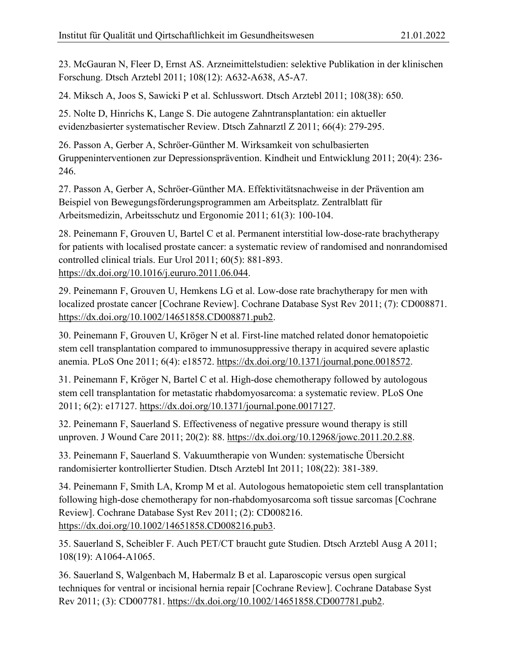23. McGauran N, Fleer D, Ernst AS. Arzneimittelstudien: selektive Publikation in der klinischen Forschung. Dtsch Arztebl 2011; 108(12): A632-A638, A5-A7.

24. Miksch A, Joos S, Sawicki P et al. Schlusswort. Dtsch Arztebl 2011; 108(38): 650.

25. Nolte D, Hinrichs K, Lange S. Die autogene Zahntransplantation: ein aktueller evidenzbasierter systematischer Review. Dtsch Zahnarztl Z 2011; 66(4): 279-295.

26. Passon A, Gerber A, Schröer-Günther M. Wirksamkeit von schulbasierten Gruppeninterventionen zur Depressionsprävention. Kindheit und Entwicklung 2011; 20(4): 236- 246.

27. Passon A, Gerber A, Schröer-Günther MA. Effektivitätsnachweise in der Prävention am Beispiel von Bewegungsförderungsprogrammen am Arbeitsplatz. Zentralblatt für Arbeitsmedizin, Arbeitsschutz und Ergonomie 2011; 61(3): 100-104.

28. Peinemann F, Grouven U, Bartel C et al. Permanent interstitial low-dose-rate brachytherapy for patients with localised prostate cancer: a systematic review of randomised and nonrandomised controlled clinical trials. Eur Urol 2011; 60(5): 881-893. [https://dx.doi.org/10.1016/j.eururo.2011.06.044.](https://dx.doi.org/10.1016/j.eururo.2011.06.044)

29. Peinemann F, Grouven U, Hemkens LG et al. Low-dose rate brachytherapy for men with localized prostate cancer [Cochrane Review]. Cochrane Database Syst Rev 2011; (7): CD008871. [https://dx.doi.org/10.1002/14651858.CD008871.pub2.](https://dx.doi.org/10.1002/14651858.CD008871.pub2)

30. Peinemann F, Grouven U, Kröger N et al. First-line matched related donor hematopoietic stem cell transplantation compared to immunosuppressive therapy in acquired severe aplastic anemia. PLoS One 2011; 6(4): e18572. [https://dx.doi.org/10.1371/journal.pone.0018572.](https://dx.doi.org/10.1371/journal.pone.0018572)

31. Peinemann F, Kröger N, Bartel C et al. High-dose chemotherapy followed by autologous stem cell transplantation for metastatic rhabdomyosarcoma: a systematic review. PLoS One 2011; 6(2): e17127. [https://dx.doi.org/10.1371/journal.pone.0017127.](https://dx.doi.org/10.1371/journal.pone.0017127)

32. Peinemann F, Sauerland S. Effectiveness of negative pressure wound therapy is still unproven. J Wound Care 2011; 20(2): 88. [https://dx.doi.org/10.12968/jowc.2011.20.2.88.](https://dx.doi.org/10.12968/jowc.2011.20.2.88)

33. Peinemann F, Sauerland S. Vakuumtherapie von Wunden: systematische Übersicht randomisierter kontrollierter Studien. Dtsch Arztebl Int 2011; 108(22): 381-389.

34. Peinemann F, Smith LA, Kromp M et al. Autologous hematopoietic stem cell transplantation following high-dose chemotherapy for non-rhabdomyosarcoma soft tissue sarcomas [Cochrane Review]. Cochrane Database Syst Rev 2011; (2): CD008216. [https://dx.doi.org/10.1002/14651858.CD008216.pub3.](https://dx.doi.org/10.1002/14651858.CD008216.pub3)

35. Sauerland S, Scheibler F. Auch PET/CT braucht gute Studien. Dtsch Arztebl Ausg A 2011; 108(19): A1064-A1065.

36. Sauerland S, Walgenbach M, Habermalz B et al. Laparoscopic versus open surgical techniques for ventral or incisional hernia repair [Cochrane Review]. Cochrane Database Syst Rev 2011; (3): CD007781. [https://dx.doi.org/10.1002/14651858.CD007781.pub2.](https://dx.doi.org/10.1002/14651858.CD007781.pub2)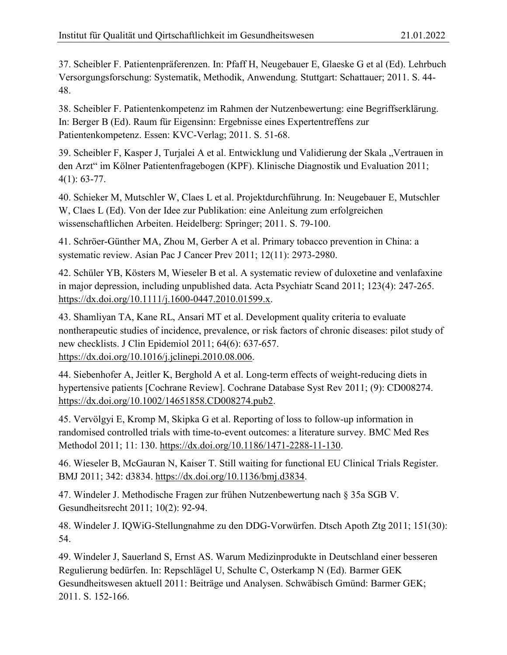37. Scheibler F. Patientenpräferenzen. In: Pfaff H, Neugebauer E, Glaeske G et al (Ed). Lehrbuch Versorgungsforschung: Systematik, Methodik, Anwendung. Stuttgart: Schattauer; 2011. S. 44- 48.

38. Scheibler F. Patientenkompetenz im Rahmen der Nutzenbewertung: eine Begriffserklärung. In: Berger B (Ed). Raum für Eigensinn: Ergebnisse eines Expertentreffens zur Patientenkompetenz. Essen: KVC-Verlag; 2011. S. 51-68.

39. Scheibler F, Kasper J, Turjalei A et al. Entwicklung und Validierung der Skala "Vertrauen in den Arzt" im Kölner Patientenfragebogen (KPF). Klinische Diagnostik und Evaluation 2011; 4(1): 63-77.

40. Schieker M, Mutschler W, Claes L et al. Projektdurchführung. In: Neugebauer E, Mutschler W, Claes L (Ed). Von der Idee zur Publikation: eine Anleitung zum erfolgreichen wissenschaftlichen Arbeiten. Heidelberg: Springer; 2011. S. 79-100.

41. Schröer-Günther MA, Zhou M, Gerber A et al. Primary tobacco prevention in China: a systematic review. Asian Pac J Cancer Prev 2011; 12(11): 2973-2980.

42. Schüler YB, Kösters M, Wieseler B et al. A systematic review of duloxetine and venlafaxine in major depression, including unpublished data. Acta Psychiatr Scand 2011; 123(4): 247-265. [https://dx.doi.org/10.1111/j.1600-0447.2010.01599.x.](https://dx.doi.org/10.1111/j.1600-0447.2010.01599.x)

43. Shamliyan TA, Kane RL, Ansari MT et al. Development quality criteria to evaluate nontherapeutic studies of incidence, prevalence, or risk factors of chronic diseases: pilot study of new checklists. J Clin Epidemiol 2011; 64(6): 637-657. [https://dx.doi.org/10.1016/j.jclinepi.2010.08.006.](https://dx.doi.org/10.1016/j.jclinepi.2010.08.006)

44. Siebenhofer A, Jeitler K, Berghold A et al. Long-term effects of weight-reducing diets in hypertensive patients [Cochrane Review]. Cochrane Database Syst Rev 2011; (9): CD008274. [https://dx.doi.org/10.1002/14651858.CD008274.pub2.](https://dx.doi.org/10.1002/14651858.CD008274.pub2)

45. Vervölgyi E, Kromp M, Skipka G et al. Reporting of loss to follow-up information in randomised controlled trials with time-to-event outcomes: a literature survey. BMC Med Res Methodol 2011; 11: 130. [https://dx.doi.org/10.1186/1471-2288-11-130.](https://dx.doi.org/10.1186/1471-2288-11-130)

46. Wieseler B, McGauran N, Kaiser T. Still waiting for functional EU Clinical Trials Register. BMJ 2011; 342: d3834. [https://dx.doi.org/10.1136/bmj.d3834.](https://dx.doi.org/10.1136/bmj.d3834)

47. Windeler J. Methodische Fragen zur frühen Nutzenbewertung nach § 35a SGB V. Gesundheitsrecht 2011; 10(2): 92-94.

48. Windeler J. IQWiG-Stellungnahme zu den DDG-Vorwürfen. Dtsch Apoth Ztg 2011; 151(30): 54.

49. Windeler J, Sauerland S, Ernst AS. Warum Medizinprodukte in Deutschland einer besseren Regulierung bedürfen. In: Repschlägel U, Schulte C, Osterkamp N (Ed). Barmer GEK Gesundheitswesen aktuell 2011: Beiträge und Analysen. Schwäbisch Gmünd: Barmer GEK; 2011. S. 152-166.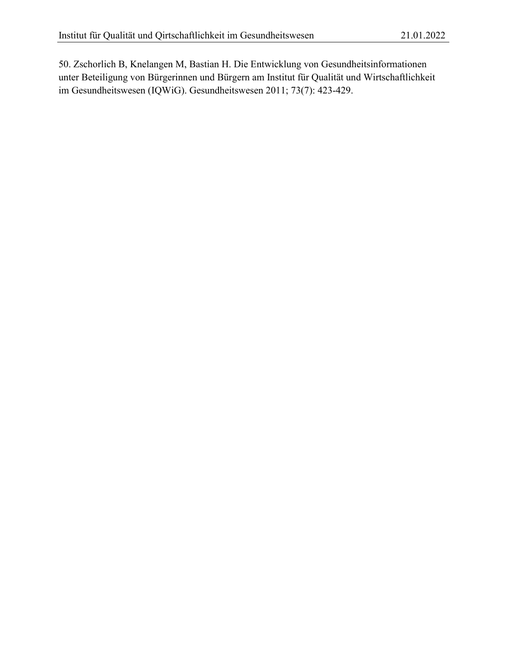50. Zschorlich B, Knelangen M, Bastian H. Die Entwicklung von Gesundheitsinformationen unter Beteiligung von Bürgerinnen und Bürgern am Institut für Qualität und Wirtschaftlichkeit im Gesundheitswesen (IQWiG). Gesundheitswesen 2011; 73(7): 423-429.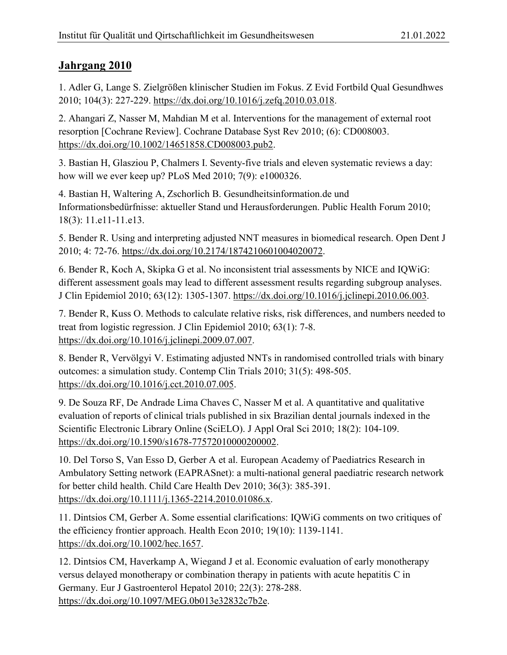<span id="page-26-0"></span>1. Adler G, Lange S. Zielgrößen klinischer Studien im Fokus. Z Evid Fortbild Qual Gesundhwes 2010; 104(3): 227-229. [https://dx.doi.org/10.1016/j.zefq.2010.03.018.](https://dx.doi.org/10.1016/j.zefq.2010.03.018)

2. Ahangari Z, Nasser M, Mahdian M et al. Interventions for the management of external root resorption [Cochrane Review]. Cochrane Database Syst Rev 2010; (6): CD008003. [https://dx.doi.org/10.1002/14651858.CD008003.pub2.](https://dx.doi.org/10.1002/14651858.CD008003.pub2)

3. Bastian H, Glasziou P, Chalmers I. Seventy-five trials and eleven systematic reviews a day: how will we ever keep up? PLoS Med 2010; 7(9): e1000326.

4. Bastian H, Waltering A, Zschorlich B. Gesundheitsinformation.de und Informationsbedürfnisse: aktueller Stand und Herausforderungen. Public Health Forum 2010; 18(3): 11.e11-11.e13.

5. Bender R. Using and interpreting adjusted NNT measures in biomedical research. Open Dent J 2010; 4: 72-76. [https://dx.doi.org/10.2174/1874210601004020072.](https://dx.doi.org/10.2174/1874210601004020072)

6. Bender R, Koch A, Skipka G et al. No inconsistent trial assessments by NICE and IQWiG: different assessment goals may lead to different assessment results regarding subgroup analyses. J Clin Epidemiol 2010; 63(12): 1305-1307. [https://dx.doi.org/10.1016/j.jclinepi.2010.06.003.](https://dx.doi.org/10.1016/j.jclinepi.2010.06.003)

7. Bender R, Kuss O. Methods to calculate relative risks, risk differences, and numbers needed to treat from logistic regression. J Clin Epidemiol 2010; 63(1): 7-8. [https://dx.doi.org/10.1016/j.jclinepi.2009.07.007.](https://dx.doi.org/10.1016/j.jclinepi.2009.07.007)

8. Bender R, Vervölgyi V. Estimating adjusted NNTs in randomised controlled trials with binary outcomes: a simulation study. Contemp Clin Trials 2010; 31(5): 498-505. [https://dx.doi.org/10.1016/j.cct.2010.07.005.](https://dx.doi.org/10.1016/j.cct.2010.07.005)

9. De Souza RF, De Andrade Lima Chaves C, Nasser M et al. A quantitative and qualitative evaluation of reports of clinical trials published in six Brazilian dental journals indexed in the Scientific Electronic Library Online (SciELO). J Appl Oral Sci 2010; 18(2): 104-109. [https://dx.doi.org/10.1590/s1678-77572010000200002.](https://dx.doi.org/10.1590/s1678-77572010000200002)

10. Del Torso S, Van Esso D, Gerber A et al. European Academy of Paediatrics Research in Ambulatory Setting network (EAPRASnet): a multi-national general paediatric research network for better child health. Child Care Health Dev 2010; 36(3): 385-391. [https://dx.doi.org/10.1111/j.1365-2214.2010.01086.x.](https://dx.doi.org/10.1111/j.1365-2214.2010.01086.x)

11. Dintsios CM, Gerber A. Some essential clarifications: IQWiG comments on two critiques of the efficiency frontier approach. Health Econ 2010; 19(10): 1139-1141. [https://dx.doi.org/10.1002/hec.1657.](https://dx.doi.org/10.1002/hec.1657)

12. Dintsios CM, Haverkamp A, Wiegand J et al. Economic evaluation of early monotherapy versus delayed monotherapy or combination therapy in patients with acute hepatitis C in Germany. Eur J Gastroenterol Hepatol 2010; 22(3): 278-288. [https://dx.doi.org/10.1097/MEG.0b013e32832c7b2e.](https://dx.doi.org/10.1097/MEG.0b013e32832c7b2e)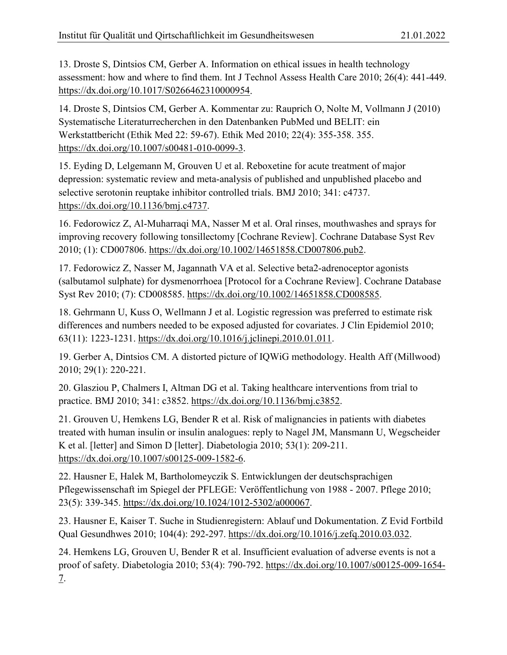13. Droste S, Dintsios CM, Gerber A. Information on ethical issues in health technology assessment: how and where to find them. Int J Technol Assess Health Care 2010; 26(4): 441-449. [https://dx.doi.org/10.1017/S0266462310000954.](https://dx.doi.org/10.1017/S0266462310000954)

14. Droste S, Dintsios CM, Gerber A. Kommentar zu: Rauprich O, Nolte M, Vollmann J (2010) Systematische Literaturrecherchen in den Datenbanken PubMed und BELIT: ein Werkstattbericht (Ethik Med 22: 59-67). Ethik Med 2010; 22(4): 355-358. 355. [https://dx.doi.org/10.1007/s00481-010-0099-3.](https://dx.doi.org/10.1007/s00481-010-0099-3)

15. Eyding D, Lelgemann M, Grouven U et al. Reboxetine for acute treatment of major depression: systematic review and meta-analysis of published and unpublished placebo and selective serotonin reuptake inhibitor controlled trials. BMJ 2010; 341: c4737. [https://dx.doi.org/10.1136/bmj.c4737.](https://dx.doi.org/10.1136/bmj.c4737)

16. Fedorowicz Z, Al-Muharraqi MA, Nasser M et al. Oral rinses, mouthwashes and sprays for improving recovery following tonsillectomy [Cochrane Review]. Cochrane Database Syst Rev 2010; (1): CD007806. [https://dx.doi.org/10.1002/14651858.CD007806.pub2.](https://dx.doi.org/10.1002/14651858.CD007806.pub2)

17. Fedorowicz Z, Nasser M, Jagannath VA et al. Selective beta2-adrenoceptor agonists (salbutamol sulphate) for dysmenorrhoea [Protocol for a Cochrane Review]. Cochrane Database Syst Rev 2010; (7): CD008585. [https://dx.doi.org/10.1002/14651858.CD008585.](https://dx.doi.org/10.1002/14651858.CD008585)

18. Gehrmann U, Kuss O, Wellmann J et al. Logistic regression was preferred to estimate risk differences and numbers needed to be exposed adjusted for covariates. J Clin Epidemiol 2010; 63(11): 1223-1231. [https://dx.doi.org/10.1016/j.jclinepi.2010.01.011.](https://dx.doi.org/10.1016/j.jclinepi.2010.01.011)

19. Gerber A, Dintsios CM. A distorted picture of IQWiG methodology. Health Aff (Millwood) 2010; 29(1): 220-221.

20. Glasziou P, Chalmers I, Altman DG et al. Taking healthcare interventions from trial to practice. BMJ 2010; 341: c3852. [https://dx.doi.org/10.1136/bmj.c3852.](https://dx.doi.org/10.1136/bmj.c3852)

21. Grouven U, Hemkens LG, Bender R et al. Risk of malignancies in patients with diabetes treated with human insulin or insulin analogues: reply to Nagel JM, Mansmann U, Wegscheider K et al. [letter] and Simon D [letter]. Diabetologia 2010; 53(1): 209-211. [https://dx.doi.org/10.1007/s00125-009-1582-6.](https://dx.doi.org/10.1007/s00125-009-1582-6)

22. Hausner E, Halek M, Bartholomeyczik S. Entwicklungen der deutschsprachigen Pflegewissenschaft im Spiegel der PFLEGE: Veröffentlichung von 1988 - 2007. Pflege 2010; 23(5): 339-345. [https://dx.doi.org/10.1024/1012-5302/a000067.](https://dx.doi.org/10.1024/1012-5302/a000067)

23. Hausner E, Kaiser T. Suche in Studienregistern: Ablauf und Dokumentation. Z Evid Fortbild Qual Gesundhwes 2010; 104(4): 292-297. [https://dx.doi.org/10.1016/j.zefq.2010.03.032.](https://dx.doi.org/10.1016/j.zefq.2010.03.032)

24. Hemkens LG, Grouven U, Bender R et al. Insufficient evaluation of adverse events is not a proof of safety. Diabetologia 2010; 53(4): 790-792. [https://dx.doi.org/10.1007/s00125-009-1654-](https://dx.doi.org/10.1007/s00125-009-1654-7) [7.](https://dx.doi.org/10.1007/s00125-009-1654-7)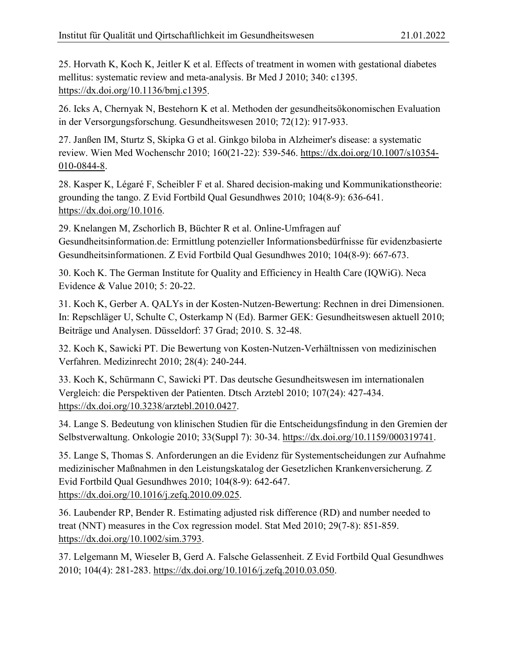25. Horvath K, Koch K, Jeitler K et al. Effects of treatment in women with gestational diabetes mellitus: systematic review and meta-analysis. Br Med J 2010; 340: c1395. [https://dx.doi.org/10.1136/bmj.c1395.](https://dx.doi.org/10.1136/bmj.c1395)

26. Icks A, Chernyak N, Bestehorn K et al. Methoden der gesundheitsökonomischen Evaluation in der Versorgungsforschung. Gesundheitswesen 2010; 72(12): 917-933.

27. Janßen IM, Sturtz S, Skipka G et al. Ginkgo biloba in Alzheimer's disease: a systematic review. Wien Med Wochenschr 2010; 160(21-22): 539-546. [https://dx.doi.org/10.1007/s10354-](https://dx.doi.org/10.1007/s10354-010-0844-8) [010-0844-8.](https://dx.doi.org/10.1007/s10354-010-0844-8)

28. Kasper K, Légaré F, Scheibler F et al. Shared decision-making und Kommunikationstheorie: grounding the tango. Z Evid Fortbild Qual Gesundhwes 2010; 104(8-9): 636-641. [https://dx.doi.org/10.1016.](https://dx.doi.org/10.1016)

29. Knelangen M, Zschorlich B, Büchter R et al. Online-Umfragen auf Gesundheitsinformation.de: Ermittlung potenzieller Informationsbedürfnisse für evidenzbasierte Gesundheitsinformationen. Z Evid Fortbild Qual Gesundhwes 2010; 104(8-9): 667-673.

30. Koch K. The German Institute for Quality and Efficiency in Health Care (IQWiG). Neca Evidence & Value 2010; 5: 20-22.

31. Koch K, Gerber A. QALYs in der Kosten-Nutzen-Bewertung: Rechnen in drei Dimensionen. In: Repschläger U, Schulte C, Osterkamp N (Ed). Barmer GEK: Gesundheitswesen aktuell 2010; Beiträge und Analysen. Düsseldorf: 37 Grad; 2010. S. 32-48.

32. Koch K, Sawicki PT. Die Bewertung von Kosten-Nutzen-Verhältnissen von medizinischen Verfahren. Medizinrecht 2010; 28(4): 240-244.

33. Koch K, Schürmann C, Sawicki PT. Das deutsche Gesundheitswesen im internationalen Vergleich: die Perspektiven der Patienten. Dtsch Arztebl 2010; 107(24): 427-434. [https://dx.doi.org/10.3238/arztebl.2010.0427.](https://dx.doi.org/10.3238/arztebl.2010.0427)

34. Lange S. Bedeutung von klinischen Studien für die Entscheidungsfindung in den Gremien der Selbstverwaltung. Onkologie 2010; 33(Suppl 7): 30-34. [https://dx.doi.org/10.1159/000319741.](https://dx.doi.org/10.1159/000319741)

35. Lange S, Thomas S. Anforderungen an die Evidenz für Systementscheidungen zur Aufnahme medizinischer Maßnahmen in den Leistungskatalog der Gesetzlichen Krankenversicherung. Z Evid Fortbild Qual Gesundhwes 2010; 104(8-9): 642-647. [https://dx.doi.org/10.1016/j.zefq.2010.09.025.](https://dx.doi.org/10.1016/j.zefq.2010.09.025)

36. Laubender RP, Bender R. Estimating adjusted risk difference (RD) and number needed to treat (NNT) measures in the Cox regression model. Stat Med 2010; 29(7-8): 851-859. [https://dx.doi.org/10.1002/sim.3793.](https://dx.doi.org/10.1002/sim.3793)

37. Lelgemann M, Wieseler B, Gerd A. Falsche Gelassenheit. Z Evid Fortbild Qual Gesundhwes 2010; 104(4): 281-283. [https://dx.doi.org/10.1016/j.zefq.2010.03.050.](https://dx.doi.org/10.1016/j.zefq.2010.03.050)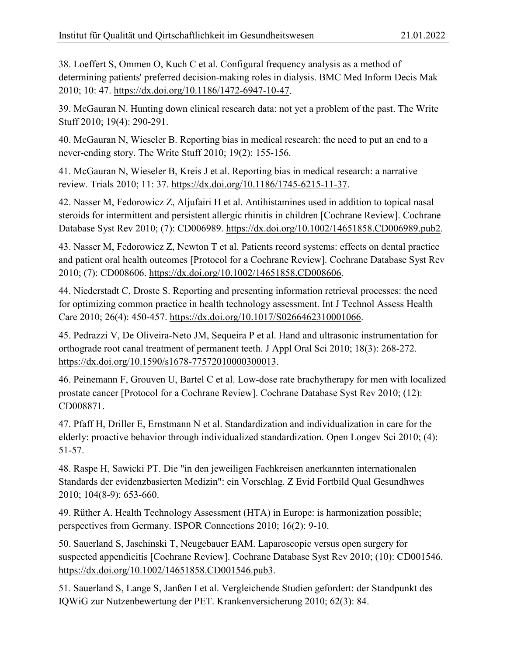38. Loeffert S, Ommen O, Kuch C et al. Configural frequency analysis as a method of determining patients' preferred decision-making roles in dialysis. BMC Med Inform Decis Mak 2010; 10: 47. [https://dx.doi.org/10.1186/1472-6947-10-47.](https://dx.doi.org/10.1186/1472-6947-10-47)

39. McGauran N. Hunting down clinical research data: not yet a problem of the past. The Write Stuff 2010; 19(4): 290-291.

40. McGauran N, Wieseler B. Reporting bias in medical research: the need to put an end to a never-ending story. The Write Stuff 2010; 19(2): 155-156.

41. McGauran N, Wieseler B, Kreis J et al. Reporting bias in medical research: a narrative review. Trials 2010; 11: 37. [https://dx.doi.org/10.1186/1745-6215-11-37.](https://dx.doi.org/10.1186/1745-6215-11-37)

42. Nasser M, Fedorowicz Z, Aljufairi H et al. Antihistamines used in addition to topical nasal steroids for intermittent and persistent allergic rhinitis in children [Cochrane Review]. Cochrane Database Syst Rev 2010; (7): CD006989. [https://dx.doi.org/10.1002/14651858.CD006989.pub2.](https://dx.doi.org/10.1002/14651858.CD006989.pub2)

43. Nasser M, Fedorowicz Z, Newton T et al. Patients record systems: effects on dental practice and patient oral health outcomes [Protocol for a Cochrane Review]. Cochrane Database Syst Rev 2010; (7): CD008606. [https://dx.doi.org/10.1002/14651858.CD008606.](https://dx.doi.org/10.1002/14651858.CD008606)

44. Niederstadt C, Droste S. Reporting and presenting information retrieval processes: the need for optimizing common practice in health technology assessment. Int J Technol Assess Health Care 2010; 26(4): 450-457. [https://dx.doi.org/10.1017/S0266462310001066.](https://dx.doi.org/10.1017/S0266462310001066)

45. Pedrazzi V, De Oliveira-Neto JM, Sequeira P et al. Hand and ultrasonic instrumentation for orthograde root canal treatment of permanent teeth. J Appl Oral Sci 2010; 18(3): 268-272. [https://dx.doi.org/10.1590/s1678-77572010000300013.](https://dx.doi.org/10.1590/s1678-77572010000300013)

46. Peinemann F, Grouven U, Bartel C et al. Low-dose rate brachytherapy for men with localized prostate cancer [Protocol for a Cochrane Review]. Cochrane Database Syst Rev 2010; (12): CD008871.

47. Pfaff H, Driller E, Ernstmann N et al. Standardization and individualization in care for the elderly: proactive behavior through individualized standardization. Open Longev Sci 2010; (4): 51-57.

48. Raspe H, Sawicki PT. Die "in den jeweiligen Fachkreisen anerkannten internationalen Standards der evidenzbasierten Medizin": ein Vorschlag. Z Evid Fortbild Qual Gesundhwes 2010; 104(8-9): 653-660.

49. Rüther A. Health Technology Assessment (HTA) in Europe: is harmonization possible; perspectives from Germany. ISPOR Connections 2010; 16(2): 9-10.

50. Sauerland S, Jaschinski T, Neugebauer EAM. Laparoscopic versus open surgery for suspected appendicitis [Cochrane Review]. Cochrane Database Syst Rev 2010; (10): CD001546. [https://dx.doi.org/10.1002/14651858.CD001546.pub3.](https://dx.doi.org/10.1002/14651858.CD001546.pub3)

51. Sauerland S, Lange S, Janßen I et al. Vergleichende Studien gefordert: der Standpunkt des IQWiG zur Nutzenbewertung der PET. Krankenversicherung 2010; 62(3): 84.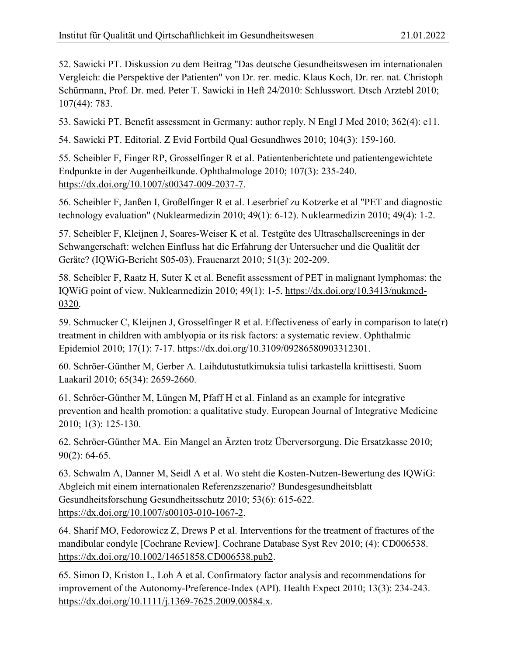52. Sawicki PT. Diskussion zu dem Beitrag "Das deutsche Gesundheitswesen im internationalen Vergleich: die Perspektive der Patienten" von Dr. rer. medic. Klaus Koch, Dr. rer. nat. Christoph Schürmann, Prof. Dr. med. Peter T. Sawicki in Heft 24/2010: Schlusswort. Dtsch Arztebl 2010; 107(44): 783.

53. Sawicki PT. Benefit assessment in Germany: author reply. N Engl J Med 2010; 362(4): e11.

54. Sawicki PT. Editorial. Z Evid Fortbild Qual Gesundhwes 2010; 104(3): 159-160.

55. Scheibler F, Finger RP, Grosselfinger R et al. Patientenberichtete und patientengewichtete Endpunkte in der Augenheilkunde. Ophthalmologe 2010; 107(3): 235-240. [https://dx.doi.org/10.1007/s00347-009-2037-7.](https://dx.doi.org/10.1007/s00347-009-2037-7)

56. Scheibler F, Janßen I, Großelfinger R et al. Leserbrief zu Kotzerke et al "PET and diagnostic technology evaluation" (Nuklearmedizin 2010; 49(1): 6-12). Nuklearmedizin 2010; 49(4): 1-2.

57. Scheibler F, Kleijnen J, Soares-Weiser K et al. Testgüte des Ultraschallscreenings in der Schwangerschaft: welchen Einfluss hat die Erfahrung der Untersucher und die Qualität der Geräte? (IQWiG-Bericht S05-03). Frauenarzt 2010; 51(3): 202-209.

58. Scheibler F, Raatz H, Suter K et al. Benefit assessment of PET in malignant lymphomas: the IQWiG point of view. Nuklearmedizin 2010; 49(1): 1-5. [https://dx.doi.org/10.3413/nukmed-](https://dx.doi.org/10.3413/nukmed-0320)[0320.](https://dx.doi.org/10.3413/nukmed-0320)

59. Schmucker C, Kleijnen J, Grosselfinger R et al. Effectiveness of early in comparison to late(r) treatment in children with amblyopia or its risk factors: a systematic review. Ophthalmic Epidemiol 2010; 17(1): 7-17. [https://dx.doi.org/10.3109/09286580903312301.](https://dx.doi.org/10.3109/09286580903312301)

60. Schröer-Günther M, Gerber A. Laihdutustutkimuksia tulisi tarkastella kriittisesti. Suom Laakaril 2010; 65(34): 2659-2660.

61. Schröer-Günther M, Lüngen M, Pfaff H et al. Finland as an example for integrative prevention and health promotion: a qualitative study. European Journal of Integrative Medicine 2010; 1(3): 125-130.

62. Schröer-Günther MA. Ein Mangel an Ärzten trotz Überversorgung. Die Ersatzkasse 2010; 90(2): 64-65.

63. Schwalm A, Danner M, Seidl A et al. Wo steht die Kosten-Nutzen-Bewertung des IQWiG: Abgleich mit einem internationalen Referenzszenario? Bundesgesundheitsblatt Gesundheitsforschung Gesundheitsschutz 2010; 53(6): 615-622. [https://dx.doi.org/10.1007/s00103-010-1067-2.](https://dx.doi.org/10.1007/s00103-010-1067-2)

64. Sharif MO, Fedorowicz Z, Drews P et al. Interventions for the treatment of fractures of the mandibular condyle [Cochrane Review]. Cochrane Database Syst Rev 2010; (4): CD006538. [https://dx.doi.org/10.1002/14651858.CD006538.pub2.](https://dx.doi.org/10.1002/14651858.CD006538.pub2)

65. Simon D, Kriston L, Loh A et al. Confirmatory factor analysis and recommendations for improvement of the Autonomy-Preference-Index (API). Health Expect 2010; 13(3): 234-243. [https://dx.doi.org/10.1111/j.1369-7625.2009.00584.x.](https://dx.doi.org/10.1111/j.1369-7625.2009.00584.x)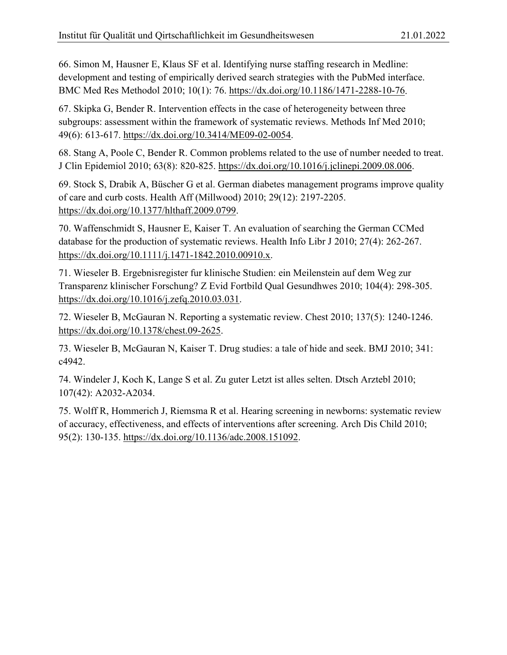66. Simon M, Hausner E, Klaus SF et al. Identifying nurse staffing research in Medline: development and testing of empirically derived search strategies with the PubMed interface. BMC Med Res Methodol 2010; 10(1): 76. [https://dx.doi.org/10.1186/1471-2288-10-76.](https://dx.doi.org/10.1186/1471-2288-10-76)

67. Skipka G, Bender R. Intervention effects in the case of heterogeneity between three subgroups: assessment within the framework of systematic reviews. Methods Inf Med 2010; 49(6): 613-617. [https://dx.doi.org/10.3414/ME09-02-0054.](https://dx.doi.org/10.3414/ME09-02-0054)

68. Stang A, Poole C, Bender R. Common problems related to the use of number needed to treat. J Clin Epidemiol 2010; 63(8): 820-825. [https://dx.doi.org/10.1016/j.jclinepi.2009.08.006.](https://dx.doi.org/10.1016/j.jclinepi.2009.08.006)

69. Stock S, Drabik A, Büscher G et al. German diabetes management programs improve quality of care and curb costs. Health Aff (Millwood) 2010; 29(12): 2197-2205. [https://dx.doi.org/10.1377/hlthaff.2009.0799.](https://dx.doi.org/10.1377/hlthaff.2009.0799)

70. Waffenschmidt S, Hausner E, Kaiser T. An evaluation of searching the German CCMed database for the production of systematic reviews. Health Info Libr J 2010; 27(4): 262-267. [https://dx.doi.org/10.1111/j.1471-1842.2010.00910.x.](https://dx.doi.org/10.1111/j.1471-1842.2010.00910.x)

71. Wieseler B. Ergebnisregister fur klinische Studien: ein Meilenstein auf dem Weg zur Transparenz klinischer Forschung? Z Evid Fortbild Qual Gesundhwes 2010; 104(4): 298-305. [https://dx.doi.org/10.1016/j.zefq.2010.03.031.](https://dx.doi.org/10.1016/j.zefq.2010.03.031)

72. Wieseler B, McGauran N. Reporting a systematic review. Chest 2010; 137(5): 1240-1246. [https://dx.doi.org/10.1378/chest.09-2625.](https://dx.doi.org/10.1378/chest.09-2625)

73. Wieseler B, McGauran N, Kaiser T. Drug studies: a tale of hide and seek. BMJ 2010; 341: c4942.

74. Windeler J, Koch K, Lange S et al. Zu guter Letzt ist alles selten. Dtsch Arztebl 2010; 107(42): A2032-A2034.

75. Wolff R, Hommerich J, Riemsma R et al. Hearing screening in newborns: systematic review of accuracy, effectiveness, and effects of interventions after screening. Arch Dis Child 2010; 95(2): 130-135. [https://dx.doi.org/10.1136/adc.2008.151092.](https://dx.doi.org/10.1136/adc.2008.151092)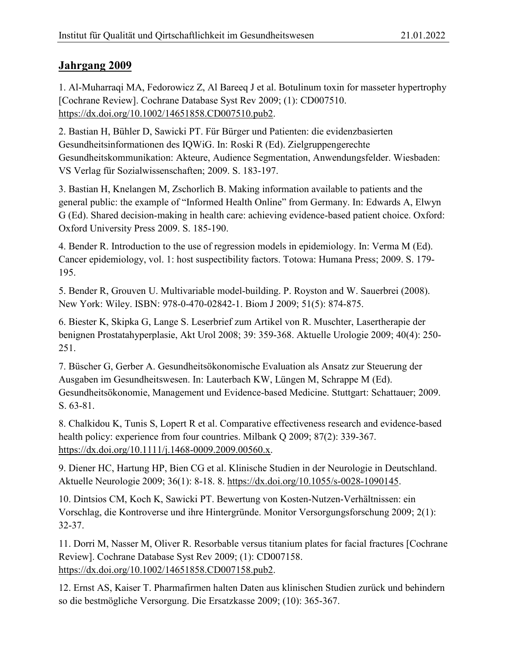<span id="page-32-0"></span>1. Al-Muharraqi MA, Fedorowicz Z, Al Bareeq J et al. Botulinum toxin for masseter hypertrophy [Cochrane Review]. Cochrane Database Syst Rev 2009; (1): CD007510. [https://dx.doi.org/10.1002/14651858.CD007510.pub2.](https://dx.doi.org/10.1002/14651858.CD007510.pub2)

2. Bastian H, Bühler D, Sawicki PT. Für Bürger und Patienten: die evidenzbasierten Gesundheitsinformationen des IQWiG. In: Roski R (Ed). Zielgruppengerechte Gesundheitskommunikation: Akteure, Audience Segmentation, Anwendungsfelder. Wiesbaden: VS Verlag für Sozialwissenschaften; 2009. S. 183-197.

3. Bastian H, Knelangen M, Zschorlich B. Making information available to patients and the general public: the example of "Informed Health Online" from Germany. In: Edwards A, Elwyn G (Ed). Shared decision-making in health care: achieving evidence-based patient choice. Oxford: Oxford University Press 2009. S. 185-190.

4. Bender R. Introduction to the use of regression models in epidemiology. In: Verma M (Ed). Cancer epidemiology, vol. 1: host suspectibility factors. Totowa: Humana Press; 2009. S. 179- 195.

5. Bender R, Grouven U. Multivariable model-building. P. Royston and W. Sauerbrei (2008). New York: Wiley. ISBN: 978-0-470-02842-1. Biom J 2009; 51(5): 874-875.

6. Biester K, Skipka G, Lange S. Leserbrief zum Artikel von R. Muschter, Lasertherapie der benignen Prostatahyperplasie, Akt Urol 2008; 39: 359-368. Aktuelle Urologie 2009; 40(4): 250- 251.

7. Büscher G, Gerber A. Gesundheitsökonomische Evaluation als Ansatz zur Steuerung der Ausgaben im Gesundheitswesen. In: Lauterbach KW, Lüngen M, Schrappe M (Ed). Gesundheitsökonomie, Management und Evidence-based Medicine. Stuttgart: Schattauer; 2009. S. 63-81.

8. Chalkidou K, Tunis S, Lopert R et al. Comparative effectiveness research and evidence-based health policy: experience from four countries. Milbank Q 2009; 87(2): 339-367. [https://dx.doi.org/10.1111/j.1468-0009.2009.00560.x.](https://dx.doi.org/10.1111/j.1468-0009.2009.00560.x)

9. Diener HC, Hartung HP, Bien CG et al. Klinische Studien in der Neurologie in Deutschland. Aktuelle Neurologie 2009; 36(1): 8-18. 8. [https://dx.doi.org/10.1055/s-0028-1090145.](https://dx.doi.org/10.1055/s-0028-1090145)

10. Dintsios CM, Koch K, Sawicki PT. Bewertung von Kosten-Nutzen-Verhältnissen: ein Vorschlag, die Kontroverse und ihre Hintergründe. Monitor Versorgungsforschung 2009; 2(1): 32-37.

11. Dorri M, Nasser M, Oliver R. Resorbable versus titanium plates for facial fractures [Cochrane Review]. Cochrane Database Syst Rev 2009; (1): CD007158. [https://dx.doi.org/10.1002/14651858.CD007158.pub2.](https://dx.doi.org/10.1002/14651858.CD007158.pub2)

12. Ernst AS, Kaiser T. Pharmafirmen halten Daten aus klinischen Studien zurück und behindern so die bestmögliche Versorgung. Die Ersatzkasse 2009; (10): 365-367.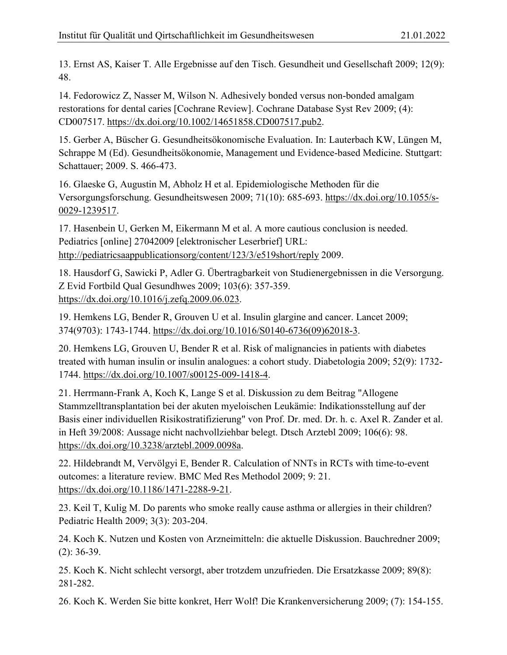13. Ernst AS, Kaiser T. Alle Ergebnisse auf den Tisch. Gesundheit und Gesellschaft 2009; 12(9): 48.

14. Fedorowicz Z, Nasser M, Wilson N. Adhesively bonded versus non-bonded amalgam restorations for dental caries [Cochrane Review]. Cochrane Database Syst Rev 2009; (4): CD007517. [https://dx.doi.org/10.1002/14651858.CD007517.pub2.](https://dx.doi.org/10.1002/14651858.CD007517.pub2)

15. Gerber A, Büscher G. Gesundheitsökonomische Evaluation. In: Lauterbach KW, Lüngen M, Schrappe M (Ed). Gesundheitsökonomie, Management und Evidence-based Medicine. Stuttgart: Schattauer; 2009. S. 466-473.

16. Glaeske G, Augustin M, Abholz H et al. Epidemiologische Methoden für die Versorgungsforschung. Gesundheitswesen 2009; 71(10): 685-693. [https://dx.doi.org/10.1055/s-](https://dx.doi.org/10.1055/s-0029-1239517)[0029-1239517.](https://dx.doi.org/10.1055/s-0029-1239517)

17. Hasenbein U, Gerken M, Eikermann M et al. A more cautious conclusion is needed. Pediatrics [online] 27042009 [elektronischer Leserbrief] URL: <http://pediatricsaappublicationsorg/content/123/3/e519short/reply> 2009.

18. Hausdorf G, Sawicki P, Adler G. Übertragbarkeit von Studienergebnissen in die Versorgung. Z Evid Fortbild Qual Gesundhwes 2009; 103(6): 357-359. [https://dx.doi.org/10.1016/j.zefq.2009.06.023.](https://dx.doi.org/10.1016/j.zefq.2009.06.023)

19. Hemkens LG, Bender R, Grouven U et al. Insulin glargine and cancer. Lancet 2009; 374(9703): 1743-1744. [https://dx.doi.org/10.1016/S0140-6736\(09\)62018-3.](https://dx.doi.org/10.1016/S0140-6736(09)62018-3)

20. Hemkens LG, Grouven U, Bender R et al. Risk of malignancies in patients with diabetes treated with human insulin or insulin analogues: a cohort study. Diabetologia 2009; 52(9): 1732- 1744. [https://dx.doi.org/10.1007/s00125-009-1418-4.](https://dx.doi.org/10.1007/s00125-009-1418-4)

21. Herrmann-Frank A, Koch K, Lange S et al. Diskussion zu dem Beitrag "Allogene Stammzelltransplantation bei der akuten myeloischen Leukämie: Indikationsstellung auf der Basis einer individuellen Risikostratifizierung" von Prof. Dr. med. Dr. h. c. Axel R. Zander et al. in Heft 39/2008: Aussage nicht nachvollziehbar belegt. Dtsch Arztebl 2009; 106(6): 98. [https://dx.doi.org/10.3238/arztebl.2009.0098a.](https://dx.doi.org/10.3238/arztebl.2009.0098a)

22. Hildebrandt M, Vervölgyi E, Bender R. Calculation of NNTs in RCTs with time-to-event outcomes: a literature review. BMC Med Res Methodol 2009; 9: 21. [https://dx.doi.org/10.1186/1471-2288-9-21.](https://dx.doi.org/10.1186/1471-2288-9-21)

23. Keil T, Kulig M. Do parents who smoke really cause asthma or allergies in their children? Pediatric Health 2009; 3(3): 203-204.

24. Koch K. Nutzen und Kosten von Arzneimitteln: die aktuelle Diskussion. Bauchredner 2009; (2): 36-39.

25. Koch K. Nicht schlecht versorgt, aber trotzdem unzufrieden. Die Ersatzkasse 2009; 89(8): 281-282.

26. Koch K. Werden Sie bitte konkret, Herr Wolf! Die Krankenversicherung 2009; (7): 154-155.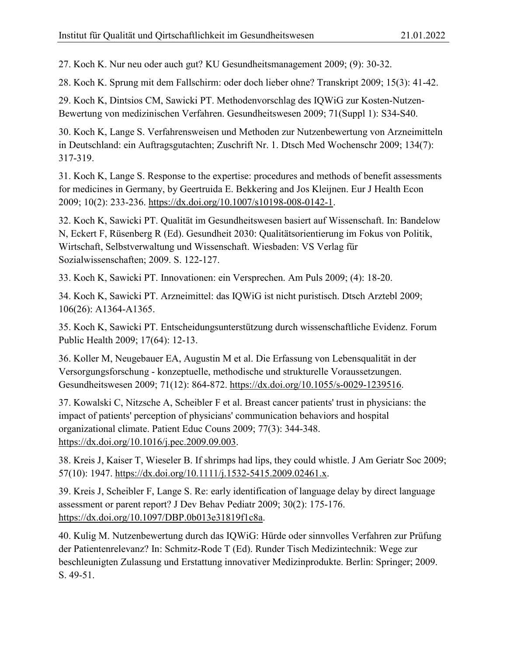27. Koch K. Nur neu oder auch gut? KU Gesundheitsmanagement 2009; (9): 30-32.

28. Koch K. Sprung mit dem Fallschirm: oder doch lieber ohne? Transkript 2009; 15(3): 41-42.

29. Koch K, Dintsios CM, Sawicki PT. Methodenvorschlag des IQWiG zur Kosten-Nutzen-Bewertung von medizinischen Verfahren. Gesundheitswesen 2009; 71(Suppl 1): S34-S40.

30. Koch K, Lange S. Verfahrensweisen und Methoden zur Nutzenbewertung von Arzneimitteln in Deutschland: ein Auftragsgutachten; Zuschrift Nr. 1. Dtsch Med Wochenschr 2009; 134(7): 317-319.

31. Koch K, Lange S. Response to the expertise: procedures and methods of benefit assessments for medicines in Germany, by Geertruida E. Bekkering and Jos Kleijnen. Eur J Health Econ 2009; 10(2): 233-236. [https://dx.doi.org/10.1007/s10198-008-0142-1.](https://dx.doi.org/10.1007/s10198-008-0142-1)

32. Koch K, Sawicki PT. Qualität im Gesundheitswesen basiert auf Wissenschaft. In: Bandelow N, Eckert F, Rüsenberg R (Ed). Gesundheit 2030: Qualitätsorientierung im Fokus von Politik, Wirtschaft, Selbstverwaltung und Wissenschaft. Wiesbaden: VS Verlag für Sozialwissenschaften; 2009. S. 122-127.

33. Koch K, Sawicki PT. Innovationen: ein Versprechen. Am Puls 2009; (4): 18-20.

34. Koch K, Sawicki PT. Arzneimittel: das IQWiG ist nicht puristisch. Dtsch Arztebl 2009; 106(26): A1364-A1365.

35. Koch K, Sawicki PT. Entscheidungsunterstützung durch wissenschaftliche Evidenz. Forum Public Health 2009; 17(64): 12-13.

36. Koller M, Neugebauer EA, Augustin M et al. Die Erfassung von Lebensqualität in der Versorgungsforschung - konzeptuelle, methodische und strukturelle Voraussetzungen. Gesundheitswesen 2009; 71(12): 864-872. [https://dx.doi.org/10.1055/s-0029-1239516.](https://dx.doi.org/10.1055/s-0029-1239516)

37. Kowalski C, Nitzsche A, Scheibler F et al. Breast cancer patients' trust in physicians: the impact of patients' perception of physicians' communication behaviors and hospital organizational climate. Patient Educ Couns 2009; 77(3): 344-348. [https://dx.doi.org/10.1016/j.pec.2009.09.003.](https://dx.doi.org/10.1016/j.pec.2009.09.003)

38. Kreis J, Kaiser T, Wieseler B. If shrimps had lips, they could whistle. J Am Geriatr Soc 2009; 57(10): 1947. [https://dx.doi.org/10.1111/j.1532-5415.2009.02461.x.](https://dx.doi.org/10.1111/j.1532-5415.2009.02461.x)

39. Kreis J, Scheibler F, Lange S. Re: early identification of language delay by direct language assessment or parent report? J Dev Behav Pediatr 2009; 30(2): 175-176. [https://dx.doi.org/10.1097/DBP.0b013e31819f1c8a.](https://dx.doi.org/10.1097/DBP.0b013e31819f1c8a)

40. Kulig M. Nutzenbewertung durch das IQWiG: Hürde oder sinnvolles Verfahren zur Prüfung der Patientenrelevanz? In: Schmitz-Rode T (Ed). Runder Tisch Medizintechnik: Wege zur beschleunigten Zulassung und Erstattung innovativer Medizinprodukte. Berlin: Springer; 2009. S. 49-51.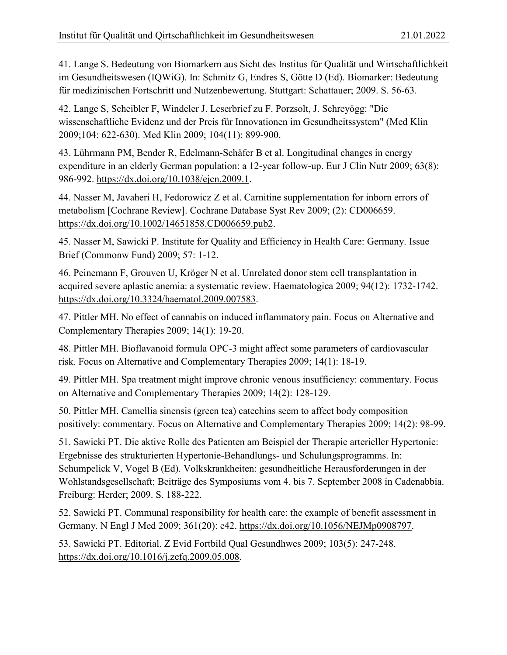41. Lange S. Bedeutung von Biomarkern aus Sicht des Institus für Qualität und Wirtschaftlichkeit im Gesundheitswesen (IQWiG). In: Schmitz G, Endres S, Götte D (Ed). Biomarker: Bedeutung für medizinischen Fortschritt und Nutzenbewertung. Stuttgart: Schattauer; 2009. S. 56-63.

42. Lange S, Scheibler F, Windeler J. Leserbrief zu F. Porzsolt, J. Schreyögg: "Die wissenschaftliche Evidenz und der Preis für Innovationen im Gesundheitssystem" (Med Klin 2009;104: 622-630). Med Klin 2009; 104(11): 899-900.

43. Lührmann PM, Bender R, Edelmann-Schäfer B et al. Longitudinal changes in energy expenditure in an elderly German population: a 12-year follow-up. Eur J Clin Nutr 2009; 63(8): 986-992. [https://dx.doi.org/10.1038/ejcn.2009.1.](https://dx.doi.org/10.1038/ejcn.2009.1)

44. Nasser M, Javaheri H, Fedorowicz Z et al. Carnitine supplementation for inborn errors of metabolism [Cochrane Review]. Cochrane Database Syst Rev 2009; (2): CD006659. [https://dx.doi.org/10.1002/14651858.CD006659.pub2.](https://dx.doi.org/10.1002/14651858.CD006659.pub2)

45. Nasser M, Sawicki P. Institute for Quality and Efficiency in Health Care: Germany. Issue Brief (Commonw Fund) 2009; 57: 1-12.

46. Peinemann F, Grouven U, Kröger N et al. Unrelated donor stem cell transplantation in acquired severe aplastic anemia: a systematic review. Haematologica 2009; 94(12): 1732-1742. [https://dx.doi.org/10.3324/haematol.2009.007583.](https://dx.doi.org/10.3324/haematol.2009.007583)

47. Pittler MH. No effect of cannabis on induced inflammatory pain. Focus on Alternative and Complementary Therapies 2009; 14(1): 19-20.

48. Pittler MH. Bioflavanoid formula OPC-3 might affect some parameters of cardiovascular risk. Focus on Alternative and Complementary Therapies 2009; 14(1): 18-19.

49. Pittler MH. Spa treatment might improve chronic venous insufficiency: commentary. Focus on Alternative and Complementary Therapies 2009; 14(2): 128-129.

50. Pittler MH. Camellia sinensis (green tea) catechins seem to affect body composition positively: commentary. Focus on Alternative and Complementary Therapies 2009; 14(2): 98-99.

51. Sawicki PT. Die aktive Rolle des Patienten am Beispiel der Therapie arterieller Hypertonie: Ergebnisse des strukturierten Hypertonie-Behandlungs- und Schulungsprogramms. In: Schumpelick V, Vogel B (Ed). Volkskrankheiten: gesundheitliche Herausforderungen in der Wohlstandsgesellschaft; Beiträge des Symposiums vom 4. bis 7. September 2008 in Cadenabbia. Freiburg: Herder; 2009. S. 188-222.

52. Sawicki PT. Communal responsibility for health care: the example of benefit assessment in Germany. N Engl J Med 2009; 361(20): e42. [https://dx.doi.org/10.1056/NEJMp0908797.](https://dx.doi.org/10.1056/NEJMp0908797)

53. Sawicki PT. Editorial. Z Evid Fortbild Qual Gesundhwes 2009; 103(5): 247-248. [https://dx.doi.org/10.1016/j.zefq.2009.05.008.](https://dx.doi.org/10.1016/j.zefq.2009.05.008)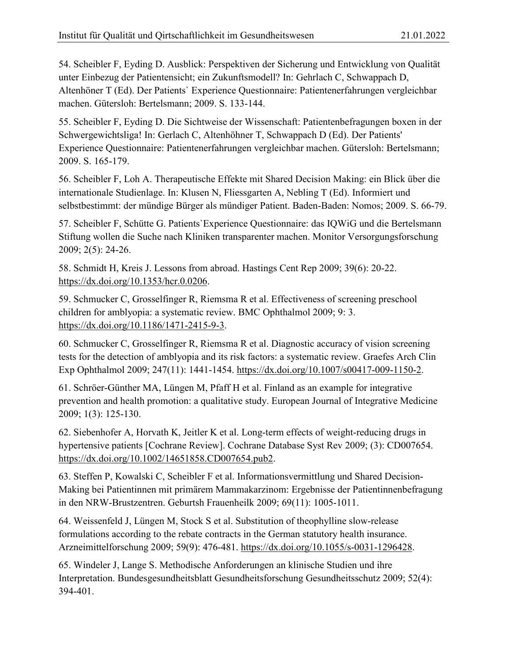54. Scheibler F, Eyding D. Ausblick: Perspektiven der Sicherung und Entwicklung von Qualität unter Einbezug der Patientensicht; ein Zukunftsmodell? In: Gehrlach C, Schwappach D, Altenhöner T (Ed). Der Patients` Experience Questionnaire: Patientenerfahrungen vergleichbar machen. Gütersloh: Bertelsmann; 2009. S. 133-144.

55. Scheibler F, Eyding D. Die Sichtweise der Wissenschaft: Patientenbefragungen boxen in der Schwergewichtsliga! In: Gerlach C, Altenhöhner T, Schwappach D (Ed). Der Patients' Experience Questionnaire: Patientenerfahrungen vergleichbar machen. Gütersloh: Bertelsmann; 2009. S. 165-179.

56. Scheibler F, Loh A. Therapeutische Effekte mit Shared Decision Making: ein Blick über die internationale Studienlage. In: Klusen N, Fliessgarten A, Nebling T (Ed). Informiert und selbstbestimmt: der mündige Bürger als mündiger Patient. Baden-Baden: Nomos; 2009. S. 66-79.

57. Scheibler F, Schütte G. Patients`Experience Questionnaire: das IQWiG und die Bertelsmann Stiftung wollen die Suche nach Kliniken transparenter machen. Monitor Versorgungsforschung 2009; 2(5): 24-26.

58. Schmidt H, Kreis J. Lessons from abroad. Hastings Cent Rep 2009; 39(6): 20-22. [https://dx.doi.org/10.1353/hcr.0.0206.](https://dx.doi.org/10.1353/hcr.0.0206)

59. Schmucker C, Grosselfinger R, Riemsma R et al. Effectiveness of screening preschool children for amblyopia: a systematic review. BMC Ophthalmol 2009; 9: 3. [https://dx.doi.org/10.1186/1471-2415-9-3.](https://dx.doi.org/10.1186/1471-2415-9-3)

60. Schmucker C, Grosselfinger R, Riemsma R et al. Diagnostic accuracy of vision screening tests for the detection of amblyopia and its risk factors: a systematic review. Graefes Arch Clin Exp Ophthalmol 2009; 247(11): 1441-1454. [https://dx.doi.org/10.1007/s00417-009-1150-2.](https://dx.doi.org/10.1007/s00417-009-1150-2)

61. Schröer-Günther MA, Lüngen M, Pfaff H et al. Finland as an example for integrative prevention and health promotion: a qualitative study. European Journal of Integrative Medicine 2009; 1(3): 125-130.

62. Siebenhofer A, Horvath K, Jeitler K et al. Long-term effects of weight-reducing drugs in hypertensive patients [Cochrane Review]. Cochrane Database Syst Rev 2009; (3): CD007654. [https://dx.doi.org/10.1002/14651858.CD007654.pub2.](https://dx.doi.org/10.1002/14651858.CD007654.pub2)

63. Steffen P, Kowalski C, Scheibler F et al. Informationsvermittlung und Shared Decision-Making bei Patientinnen mit primärem Mammakarzinom: Ergebnisse der Patientinnenbefragung in den NRW-Brustzentren. Geburtsh Frauenheilk 2009; 69(11): 1005-1011.

64. Weissenfeld J, Lüngen M, Stock S et al. Substitution of theophylline slow-release formulations according to the rebate contracts in the German statutory health insurance. Arzneimittelforschung 2009; 59(9): 476-481. [https://dx.doi.org/10.1055/s-0031-1296428.](https://dx.doi.org/10.1055/s-0031-1296428)

65. Windeler J, Lange S. Methodische Anforderungen an klinische Studien und ihre Interpretation. Bundesgesundheitsblatt Gesundheitsforschung Gesundheitsschutz 2009; 52(4): 394-401.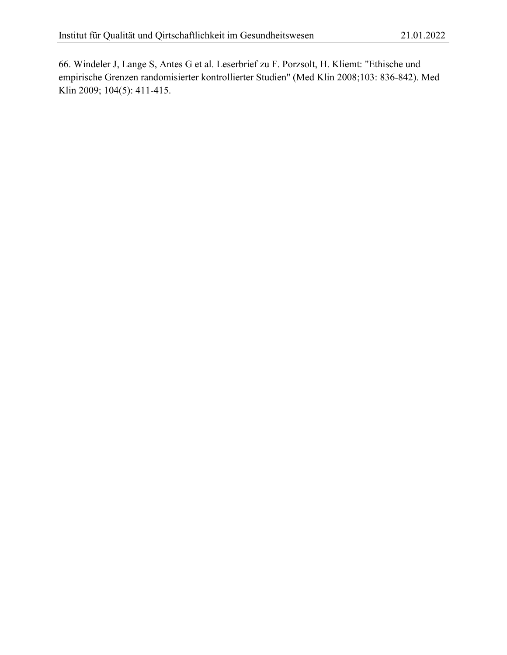66. Windeler J, Lange S, Antes G et al. Leserbrief zu F. Porzsolt, H. Kliemt: "Ethische und empirische Grenzen randomisierter kontrollierter Studien" (Med Klin 2008;103: 836-842). Med Klin 2009; 104(5): 411-415.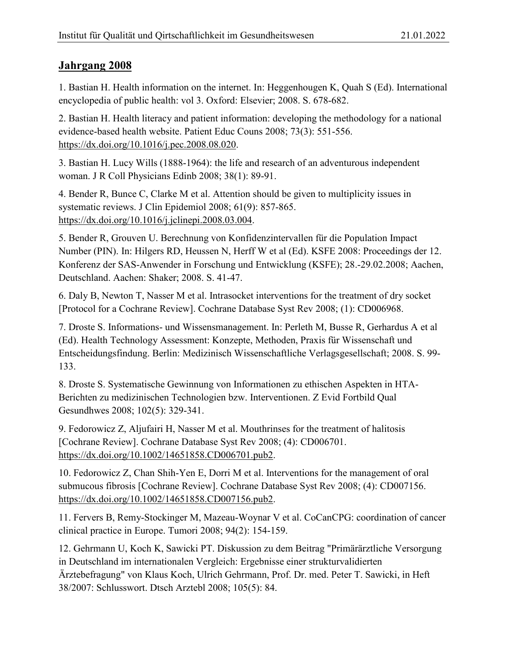<span id="page-38-0"></span>1. Bastian H. Health information on the internet. In: Heggenhougen K, Quah S (Ed). International encyclopedia of public health: vol 3. Oxford: Elsevier; 2008. S. 678-682.

2. Bastian H. Health literacy and patient information: developing the methodology for a national evidence-based health website. Patient Educ Couns 2008; 73(3): 551-556. [https://dx.doi.org/10.1016/j.pec.2008.08.020.](https://dx.doi.org/10.1016/j.pec.2008.08.020)

3. Bastian H. Lucy Wills (1888-1964): the life and research of an adventurous independent woman. J R Coll Physicians Edinb 2008; 38(1): 89-91.

4. Bender R, Bunce C, Clarke M et al. Attention should be given to multiplicity issues in systematic reviews. J Clin Epidemiol 2008; 61(9): 857-865. [https://dx.doi.org/10.1016/j.jclinepi.2008.03.004.](https://dx.doi.org/10.1016/j.jclinepi.2008.03.004)

5. Bender R, Grouven U. Berechnung von Konfidenzintervallen für die Population Impact Number (PIN). In: Hilgers RD, Heussen N, Herff W et al (Ed). KSFE 2008: Proceedings der 12. Konferenz der SAS-Anwender in Forschung und Entwicklung (KSFE); 28.-29.02.2008; Aachen, Deutschland. Aachen: Shaker; 2008. S. 41-47.

6. Daly B, Newton T, Nasser M et al. Intrasocket interventions for the treatment of dry socket [Protocol for a Cochrane Review]. Cochrane Database Syst Rev 2008; (1): CD006968.

7. Droste S. Informations- und Wissensmanagement. In: Perleth M, Busse R, Gerhardus A et al (Ed). Health Technology Assessment: Konzepte, Methoden, Praxis für Wissenschaft und Entscheidungsfindung. Berlin: Medizinisch Wissenschaftliche Verlagsgesellschaft; 2008. S. 99- 133.

8. Droste S. Systematische Gewinnung von Informationen zu ethischen Aspekten in HTA-Berichten zu medizinischen Technologien bzw. Interventionen. Z Evid Fortbild Qual Gesundhwes 2008; 102(5): 329-341.

9. Fedorowicz Z, Aljufairi H, Nasser M et al. Mouthrinses for the treatment of halitosis [Cochrane Review]. Cochrane Database Syst Rev 2008; (4): CD006701. [https://dx.doi.org/10.1002/14651858.CD006701.pub2.](https://dx.doi.org/10.1002/14651858.CD006701.pub2)

10. Fedorowicz Z, Chan Shih-Yen E, Dorri M et al. Interventions for the management of oral submucous fibrosis [Cochrane Review]. Cochrane Database Syst Rev 2008; (4): CD007156. [https://dx.doi.org/10.1002/14651858.CD007156.pub2.](https://dx.doi.org/10.1002/14651858.CD007156.pub2)

11. Fervers B, Remy-Stockinger M, Mazeau-Woynar V et al. CoCanCPG: coordination of cancer clinical practice in Europe. Tumori 2008; 94(2): 154-159.

12. Gehrmann U, Koch K, Sawicki PT. Diskussion zu dem Beitrag "Primärärztliche Versorgung in Deutschland im internationalen Vergleich: Ergebnisse einer strukturvalidierten Ärztebefragung" von Klaus Koch, Ulrich Gehrmann, Prof. Dr. med. Peter T. Sawicki, in Heft 38/2007: Schlusswort. Dtsch Arztebl 2008; 105(5): 84.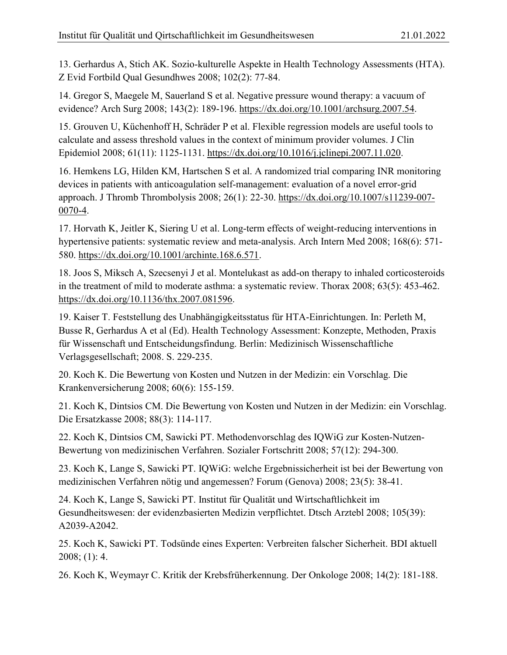13. Gerhardus A, Stich AK. Sozio-kulturelle Aspekte in Health Technology Assessments (HTA). Z Evid Fortbild Qual Gesundhwes 2008; 102(2): 77-84.

14. Gregor S, Maegele M, Sauerland S et al. Negative pressure wound therapy: a vacuum of evidence? Arch Surg 2008; 143(2): 189-196. [https://dx.doi.org/10.1001/archsurg.2007.54.](https://dx.doi.org/10.1001/archsurg.2007.54)

15. Grouven U, Küchenhoff H, Schräder P et al. Flexible regression models are useful tools to calculate and assess threshold values in the context of minimum provider volumes. J Clin Epidemiol 2008; 61(11): 1125-1131. [https://dx.doi.org/10.1016/j.jclinepi.2007.11.020.](https://dx.doi.org/10.1016/j.jclinepi.2007.11.020)

16. Hemkens LG, Hilden KM, Hartschen S et al. A randomized trial comparing INR monitoring devices in patients with anticoagulation self-management: evaluation of a novel error-grid approach. J Thromb Thrombolysis 2008; 26(1): 22-30. [https://dx.doi.org/10.1007/s11239-007-](https://dx.doi.org/10.1007/s11239-007-0070-4) [0070-4.](https://dx.doi.org/10.1007/s11239-007-0070-4)

17. Horvath K, Jeitler K, Siering U et al. Long-term effects of weight-reducing interventions in hypertensive patients: systematic review and meta-analysis. Arch Intern Med 2008; 168(6): 571- 580. [https://dx.doi.org/10.1001/archinte.168.6.571.](https://dx.doi.org/10.1001/archinte.168.6.571)

18. Joos S, Miksch A, Szecsenyi J et al. Montelukast as add-on therapy to inhaled corticosteroids in the treatment of mild to moderate asthma: a systematic review. Thorax 2008; 63(5): 453-462. [https://dx.doi.org/10.1136/thx.2007.081596.](https://dx.doi.org/10.1136/thx.2007.081596)

19. Kaiser T. Feststellung des Unabhängigkeitsstatus für HTA-Einrichtungen. In: Perleth M, Busse R, Gerhardus A et al (Ed). Health Technology Assessment: Konzepte, Methoden, Praxis für Wissenschaft und Entscheidungsfindung. Berlin: Medizinisch Wissenschaftliche Verlagsgesellschaft; 2008. S. 229-235.

20. Koch K. Die Bewertung von Kosten und Nutzen in der Medizin: ein Vorschlag. Die Krankenversicherung 2008; 60(6): 155-159.

21. Koch K, Dintsios CM. Die Bewertung von Kosten und Nutzen in der Medizin: ein Vorschlag. Die Ersatzkasse 2008; 88(3): 114-117.

22. Koch K, Dintsios CM, Sawicki PT. Methodenvorschlag des IQWiG zur Kosten-Nutzen-Bewertung von medizinischen Verfahren. Sozialer Fortschritt 2008; 57(12): 294-300.

23. Koch K, Lange S, Sawicki PT. IQWiG: welche Ergebnissicherheit ist bei der Bewertung von medizinischen Verfahren nötig und angemessen? Forum (Genova) 2008; 23(5): 38-41.

24. Koch K, Lange S, Sawicki PT. Institut für Qualität und Wirtschaftlichkeit im Gesundheitswesen: der evidenzbasierten Medizin verpflichtet. Dtsch Arztebl 2008; 105(39): A2039-A2042.

25. Koch K, Sawicki PT. Todsünde eines Experten: Verbreiten falscher Sicherheit. BDI aktuell 2008; (1): 4.

26. Koch K, Weymayr C. Kritik der Krebsfrüherkennung. Der Onkologe 2008; 14(2): 181-188.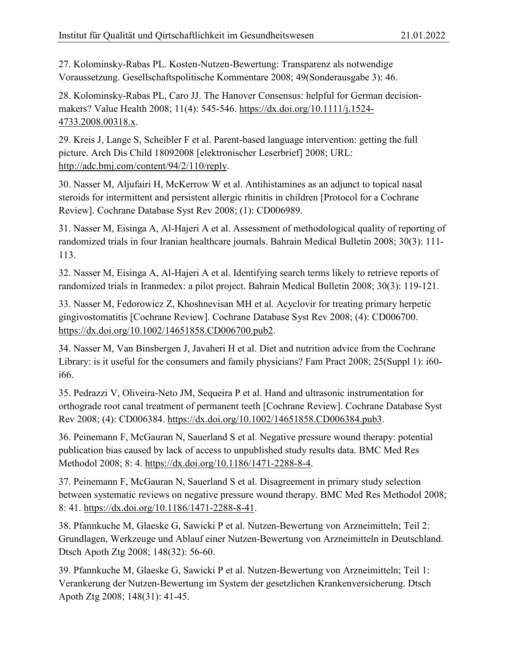27. Kolominsky-Rabas PL. Kosten-Nutzen-Bewertung: Transparenz als notwendige Voraussetzung. Gesellschaftspolitische Kommentare 2008; 49(Sonderausgabe 3): 46.

28. Kolominsky-Rabas PL, Caro JJ. The Hanover Consensus: helpful for German decisionmakers? Value Health 2008; 11(4): 545-546. [https://dx.doi.org/10.1111/j.1524-](https://dx.doi.org/10.1111/j.1524-4733.2008.00318.x) [4733.2008.00318.x.](https://dx.doi.org/10.1111/j.1524-4733.2008.00318.x)

29. Kreis J, Lange S, Scheibler F et al. Parent-based language intervention: getting the full picture. Arch Dis Child 18092008 [elektronischer Leserbrief] 2008; URL: [http://adc.bmj.com/content/94/2/110/reply.](http://adc.bmj.com/content/94/2/110/reply)

30. Nasser M, Aljufairi H, McKerrow W et al. Antihistamines as an adjunct to topical nasal steroids for intermittent and persistent allergic rhinitis in children [Protocol for a Cochrane Review]. Cochrane Database Syst Rev 2008; (1): CD006989.

31. Nasser M, Eisinga A, Al-Hajeri A et al. Assessment of methodological quality of reporting of randomized trials in four Iranian healthcare journals. Bahrain Medical Bulletin 2008; 30(3): 111- 113.

32. Nasser M, Eisinga A, Al-Hajeri A et al. Identifying search terms likely to retrieve reports of randomized trials in Iranmedex: a pilot project. Bahrain Medical Bulletin 2008; 30(3): 119-121.

33. Nasser M, Fedorowicz Z, Khoshnevisan MH et al. Acyclovir for treating primary herpetic gingivostomatitis [Cochrane Review]. Cochrane Database Syst Rev 2008; (4): CD006700. [https://dx.doi.org/10.1002/14651858.CD006700.pub2.](https://dx.doi.org/10.1002/14651858.CD006700.pub2)

34. Nasser M, Van Binsbergen J, Javaheri H et al. Diet and nutrition advice from the Cochrane Library: is it useful for the consumers and family physicians? Fam Pract 2008; 25(Suppl 1): i60 i66.

35. Pedrazzi V, Oliveira-Neto JM, Sequeira P et al. Hand and ultrasonic instrumentation for orthograde root canal treatment of permanent teeth [Cochrane Review]. Cochrane Database Syst Rev 2008; (4): CD006384. [https://dx.doi.org/10.1002/14651858.CD006384.pub3.](https://dx.doi.org/10.1002/14651858.CD006384.pub3)

36. Peinemann F, McGauran N, Sauerland S et al. Negative pressure wound therapy: potential publication bias caused by lack of access to unpublished study results data. BMC Med Res Methodol 2008; 8: 4. [https://dx.doi.org/10.1186/1471-2288-8-4.](https://dx.doi.org/10.1186/1471-2288-8-4)

37. Peinemann F, McGauran N, Sauerland S et al. Disagreement in primary study selection between systematic reviews on negative pressure wound therapy. BMC Med Res Methodol 2008; 8: 41. [https://dx.doi.org/10.1186/1471-2288-8-41.](https://dx.doi.org/10.1186/1471-2288-8-41)

38. Pfannkuche M, Glaeske G, Sawicki P et al. Nutzen-Bewertung von Arzneimitteln; Teil 2: Grundlagen, Werkzeuge und Ablauf einer Nutzen-Bewertung von Arzneimitteln in Deutschland. Dtsch Apoth Ztg 2008; 148(32): 56-60.

39. Pfannkuche M, Glaeske G, Sawicki P et al. Nutzen-Bewertung von Arzneimitteln; Teil 1: Verankerung der Nutzen-Bewertung im System der gesetzlichen Krankenversicherung. Dtsch Apoth Ztg 2008; 148(31): 41-45.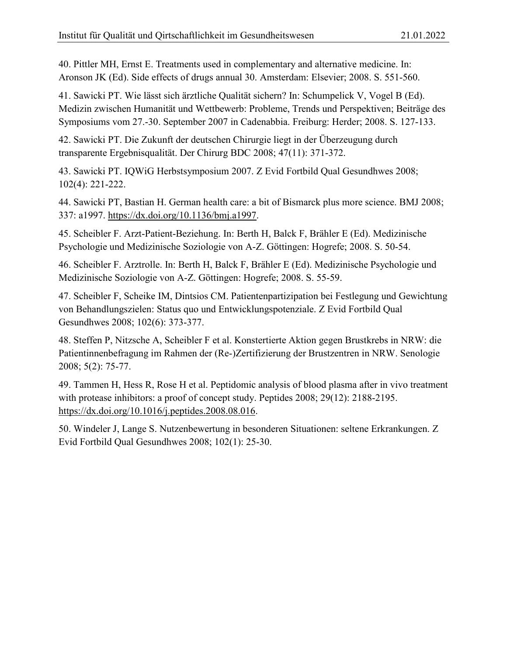40. Pittler MH, Ernst E. Treatments used in complementary and alternative medicine. In: Aronson JK (Ed). Side effects of drugs annual 30. Amsterdam: Elsevier; 2008. S. 551-560.

41. Sawicki PT. Wie lässt sich ärztliche Qualität sichern? In: Schumpelick V, Vogel B (Ed). Medizin zwischen Humanität und Wettbewerb: Probleme, Trends und Perspektiven; Beiträge des Symposiums vom 27.-30. September 2007 in Cadenabbia. Freiburg: Herder; 2008. S. 127-133.

42. Sawicki PT. Die Zukunft der deutschen Chirurgie liegt in der Überzeugung durch transparente Ergebnisqualität. Der Chirurg BDC 2008; 47(11): 371-372.

43. Sawicki PT. IQWiG Herbstsymposium 2007. Z Evid Fortbild Qual Gesundhwes 2008; 102(4): 221-222.

44. Sawicki PT, Bastian H. German health care: a bit of Bismarck plus more science. BMJ 2008; 337: a1997. [https://dx.doi.org/10.1136/bmj.a1997.](https://dx.doi.org/10.1136/bmj.a1997)

45. Scheibler F. Arzt-Patient-Beziehung. In: Berth H, Balck F, Brähler E (Ed). Medizinische Psychologie und Medizinische Soziologie von A-Z. Göttingen: Hogrefe; 2008. S. 50-54.

46. Scheibler F. Arztrolle. In: Berth H, Balck F, Brähler E (Ed). Medizinische Psychologie und Medizinische Soziologie von A-Z. Göttingen: Hogrefe; 2008. S. 55-59.

47. Scheibler F, Scheike IM, Dintsios CM. Patientenpartizipation bei Festlegung und Gewichtung von Behandlungszielen: Status quo und Entwicklungspotenziale. Z Evid Fortbild Qual Gesundhwes 2008; 102(6): 373-377.

48. Steffen P, Nitzsche A, Scheibler F et al. Konstertierte Aktion gegen Brustkrebs in NRW: die Patientinnenbefragung im Rahmen der (Re-)Zertifizierung der Brustzentren in NRW. Senologie 2008; 5(2): 75-77.

49. Tammen H, Hess R, Rose H et al. Peptidomic analysis of blood plasma after in vivo treatment with protease inhibitors: a proof of concept study. Peptides 2008; 29(12): 2188-2195. [https://dx.doi.org/10.1016/j.peptides.2008.08.016.](https://dx.doi.org/10.1016/j.peptides.2008.08.016)

50. Windeler J, Lange S. Nutzenbewertung in besonderen Situationen: seltene Erkrankungen. Z Evid Fortbild Qual Gesundhwes 2008; 102(1): 25-30.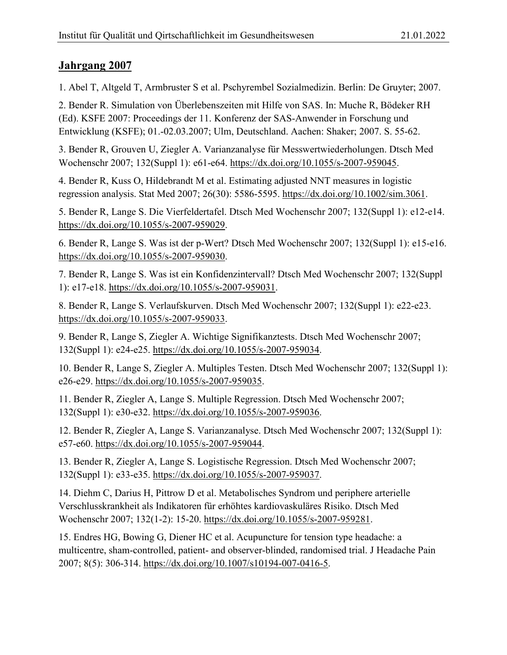<span id="page-42-0"></span>1. Abel T, Altgeld T, Armbruster S et al. Pschyrembel Sozialmedizin. Berlin: De Gruyter; 2007.

2. Bender R. Simulation von Überlebenszeiten mit Hilfe von SAS. In: Muche R, Bödeker RH (Ed). KSFE 2007: Proceedings der 11. Konferenz der SAS-Anwender in Forschung und Entwicklung (KSFE); 01.-02.03.2007; Ulm, Deutschland. Aachen: Shaker; 2007. S. 55-62.

3. Bender R, Grouven U, Ziegler A. Varianzanalyse für Messwertwiederholungen. Dtsch Med Wochenschr 2007; 132(Suppl 1): e61-e64. [https://dx.doi.org/10.1055/s-2007-959045.](https://dx.doi.org/10.1055/s-2007-959045)

4. Bender R, Kuss O, Hildebrandt M et al. Estimating adjusted NNT measures in logistic regression analysis. Stat Med 2007; 26(30): 5586-5595. [https://dx.doi.org/10.1002/sim.3061.](https://dx.doi.org/10.1002/sim.3061)

5. Bender R, Lange S. Die Vierfeldertafel. Dtsch Med Wochenschr 2007; 132(Suppl 1): e12-e14. [https://dx.doi.org/10.1055/s-2007-959029.](https://dx.doi.org/10.1055/s-2007-959029)

6. Bender R, Lange S. Was ist der p-Wert? Dtsch Med Wochenschr 2007; 132(Suppl 1): e15-e16. [https://dx.doi.org/10.1055/s-2007-959030.](https://dx.doi.org/10.1055/s-2007-959030)

7. Bender R, Lange S. Was ist ein Konfidenzintervall? Dtsch Med Wochenschr 2007; 132(Suppl 1): e17-e18. [https://dx.doi.org/10.1055/s-2007-959031.](https://dx.doi.org/10.1055/s-2007-959031)

8. Bender R, Lange S. Verlaufskurven. Dtsch Med Wochenschr 2007; 132(Suppl 1): e22-e23. [https://dx.doi.org/10.1055/s-2007-959033.](https://dx.doi.org/10.1055/s-2007-959033)

9. Bender R, Lange S, Ziegler A. Wichtige Signifikanztests. Dtsch Med Wochenschr 2007; 132(Suppl 1): e24-e25. [https://dx.doi.org/10.1055/s-2007-959034.](https://dx.doi.org/10.1055/s-2007-959034)

10. Bender R, Lange S, Ziegler A. Multiples Testen. Dtsch Med Wochenschr 2007; 132(Suppl 1): e26-e29. [https://dx.doi.org/10.1055/s-2007-959035.](https://dx.doi.org/10.1055/s-2007-959035)

11. Bender R, Ziegler A, Lange S. Multiple Regression. Dtsch Med Wochenschr 2007; 132(Suppl 1): e30-e32. [https://dx.doi.org/10.1055/s-2007-959036.](https://dx.doi.org/10.1055/s-2007-959036)

12. Bender R, Ziegler A, Lange S. Varianzanalyse. Dtsch Med Wochenschr 2007; 132(Suppl 1): e57-e60. [https://dx.doi.org/10.1055/s-2007-959044.](https://dx.doi.org/10.1055/s-2007-959044)

13. Bender R, Ziegler A, Lange S. Logistische Regression. Dtsch Med Wochenschr 2007; 132(Suppl 1): e33-e35. [https://dx.doi.org/10.1055/s-2007-959037.](https://dx.doi.org/10.1055/s-2007-959037)

14. Diehm C, Darius H, Pittrow D et al. Metabolisches Syndrom und periphere arterielle Verschlusskrankheit als Indikatoren für erhöhtes kardiovaskuläres Risiko. Dtsch Med Wochenschr 2007; 132(1-2): 15-20. [https://dx.doi.org/10.1055/s-2007-959281.](https://dx.doi.org/10.1055/s-2007-959281)

15. Endres HG, Bowing G, Diener HC et al. Acupuncture for tension type headache: a multicentre, sham-controlled, patient- and observer-blinded, randomised trial. J Headache Pain 2007; 8(5): 306-314. [https://dx.doi.org/10.1007/s10194-007-0416-5.](https://dx.doi.org/10.1007/s10194-007-0416-5)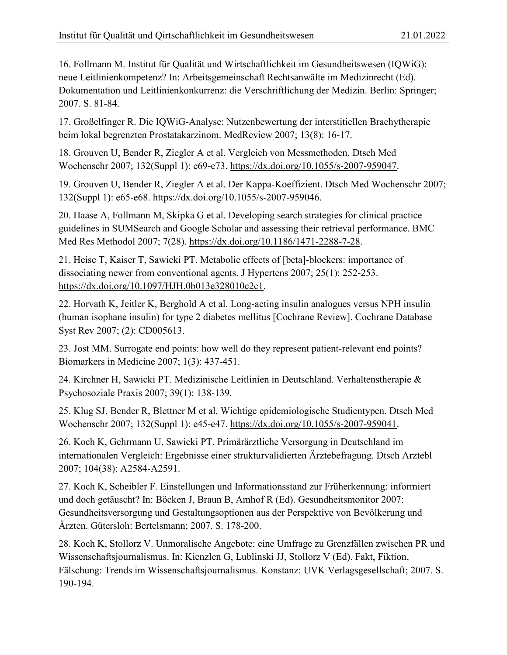16. Follmann M. Institut für Qualität und Wirtschaftlichkeit im Gesundheitswesen (IQWiG): neue Leitlinienkompetenz? In: Arbeitsgemeinschaft Rechtsanwälte im Medizinrecht (Ed). Dokumentation und Leitlinienkonkurrenz: die Verschriftlichung der Medizin. Berlin: Springer; 2007. S. 81-84.

17. Großelfinger R. Die IQWiG-Analyse: Nutzenbewertung der interstitiellen Brachytherapie beim lokal begrenzten Prostatakarzinom. MedReview 2007; 13(8): 16-17.

18. Grouven U, Bender R, Ziegler A et al. Vergleich von Messmethoden. Dtsch Med Wochenschr 2007; 132(Suppl 1): e69-e73. [https://dx.doi.org/10.1055/s-2007-959047.](https://dx.doi.org/10.1055/s-2007-959047)

19. Grouven U, Bender R, Ziegler A et al. Der Kappa-Koeffizient. Dtsch Med Wochenschr 2007; 132(Suppl 1): e65-e68. [https://dx.doi.org/10.1055/s-2007-959046.](https://dx.doi.org/10.1055/s-2007-959046)

20. Haase A, Follmann M, Skipka G et al. Developing search strategies for clinical practice guidelines in SUMSearch and Google Scholar and assessing their retrieval performance. BMC Med Res Methodol 2007; 7(28). [https://dx.doi.org/10.1186/1471-2288-7-28.](https://dx.doi.org/10.1186/1471-2288-7-28)

21. Heise T, Kaiser T, Sawicki PT. Metabolic effects of [beta]-blockers: importance of dissociating newer from conventional agents. J Hypertens 2007; 25(1): 252-253. [https://dx.doi.org/10.1097/HJH.0b013e328010c2c1.](https://dx.doi.org/10.1097/HJH.0b013e328010c2c1)

22. Horvath K, Jeitler K, Berghold A et al. Long-acting insulin analogues versus NPH insulin (human isophane insulin) for type 2 diabetes mellitus [Cochrane Review]. Cochrane Database Syst Rev 2007; (2): CD005613.

23. Jost MM. Surrogate end points: how well do they represent patient-relevant end points? Biomarkers in Medicine 2007; 1(3): 437-451.

24. Kirchner H, Sawicki PT. Medizinische Leitlinien in Deutschland. Verhaltenstherapie & Psychosoziale Praxis 2007; 39(1): 138-139.

25. Klug SJ, Bender R, Blettner M et al. Wichtige epidemiologische Studientypen. Dtsch Med Wochenschr 2007; 132(Suppl 1): e45-e47. [https://dx.doi.org/10.1055/s-2007-959041.](https://dx.doi.org/10.1055/s-2007-959041)

26. Koch K, Gehrmann U, Sawicki PT. Primärärztliche Versorgung in Deutschland im internationalen Vergleich: Ergebnisse einer strukturvalidierten Ärztebefragung. Dtsch Arztebl 2007; 104(38): A2584-A2591.

27. Koch K, Scheibler F. Einstellungen und Informationsstand zur Früherkennung: informiert und doch getäuscht? In: Böcken J, Braun B, Amhof R (Ed). Gesundheitsmonitor 2007: Gesundheitsversorgung und Gestaltungsoptionen aus der Perspektive von Bevölkerung und Ärzten. Gütersloh: Bertelsmann; 2007. S. 178-200.

28. Koch K, Stollorz V. Unmoralische Angebote: eine Umfrage zu Grenzfällen zwischen PR und Wissenschaftsjournalismus. In: Kienzlen G, Lublinski JJ, Stollorz V (Ed). Fakt, Fiktion, Fälschung: Trends im Wissenschaftsjournalismus. Konstanz: UVK Verlagsgesellschaft; 2007. S. 190-194.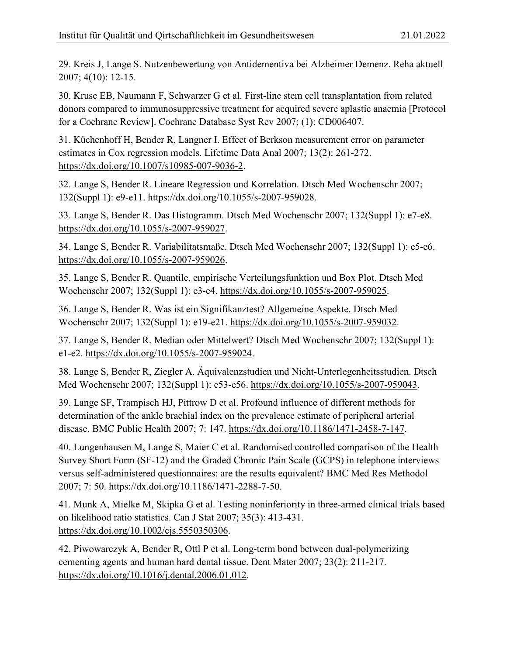29. Kreis J, Lange S. Nutzenbewertung von Antidementiva bei Alzheimer Demenz. Reha aktuell 2007; 4(10): 12-15.

30. Kruse EB, Naumann F, Schwarzer G et al. First-line stem cell transplantation from related donors compared to immunosuppressive treatment for acquired severe aplastic anaemia [Protocol for a Cochrane Review]. Cochrane Database Syst Rev 2007; (1): CD006407.

31. Küchenhoff H, Bender R, Langner I. Effect of Berkson measurement error on parameter estimates in Cox regression models. Lifetime Data Anal 2007; 13(2): 261-272. [https://dx.doi.org/10.1007/s10985-007-9036-2.](https://dx.doi.org/10.1007/s10985-007-9036-2)

32. Lange S, Bender R. Lineare Regression und Korrelation. Dtsch Med Wochenschr 2007; 132(Suppl 1): e9-e11. [https://dx.doi.org/10.1055/s-2007-959028.](https://dx.doi.org/10.1055/s-2007-959028)

33. Lange S, Bender R. Das Histogramm. Dtsch Med Wochenschr 2007; 132(Suppl 1): e7-e8. [https://dx.doi.org/10.1055/s-2007-959027.](https://dx.doi.org/10.1055/s-2007-959027)

34. Lange S, Bender R. Variabilitatsmaße. Dtsch Med Wochenschr 2007; 132(Suppl 1): e5-e6. [https://dx.doi.org/10.1055/s-2007-959026.](https://dx.doi.org/10.1055/s-2007-959026)

35. Lange S, Bender R. Quantile, empirische Verteilungsfunktion und Box Plot. Dtsch Med Wochenschr 2007; 132(Suppl 1): e3-e4. [https://dx.doi.org/10.1055/s-2007-959025.](https://dx.doi.org/10.1055/s-2007-959025)

36. Lange S, Bender R. Was ist ein Signifikanztest? Allgemeine Aspekte. Dtsch Med Wochenschr 2007; 132(Suppl 1): e19-e21. [https://dx.doi.org/10.1055/s-2007-959032.](https://dx.doi.org/10.1055/s-2007-959032)

37. Lange S, Bender R. Median oder Mittelwert? Dtsch Med Wochenschr 2007; 132(Suppl 1): e1-e2. [https://dx.doi.org/10.1055/s-2007-959024.](https://dx.doi.org/10.1055/s-2007-959024)

38. Lange S, Bender R, Ziegler A. Äquivalenzstudien und Nicht-Unterlegenheitsstudien. Dtsch Med Wochenschr 2007; 132(Suppl 1): e53-e56. [https://dx.doi.org/10.1055/s-2007-959043.](https://dx.doi.org/10.1055/s-2007-959043)

39. Lange SF, Trampisch HJ, Pittrow D et al. Profound influence of different methods for determination of the ankle brachial index on the prevalence estimate of peripheral arterial disease. BMC Public Health 2007; 7: 147. [https://dx.doi.org/10.1186/1471-2458-7-147.](https://dx.doi.org/10.1186/1471-2458-7-147)

40. Lungenhausen M, Lange S, Maier C et al. Randomised controlled comparison of the Health Survey Short Form (SF-12) and the Graded Chronic Pain Scale (GCPS) in telephone interviews versus self-administered questionnaires: are the results equivalent? BMC Med Res Methodol 2007; 7: 50. [https://dx.doi.org/10.1186/1471-2288-7-50.](https://dx.doi.org/10.1186/1471-2288-7-50)

41. Munk A, Mielke M, Skipka G et al. Testing noninferiority in three-armed clinical trials based on likelihood ratio statistics. Can J Stat 2007; 35(3): 413-431. [https://dx.doi.org/10.1002/cjs.5550350306.](https://dx.doi.org/10.1002/cjs.5550350306)

42. Piwowarczyk A, Bender R, Ottl P et al. Long-term bond between dual-polymerizing cementing agents and human hard dental tissue. Dent Mater 2007; 23(2): 211-217. [https://dx.doi.org/10.1016/j.dental.2006.01.012.](https://dx.doi.org/10.1016/j.dental.2006.01.012)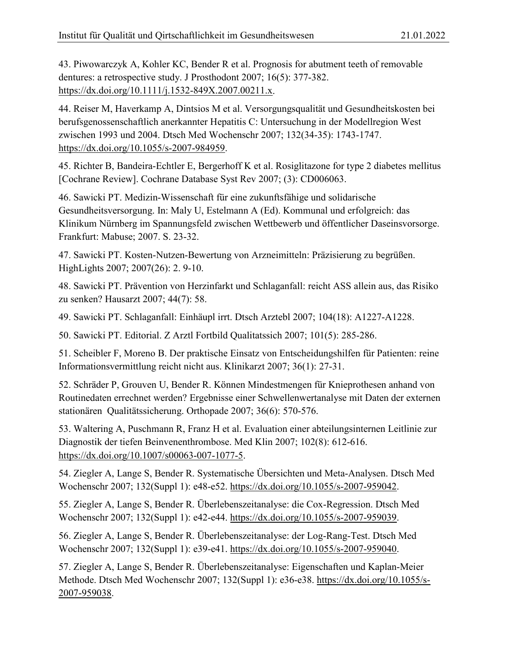43. Piwowarczyk A, Kohler KC, Bender R et al. Prognosis for abutment teeth of removable dentures: a retrospective study. J Prosthodont 2007; 16(5): 377-382. [https://dx.doi.org/10.1111/j.1532-849X.2007.00211.x.](https://dx.doi.org/10.1111/j.1532-849X.2007.00211.x)

44. Reiser M, Haverkamp A, Dintsios M et al. Versorgungsqualität und Gesundheitskosten bei berufsgenossenschaftlich anerkannter Hepatitis C: Untersuchung in der Modellregion West zwischen 1993 und 2004. Dtsch Med Wochenschr 2007; 132(34-35): 1743-1747. [https://dx.doi.org/10.1055/s-2007-984959.](https://dx.doi.org/10.1055/s-2007-984959)

45. Richter B, Bandeira-Echtler E, Bergerhoff K et al. Rosiglitazone for type 2 diabetes mellitus [Cochrane Review]. Cochrane Database Syst Rev 2007; (3): CD006063.

46. Sawicki PT. Medizin-Wissenschaft für eine zukunftsfähige und solidarische Gesundheitsversorgung. In: Maly U, Estelmann A (Ed). Kommunal und erfolgreich: das Klinikum Nürnberg im Spannungsfeld zwischen Wettbewerb und öffentlicher Daseinsvorsorge. Frankfurt: Mabuse; 2007. S. 23-32.

47. Sawicki PT. Kosten-Nutzen-Bewertung von Arzneimitteln: Präzisierung zu begrüßen. HighLights 2007; 2007(26): 2. 9-10.

48. Sawicki PT. Prävention von Herzinfarkt und Schlaganfall: reicht ASS allein aus, das Risiko zu senken? Hausarzt 2007; 44(7): 58.

49. Sawicki PT. Schlaganfall: Einhäupl irrt. Dtsch Arztebl 2007; 104(18): A1227-A1228.

50. Sawicki PT. Editorial. Z Arztl Fortbild Qualitatssich 2007; 101(5): 285-286.

51. Scheibler F, Moreno B. Der praktische Einsatz von Entscheidungshilfen für Patienten: reine Informationsvermittlung reicht nicht aus. Klinikarzt 2007; 36(1): 27-31.

52. Schräder P, Grouven U, Bender R. Können Mindestmengen für Knieprothesen anhand von Routinedaten errechnet werden? Ergebnisse einer Schwellenwertanalyse mit Daten der externen stationären Qualitätssicherung. Orthopade 2007; 36(6): 570-576.

53. Waltering A, Puschmann R, Franz H et al. Evaluation einer abteilungsinternen Leitlinie zur Diagnostik der tiefen Beinvenenthrombose. Med Klin 2007; 102(8): 612-616. [https://dx.doi.org/10.1007/s00063-007-1077-5.](https://dx.doi.org/10.1007/s00063-007-1077-5)

54. Ziegler A, Lange S, Bender R. Systematische Übersichten und Meta-Analysen. Dtsch Med Wochenschr 2007; 132(Suppl 1): e48-e52. [https://dx.doi.org/10.1055/s-2007-959042.](https://dx.doi.org/10.1055/s-2007-959042)

55. Ziegler A, Lange S, Bender R. Überlebenszeitanalyse: die Cox-Regression. Dtsch Med Wochenschr 2007; 132(Suppl 1): e42-e44. [https://dx.doi.org/10.1055/s-2007-959039.](https://dx.doi.org/10.1055/s-2007-959039)

56. Ziegler A, Lange S, Bender R. Überlebenszeitanalyse: der Log-Rang-Test. Dtsch Med Wochenschr 2007; 132(Suppl 1): e39-e41. [https://dx.doi.org/10.1055/s-2007-959040.](https://dx.doi.org/10.1055/s-2007-959040)

57. Ziegler A, Lange S, Bender R. Überlebenszeitanalyse: Eigenschaften und Kaplan-Meier Methode. Dtsch Med Wochenschr 2007; 132(Suppl 1): e36-e38. [https://dx.doi.org/10.1055/s-](https://dx.doi.org/10.1055/s-2007-959038)[2007-959038.](https://dx.doi.org/10.1055/s-2007-959038)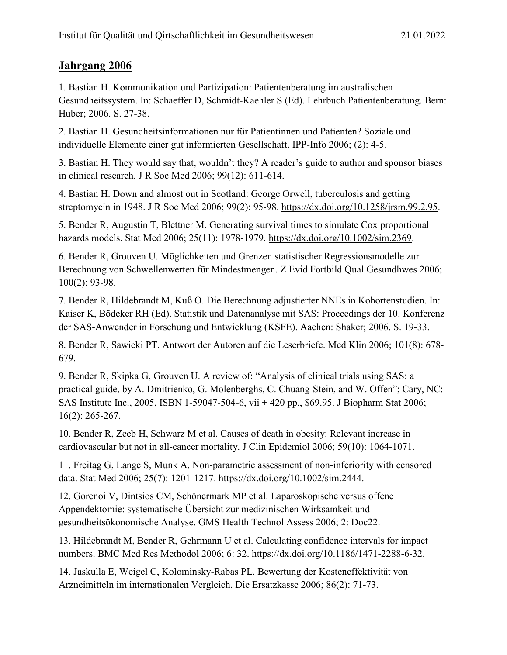<span id="page-46-0"></span>1. Bastian H. Kommunikation und Partizipation: Patientenberatung im australischen Gesundheitssystem. In: Schaeffer D, Schmidt-Kaehler S (Ed). Lehrbuch Patientenberatung. Bern: Huber; 2006. S. 27-38.

2. Bastian H. Gesundheitsinformationen nur für Patientinnen und Patienten? Soziale und individuelle Elemente einer gut informierten Gesellschaft. IPP-Info 2006; (2): 4-5.

3. Bastian H. They would say that, wouldn't they? A reader's guide to author and sponsor biases in clinical research. J R Soc Med 2006; 99(12): 611-614.

4. Bastian H. Down and almost out in Scotland: George Orwell, tuberculosis and getting streptomycin in 1948. J R Soc Med 2006; 99(2): 95-98. [https://dx.doi.org/10.1258/jrsm.99.2.95.](https://dx.doi.org/10.1258/jrsm.99.2.95)

5. Bender R, Augustin T, Blettner M. Generating survival times to simulate Cox proportional hazards models. Stat Med 2006; 25(11): 1978-1979. [https://dx.doi.org/10.1002/sim.2369.](https://dx.doi.org/10.1002/sim.2369)

6. Bender R, Grouven U. Möglichkeiten und Grenzen statistischer Regressionsmodelle zur Berechnung von Schwellenwerten für Mindestmengen. Z Evid Fortbild Qual Gesundhwes 2006; 100(2): 93-98.

7. Bender R, Hildebrandt M, Kuß O. Die Berechnung adjustierter NNEs in Kohortenstudien. In: Kaiser K, Bödeker RH (Ed). Statistik und Datenanalyse mit SAS: Proceedings der 10. Konferenz der SAS-Anwender in Forschung und Entwicklung (KSFE). Aachen: Shaker; 2006. S. 19-33.

8. Bender R, Sawicki PT. Antwort der Autoren auf die Leserbriefe. Med Klin 2006; 101(8): 678- 679.

9. Bender R, Skipka G, Grouven U. A review of: "Analysis of clinical trials using SAS: a practical guide, by A. Dmitrienko, G. Molenberghs, C. Chuang-Stein, and W. Offen"; Cary, NC: SAS Institute Inc., 2005, ISBN 1-59047-504-6, vii + 420 pp., \$69.95. J Biopharm Stat 2006; 16(2): 265-267.

10. Bender R, Zeeb H, Schwarz M et al. Causes of death in obesity: Relevant increase in cardiovascular but not in all-cancer mortality. J Clin Epidemiol 2006; 59(10): 1064-1071.

11. Freitag G, Lange S, Munk A. Non-parametric assessment of non-inferiority with censored data. Stat Med 2006; 25(7): 1201-1217. [https://dx.doi.org/10.1002/sim.2444.](https://dx.doi.org/10.1002/sim.2444)

12. Gorenoi V, Dintsios CM, Schönermark MP et al. Laparoskopische versus offene Appendektomie: systematische Übersicht zur medizinischen Wirksamkeit und gesundheitsökonomische Analyse. GMS Health Technol Assess 2006; 2: Doc22.

13. Hildebrandt M, Bender R, Gehrmann U et al. Calculating confidence intervals for impact numbers. BMC Med Res Methodol 2006; 6: 32. [https://dx.doi.org/10.1186/1471-2288-6-32.](https://dx.doi.org/10.1186/1471-2288-6-32)

14. Jaskulla E, Weigel C, Kolominsky-Rabas PL. Bewertung der Kosteneffektivität von Arzneimitteln im internationalen Vergleich. Die Ersatzkasse 2006; 86(2): 71-73.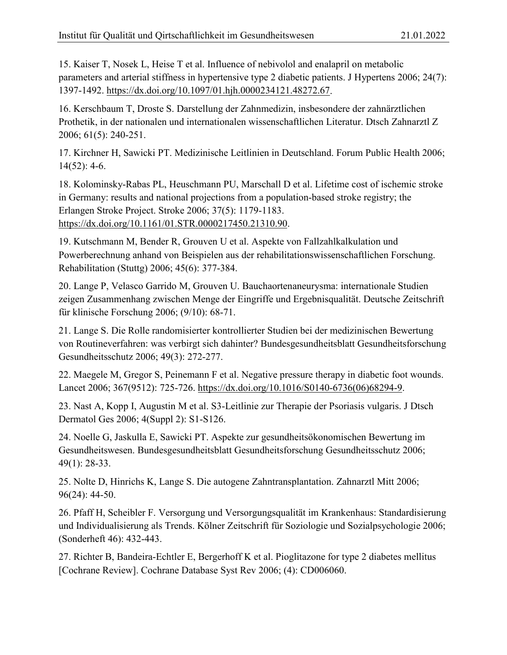15. Kaiser T, Nosek L, Heise T et al. Influence of nebivolol and enalapril on metabolic parameters and arterial stiffness in hypertensive type 2 diabetic patients. J Hypertens 2006; 24(7): 1397-1492. [https://dx.doi.org/10.1097/01.hjh.0000234121.48272.67.](https://dx.doi.org/10.1097/01.hjh.0000234121.48272.67)

16. Kerschbaum T, Droste S. Darstellung der Zahnmedizin, insbesondere der zahnärztlichen Prothetik, in der nationalen und internationalen wissenschaftlichen Literatur. Dtsch Zahnarztl Z 2006; 61(5): 240-251.

17. Kirchner H, Sawicki PT. Medizinische Leitlinien in Deutschland. Forum Public Health 2006; 14(52): 4-6.

18. Kolominsky-Rabas PL, Heuschmann PU, Marschall D et al. Lifetime cost of ischemic stroke in Germany: results and national projections from a population-based stroke registry; the Erlangen Stroke Project. Stroke 2006; 37(5): 1179-1183. [https://dx.doi.org/10.1161/01.STR.0000217450.21310.90.](https://dx.doi.org/10.1161/01.STR.0000217450.21310.90)

19. Kutschmann M, Bender R, Grouven U et al. Aspekte von Fallzahlkalkulation und Powerberechnung anhand von Beispielen aus der rehabilitationswissenschaftlichen Forschung. Rehabilitation (Stuttg) 2006; 45(6): 377-384.

20. Lange P, Velasco Garrido M, Grouven U. Bauchaortenaneurysma: internationale Studien zeigen Zusammenhang zwischen Menge der Eingriffe und Ergebnisqualität. Deutsche Zeitschrift für klinische Forschung 2006; (9/10): 68-71.

21. Lange S. Die Rolle randomisierter kontrollierter Studien bei der medizinischen Bewertung von Routineverfahren: was verbirgt sich dahinter? Bundesgesundheitsblatt Gesundheitsforschung Gesundheitsschutz 2006; 49(3): 272-277.

22. Maegele M, Gregor S, Peinemann F et al. Negative pressure therapy in diabetic foot wounds. Lancet 2006; 367(9512): 725-726. [https://dx.doi.org/10.1016/S0140-6736\(06\)68294-9.](https://dx.doi.org/10.1016/S0140-6736(06)68294-9)

23. Nast A, Kopp I, Augustin M et al. S3-Leitlinie zur Therapie der Psoriasis vulgaris. J Dtsch Dermatol Ges 2006; 4(Suppl 2): S1-S126.

24. Noelle G, Jaskulla E, Sawicki PT. Aspekte zur gesundheitsökonomischen Bewertung im Gesundheitswesen. Bundesgesundheitsblatt Gesundheitsforschung Gesundheitsschutz 2006; 49(1): 28-33.

25. Nolte D, Hinrichs K, Lange S. Die autogene Zahntransplantation. Zahnarztl Mitt 2006; 96(24): 44-50.

26. Pfaff H, Scheibler F. Versorgung und Versorgungsqualität im Krankenhaus: Standardisierung und Individualisierung als Trends. Kölner Zeitschrift für Soziologie und Sozialpsychologie 2006; (Sonderheft 46): 432-443.

27. Richter B, Bandeira-Echtler E, Bergerhoff K et al. Pioglitazone for type 2 diabetes mellitus [Cochrane Review]. Cochrane Database Syst Rev 2006; (4): CD006060.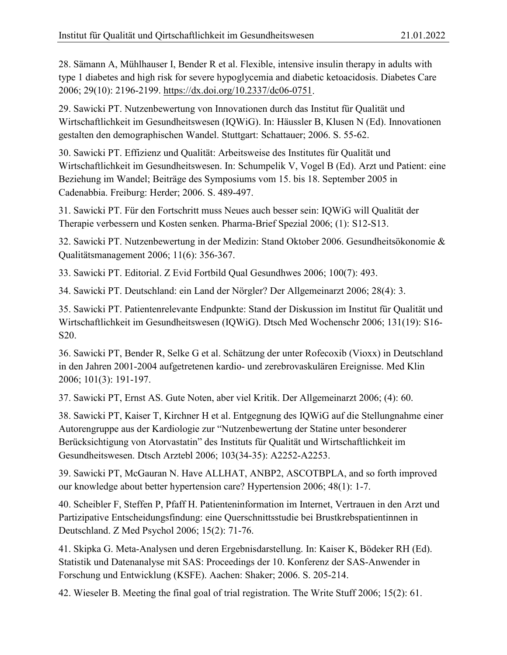28. Sämann A, Mühlhauser I, Bender R et al. Flexible, intensive insulin therapy in adults with type 1 diabetes and high risk for severe hypoglycemia and diabetic ketoacidosis. Diabetes Care 2006; 29(10): 2196-2199. [https://dx.doi.org/10.2337/dc06-0751.](https://dx.doi.org/10.2337/dc06-0751)

29. Sawicki PT. Nutzenbewertung von Innovationen durch das Institut für Qualität und Wirtschaftlichkeit im Gesundheitswesen (IQWiG). In: Häussler B, Klusen N (Ed). Innovationen gestalten den demographischen Wandel. Stuttgart: Schattauer; 2006. S. 55-62.

30. Sawicki PT. Effizienz und Qualität: Arbeitsweise des Institutes für Qualität und Wirtschaftlichkeit im Gesundheitswesen. In: Schumpelik V, Vogel B (Ed). Arzt und Patient: eine Beziehung im Wandel; Beiträge des Symposiums vom 15. bis 18. September 2005 in Cadenabbia. Freiburg: Herder; 2006. S. 489-497.

31. Sawicki PT. Für den Fortschritt muss Neues auch besser sein: IQWiG will Qualität der Therapie verbessern und Kosten senken. Pharma-Brief Spezial 2006; (1): S12-S13.

32. Sawicki PT. Nutzenbewertung in der Medizin: Stand Oktober 2006. Gesundheitsökonomie & Qualitätsmanagement 2006; 11(6): 356-367.

33. Sawicki PT. Editorial. Z Evid Fortbild Qual Gesundhwes 2006; 100(7): 493.

34. Sawicki PT. Deutschland: ein Land der Nörgler? Der Allgemeinarzt 2006; 28(4): 3.

35. Sawicki PT. Patientenrelevante Endpunkte: Stand der Diskussion im Institut für Qualität und Wirtschaftlichkeit im Gesundheitswesen (IQWiG). Dtsch Med Wochenschr 2006; 131(19): S16- S20.

36. Sawicki PT, Bender R, Selke G et al. Schätzung der unter Rofecoxib (Vioxx) in Deutschland in den Jahren 2001-2004 aufgetretenen kardio- und zerebrovaskulären Ereignisse. Med Klin 2006; 101(3): 191-197.

37. Sawicki PT, Ernst AS. Gute Noten, aber viel Kritik. Der Allgemeinarzt 2006; (4): 60.

38. Sawicki PT, Kaiser T, Kirchner H et al. Entgegnung des IQWiG auf die Stellungnahme einer Autorengruppe aus der Kardiologie zur "Nutzenbewertung der Statine unter besonderer Berücksichtigung von Atorvastatin" des Instituts für Qualität und Wirtschaftlichkeit im Gesundheitswesen. Dtsch Arztebl 2006; 103(34-35): A2252-A2253.

39. Sawicki PT, McGauran N. Have ALLHAT, ANBP2, ASCOTBPLA, and so forth improved our knowledge about better hypertension care? Hypertension 2006; 48(1): 1-7.

40. Scheibler F, Steffen P, Pfaff H. Patienteninformation im Internet, Vertrauen in den Arzt und Partizipative Entscheidungsfindung: eine Querschnittsstudie bei Brustkrebspatientinnen in Deutschland. Z Med Psychol 2006; 15(2): 71-76.

41. Skipka G. Meta-Analysen und deren Ergebnisdarstellung. In: Kaiser K, Bödeker RH (Ed). Statistik und Datenanalyse mit SAS: Proceedings der 10. Konferenz der SAS-Anwender in Forschung und Entwicklung (KSFE). Aachen: Shaker; 2006. S. 205-214.

42. Wieseler B. Meeting the final goal of trial registration. The Write Stuff 2006; 15(2): 61.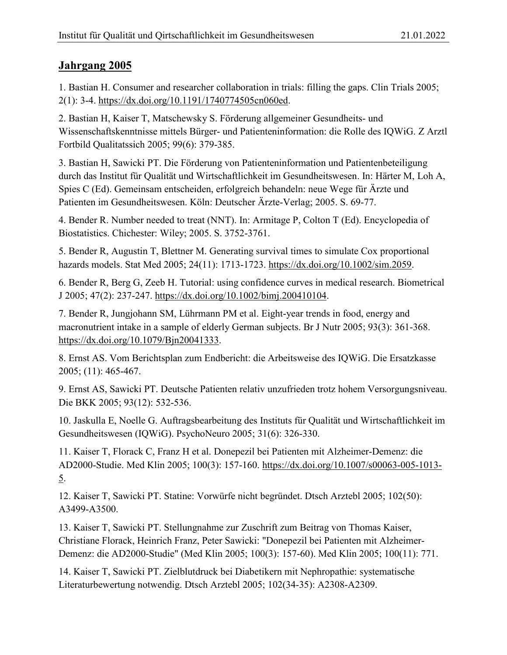<span id="page-49-0"></span>1. Bastian H. Consumer and researcher collaboration in trials: filling the gaps. Clin Trials 2005; 2(1): 3-4. [https://dx.doi.org/10.1191/1740774505cn060ed.](https://dx.doi.org/10.1191/1740774505cn060ed)

2. Bastian H, Kaiser T, Matschewsky S. Förderung allgemeiner Gesundheits- und Wissenschaftskenntnisse mittels Bürger- und Patienteninformation: die Rolle des IQWiG. Z Arztl Fortbild Qualitatssich 2005; 99(6): 379-385.

3. Bastian H, Sawicki PT. Die Förderung von Patienteninformation und Patientenbeteiligung durch das Institut für Qualität und Wirtschaftlichkeit im Gesundheitswesen. In: Härter M, Loh A, Spies C (Ed). Gemeinsam entscheiden, erfolgreich behandeln: neue Wege für Ärzte und Patienten im Gesundheitswesen. Köln: Deutscher Ärzte-Verlag; 2005. S. 69-77.

4. Bender R. Number needed to treat (NNT). In: Armitage P, Colton T (Ed). Encyclopedia of Biostatistics. Chichester: Wiley; 2005. S. 3752-3761.

5. Bender R, Augustin T, Blettner M. Generating survival times to simulate Cox proportional hazards models. Stat Med 2005; 24(11): 1713-1723. [https://dx.doi.org/10.1002/sim.2059.](https://dx.doi.org/10.1002/sim.2059)

6. Bender R, Berg G, Zeeb H. Tutorial: using confidence curves in medical research. Biometrical J 2005; 47(2): 237-247. [https://dx.doi.org/10.1002/bimj.200410104.](https://dx.doi.org/10.1002/bimj.200410104)

7. Bender R, Jungjohann SM, Lührmann PM et al. Eight-year trends in food, energy and macronutrient intake in a sample of elderly German subjects. Br J Nutr 2005; 93(3): 361-368. [https://dx.doi.org/10.1079/Bjn20041333.](https://dx.doi.org/10.1079/Bjn20041333)

8. Ernst AS. Vom Berichtsplan zum Endbericht: die Arbeitsweise des IQWiG. Die Ersatzkasse 2005; (11): 465-467.

9. Ernst AS, Sawicki PT. Deutsche Patienten relativ unzufrieden trotz hohem Versorgungsniveau. Die BKK 2005; 93(12): 532-536.

10. Jaskulla E, Noelle G. Auftragsbearbeitung des Instituts für Qualität und Wirtschaftlichkeit im Gesundheitswesen (IQWiG). PsychoNeuro 2005; 31(6): 326-330.

11. Kaiser T, Florack C, Franz H et al. Donepezil bei Patienten mit Alzheimer-Demenz: die AD2000-Studie. Med Klin 2005; 100(3): 157-160. [https://dx.doi.org/10.1007/s00063-005-1013-](https://dx.doi.org/10.1007/s00063-005-1013-5) [5.](https://dx.doi.org/10.1007/s00063-005-1013-5)

12. Kaiser T, Sawicki PT. Statine: Vorwürfe nicht begründet. Dtsch Arztebl 2005; 102(50): A3499-A3500.

13. Kaiser T, Sawicki PT. Stellungnahme zur Zuschrift zum Beitrag von Thomas Kaiser, Christiane Florack, Heinrich Franz, Peter Sawicki: "Donepezil bei Patienten mit Alzheimer-Demenz: die AD2000-Studie" (Med Klin 2005; 100(3): 157-60). Med Klin 2005; 100(11): 771.

14. Kaiser T, Sawicki PT. Zielblutdruck bei Diabetikern mit Nephropathie: systematische Literaturbewertung notwendig. Dtsch Arztebl 2005; 102(34-35): A2308-A2309.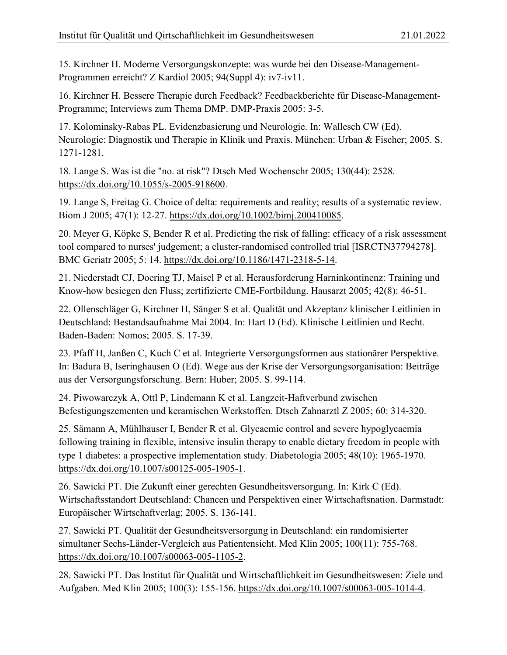15. Kirchner H. Moderne Versorgungskonzepte: was wurde bei den Disease-Management-Programmen erreicht? Z Kardiol 2005; 94(Suppl 4): iv7-iv11.

16. Kirchner H. Bessere Therapie durch Feedback? Feedbackberichte für Disease-Management-Programme; Interviews zum Thema DMP. DMP-Praxis 2005: 3-5.

17. Kolominsky-Rabas PL. Evidenzbasierung und Neurologie. In: Wallesch CW (Ed). Neurologie: Diagnostik und Therapie in Klinik und Praxis. München: Urban & Fischer; 2005. S. 1271-1281.

18. Lange S. Was ist die "no. at risk"? Dtsch Med Wochenschr 2005; 130(44): 2528. [https://dx.doi.org/10.1055/s-2005-918600.](https://dx.doi.org/10.1055/s-2005-918600)

19. Lange S, Freitag G. Choice of delta: requirements and reality; results of a systematic review. Biom J 2005; 47(1): 12-27. [https://dx.doi.org/10.1002/bimj.200410085.](https://dx.doi.org/10.1002/bimj.200410085)

20. Meyer G, Köpke S, Bender R et al. Predicting the risk of falling: efficacy of a risk assessment tool compared to nurses' judgement; a cluster-randomised controlled trial [ISRCTN37794278]. BMC Geriatr 2005; 5: 14. [https://dx.doi.org/10.1186/1471-2318-5-14.](https://dx.doi.org/10.1186/1471-2318-5-14)

21. Niederstadt CJ, Doering TJ, Maisel P et al. Herausforderung Harninkontinenz: Training und Know-how besiegen den Fluss; zertifizierte CME-Fortbildung. Hausarzt 2005; 42(8): 46-51.

22. Ollenschläger G, Kirchner H, Sänger S et al. Qualität und Akzeptanz klinischer Leitlinien in Deutschland: Bestandsaufnahme Mai 2004. In: Hart D (Ed). Klinische Leitlinien und Recht. Baden-Baden: Nomos; 2005. S. 17-39.

23. Pfaff H, Janßen C, Kuch C et al. Integrierte Versorgungsformen aus stationärer Perspektive. In: Badura B, Iseringhausen O (Ed). Wege aus der Krise der Versorgungsorganisation: Beiträge aus der Versorgungsforschung. Bern: Huber; 2005. S. 99-114.

24. Piwowarczyk A, Ottl P, Lindemann K et al. Langzeit-Haftverbund zwischen Befestigungszementen und keramischen Werkstoffen. Dtsch Zahnarztl Z 2005; 60: 314-320.

25. Sämann A, Mühlhauser I, Bender R et al. Glycaemic control and severe hypoglycaemia following training in flexible, intensive insulin therapy to enable dietary freedom in people with type 1 diabetes: a prospective implementation study. Diabetologia 2005; 48(10): 1965-1970. [https://dx.doi.org/10.1007/s00125-005-1905-1.](https://dx.doi.org/10.1007/s00125-005-1905-1)

26. Sawicki PT. Die Zukunft einer gerechten Gesundheitsversorgung. In: Kirk C (Ed). Wirtschaftsstandort Deutschland: Chancen und Perspektiven einer Wirtschaftsnation. Darmstadt: Europäischer Wirtschaftverlag; 2005. S. 136-141.

27. Sawicki PT. Qualität der Gesundheitsversorgung in Deutschland: ein randomisierter simultaner Sechs-Länder-Vergleich aus Patientensicht. Med Klin 2005; 100(11): 755-768. [https://dx.doi.org/10.1007/s00063-005-1105-2.](https://dx.doi.org/10.1007/s00063-005-1105-2)

28. Sawicki PT. Das Institut für Qualität und Wirtschaftlichkeit im Gesundheitswesen: Ziele und Aufgaben. Med Klin 2005; 100(3): 155-156. [https://dx.doi.org/10.1007/s00063-005-1014-4.](https://dx.doi.org/10.1007/s00063-005-1014-4)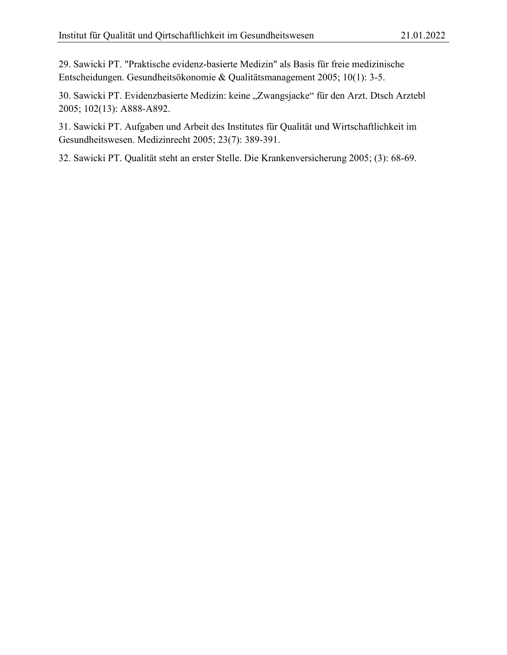29. Sawicki PT. "Praktische evidenz-basierte Medizin" als Basis für freie medizinische Entscheidungen. Gesundheitsökonomie & Qualitätsmanagement 2005; 10(1): 3-5.

30. Sawicki PT. Evidenzbasierte Medizin: keine "Zwangsjacke" für den Arzt. Dtsch Arztebl 2005; 102(13): A888-A892.

31. Sawicki PT. Aufgaben und Arbeit des Institutes für Qualität und Wirtschaftlichkeit im Gesundheitswesen. Medizinrecht 2005; 23(7): 389-391.

32. Sawicki PT. Qualität steht an erster Stelle. Die Krankenversicherung 2005; (3): 68-69.